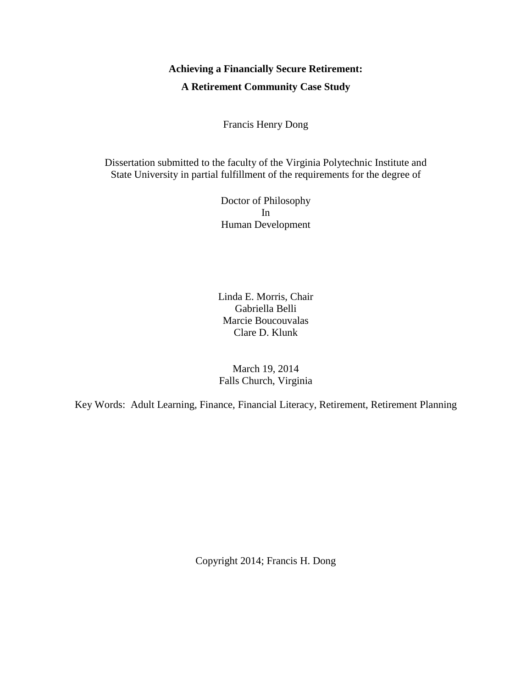# **Achieving a Financially Secure Retirement: A Retirement Community Case Study**

Francis Henry Dong

Dissertation submitted to the faculty of the Virginia Polytechnic Institute and State University in partial fulfillment of the requirements for the degree of

> Doctor of Philosophy In Human Development

Linda E. Morris, Chair Gabriella Belli Marcie Boucouvalas Clare D. Klunk

March 19, 2014 Falls Church, Virginia

Key Words: Adult Learning, Finance, Financial Literacy, Retirement, Retirement Planning

Copyright 2014; Francis H. Dong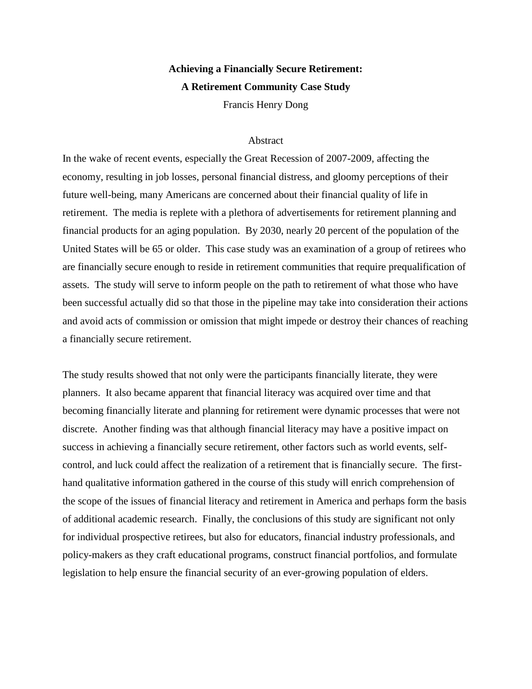# **Achieving a Financially Secure Retirement: A Retirement Community Case Study**

Francis Henry Dong

# Abstract

In the wake of recent events, especially the Great Recession of 2007-2009, affecting the economy, resulting in job losses, personal financial distress, and gloomy perceptions of their future well-being, many Americans are concerned about their financial quality of life in retirement. The media is replete with a plethora of advertisements for retirement planning and financial products for an aging population. By 2030, nearly 20 percent of the population of the United States will be 65 or older. This case study was an examination of a group of retirees who are financially secure enough to reside in retirement communities that require prequalification of assets. The study will serve to inform people on the path to retirement of what those who have been successful actually did so that those in the pipeline may take into consideration their actions and avoid acts of commission or omission that might impede or destroy their chances of reaching a financially secure retirement.

The study results showed that not only were the participants financially literate, they were planners. It also became apparent that financial literacy was acquired over time and that becoming financially literate and planning for retirement were dynamic processes that were not discrete. Another finding was that although financial literacy may have a positive impact on success in achieving a financially secure retirement, other factors such as world events, selfcontrol, and luck could affect the realization of a retirement that is financially secure. The firsthand qualitative information gathered in the course of this study will enrich comprehension of the scope of the issues of financial literacy and retirement in America and perhaps form the basis of additional academic research. Finally, the conclusions of this study are significant not only for individual prospective retirees, but also for educators, financial industry professionals, and policy-makers as they craft educational programs, construct financial portfolios, and formulate legislation to help ensure the financial security of an ever-growing population of elders.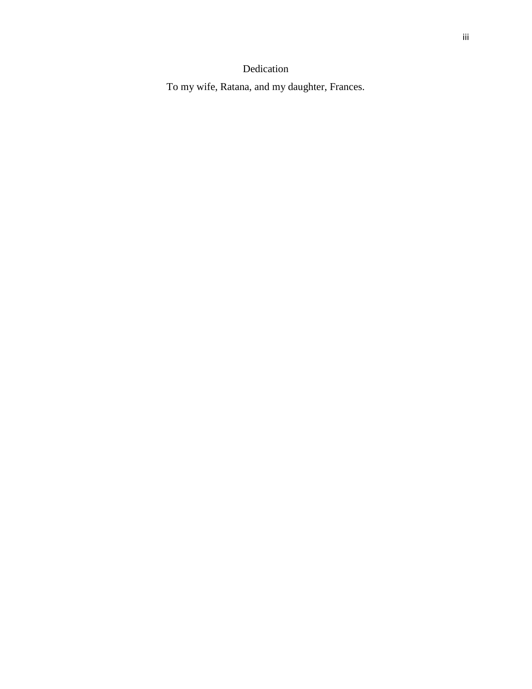# iii

# Dedication

To my wife, Ratana, and my daughter, Frances.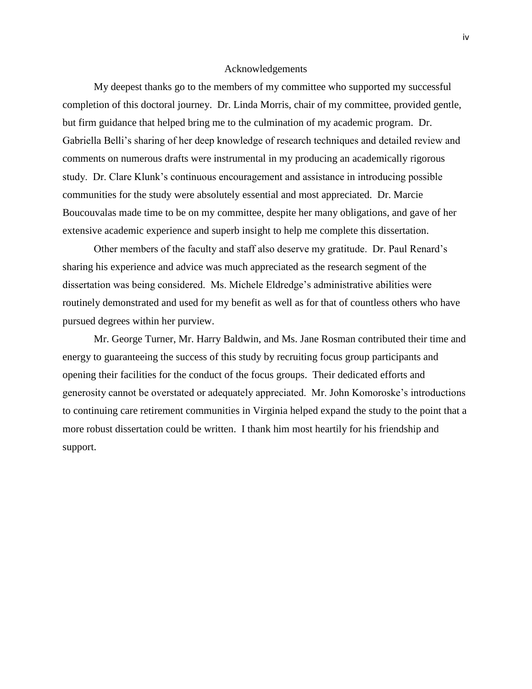#### Acknowledgements

My deepest thanks go to the members of my committee who supported my successful completion of this doctoral journey. Dr. Linda Morris, chair of my committee, provided gentle, but firm guidance that helped bring me to the culmination of my academic program. Dr. Gabriella Belli's sharing of her deep knowledge of research techniques and detailed review and comments on numerous drafts were instrumental in my producing an academically rigorous study. Dr. Clare Klunk's continuous encouragement and assistance in introducing possible communities for the study were absolutely essential and most appreciated. Dr. Marcie Boucouvalas made time to be on my committee, despite her many obligations, and gave of her extensive academic experience and superb insight to help me complete this dissertation.

Other members of the faculty and staff also deserve my gratitude. Dr. Paul Renard's sharing his experience and advice was much appreciated as the research segment of the dissertation was being considered. Ms. Michele Eldredge's administrative abilities were routinely demonstrated and used for my benefit as well as for that of countless others who have pursued degrees within her purview.

Mr. George Turner, Mr. Harry Baldwin, and Ms. Jane Rosman contributed their time and energy to guaranteeing the success of this study by recruiting focus group participants and opening their facilities for the conduct of the focus groups. Their dedicated efforts and generosity cannot be overstated or adequately appreciated. Mr. John Komoroske's introductions to continuing care retirement communities in Virginia helped expand the study to the point that a more robust dissertation could be written. I thank him most heartily for his friendship and support.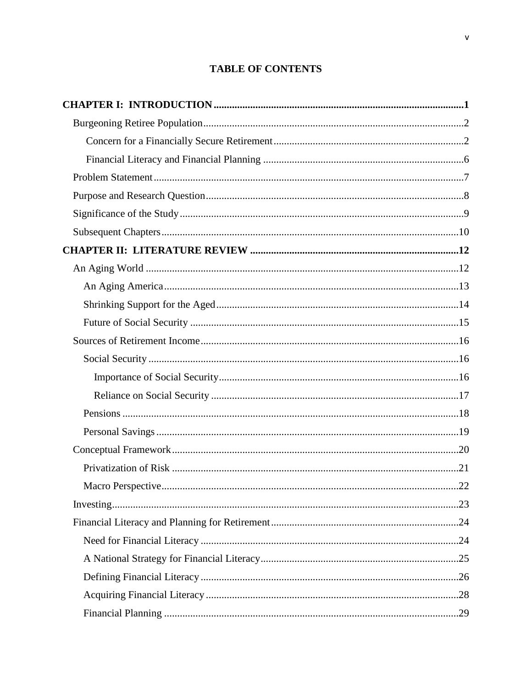# **TABLE OF CONTENTS**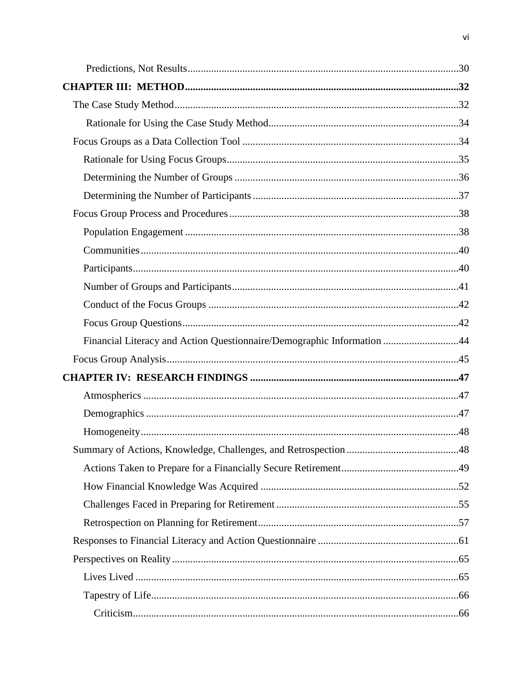| Financial Literacy and Action Questionnaire/Demographic Information 44 |  |
|------------------------------------------------------------------------|--|
|                                                                        |  |
|                                                                        |  |
|                                                                        |  |
|                                                                        |  |
|                                                                        |  |
|                                                                        |  |
|                                                                        |  |
|                                                                        |  |
|                                                                        |  |
|                                                                        |  |
|                                                                        |  |
|                                                                        |  |
|                                                                        |  |
|                                                                        |  |
|                                                                        |  |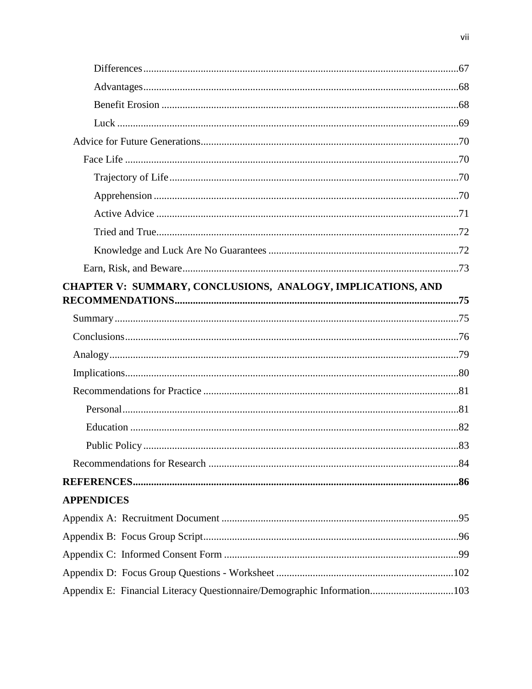| CHAPTER V: SUMMARY, CONCLUSIONS, ANALOGY, IMPLICATIONS, AND             |  |
|-------------------------------------------------------------------------|--|
|                                                                         |  |
|                                                                         |  |
|                                                                         |  |
|                                                                         |  |
|                                                                         |  |
|                                                                         |  |
|                                                                         |  |
|                                                                         |  |
|                                                                         |  |
|                                                                         |  |
|                                                                         |  |
| <b>APPENDICES</b>                                                       |  |
|                                                                         |  |
|                                                                         |  |
|                                                                         |  |
|                                                                         |  |
| Appendix E: Financial Literacy Questionnaire/Demographic Information103 |  |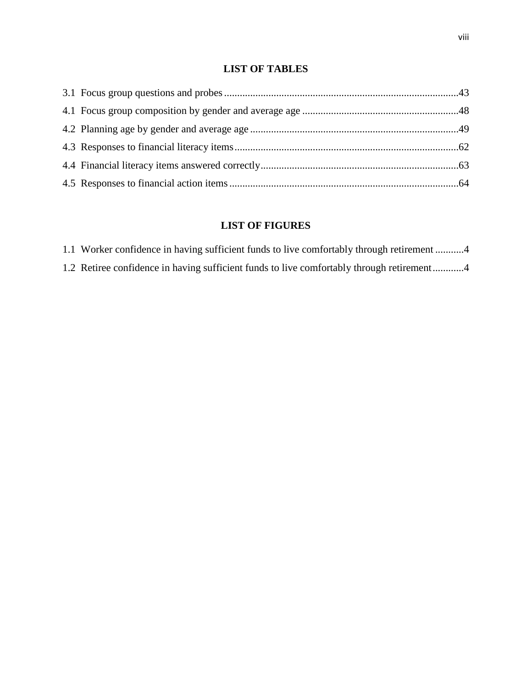# **LIST OF TABLES**

# **LIST OF FIGURES**

1.1 Worker confidence in having sufficient funds to live comfortably through retirement ...........4 1.2 Retiree confidence in having sufficient funds to live comfortably through retirement............4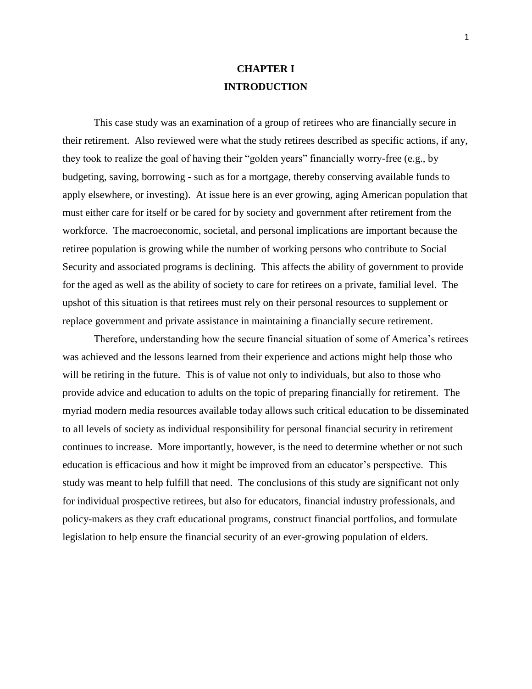# **CHAPTER I INTRODUCTION**

This case study was an examination of a group of retirees who are financially secure in their retirement. Also reviewed were what the study retirees described as specific actions, if any, they took to realize the goal of having their "golden years" financially worry-free (e.g., by budgeting, saving, borrowing - such as for a mortgage, thereby conserving available funds to apply elsewhere, or investing). At issue here is an ever growing, aging American population that must either care for itself or be cared for by society and government after retirement from the workforce. The macroeconomic, societal, and personal implications are important because the retiree population is growing while the number of working persons who contribute to Social Security and associated programs is declining. This affects the ability of government to provide for the aged as well as the ability of society to care for retirees on a private, familial level. The upshot of this situation is that retirees must rely on their personal resources to supplement or replace government and private assistance in maintaining a financially secure retirement.

Therefore, understanding how the secure financial situation of some of America's retirees was achieved and the lessons learned from their experience and actions might help those who will be retiring in the future. This is of value not only to individuals, but also to those who provide advice and education to adults on the topic of preparing financially for retirement. The myriad modern media resources available today allows such critical education to be disseminated to all levels of society as individual responsibility for personal financial security in retirement continues to increase. More importantly, however, is the need to determine whether or not such education is efficacious and how it might be improved from an educator's perspective. This study was meant to help fulfill that need. The conclusions of this study are significant not only for individual prospective retirees, but also for educators, financial industry professionals, and policy-makers as they craft educational programs, construct financial portfolios, and formulate legislation to help ensure the financial security of an ever-growing population of elders.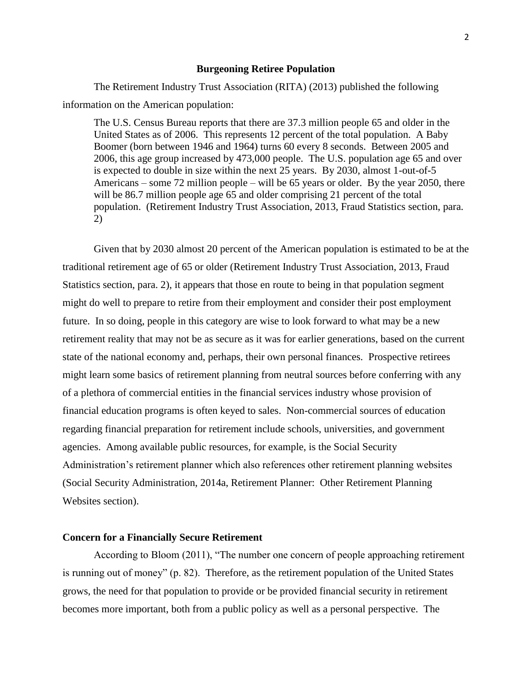#### **Burgeoning Retiree Population**

The Retirement Industry Trust Association (RITA) (2013) published the following information on the American population:

The U.S. Census Bureau reports that there are 37.3 million people 65 and older in the United States as of 2006. This represents 12 percent of the total population. A Baby Boomer (born between 1946 and 1964) turns 60 every 8 seconds. Between 2005 and 2006, this age group increased by 473,000 people. The U.S. population age 65 and over is expected to double in size within the next 25 years. By 2030, almost 1-out-of-5 Americans – some 72 million people – will be 65 years or older. By the year 2050, there will be 86.7 million people age 65 and older comprising 21 percent of the total population. (Retirement Industry Trust Association, 2013, Fraud Statistics section, para. 2)

Given that by 2030 almost 20 percent of the American population is estimated to be at the traditional retirement age of 65 or older (Retirement Industry Trust Association, 2013, Fraud Statistics section, para. 2), it appears that those en route to being in that population segment might do well to prepare to retire from their employment and consider their post employment future. In so doing, people in this category are wise to look forward to what may be a new retirement reality that may not be as secure as it was for earlier generations, based on the current state of the national economy and, perhaps, their own personal finances. Prospective retirees might learn some basics of retirement planning from neutral sources before conferring with any of a plethora of commercial entities in the financial services industry whose provision of financial education programs is often keyed to sales. Non-commercial sources of education regarding financial preparation for retirement include schools, universities, and government agencies. Among available public resources, for example, is the Social Security Administration's retirement planner which also references other retirement planning websites (Social Security Administration, 2014a, Retirement Planner: Other Retirement Planning Websites section).

# **Concern for a Financially Secure Retirement**

According to Bloom (2011), "The number one concern of people approaching retirement is running out of money" (p. 82). Therefore, as the retirement population of the United States grows, the need for that population to provide or be provided financial security in retirement becomes more important, both from a public policy as well as a personal perspective. The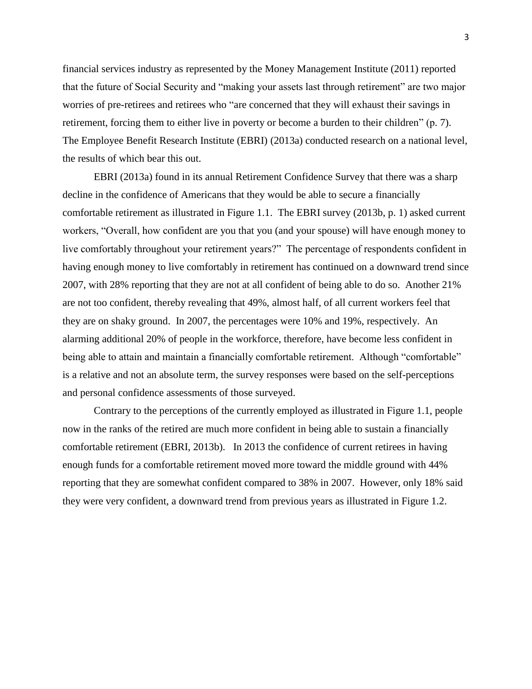financial services industry as represented by the Money Management Institute (2011) reported that the future of Social Security and "making your assets last through retirement" are two major worries of pre-retirees and retirees who "are concerned that they will exhaust their savings in retirement, forcing them to either live in poverty or become a burden to their children" (p. 7). The Employee Benefit Research Institute (EBRI) (2013a) conducted research on a national level, the results of which bear this out.

EBRI (2013a) found in its annual Retirement Confidence Survey that there was a sharp decline in the confidence of Americans that they would be able to secure a financially comfortable retirement as illustrated in Figure 1.1. The EBRI survey (2013b, p. 1) asked current workers, "Overall, how confident are you that you (and your spouse) will have enough money to live comfortably throughout your retirement years?" The percentage of respondents confident in having enough money to live comfortably in retirement has continued on a downward trend since 2007, with 28% reporting that they are not at all confident of being able to do so. Another 21% are not too confident, thereby revealing that 49%, almost half, of all current workers feel that they are on shaky ground. In 2007, the percentages were 10% and 19%, respectively. An alarming additional 20% of people in the workforce, therefore, have become less confident in being able to attain and maintain a financially comfortable retirement. Although "comfortable" is a relative and not an absolute term, the survey responses were based on the self-perceptions and personal confidence assessments of those surveyed.

Contrary to the perceptions of the currently employed as illustrated in Figure 1.1, people now in the ranks of the retired are much more confident in being able to sustain a financially comfortable retirement (EBRI, 2013b). In 2013 the confidence of current retirees in having enough funds for a comfortable retirement moved more toward the middle ground with 44% reporting that they are somewhat confident compared to 38% in 2007. However, only 18% said they were very confident, a downward trend from previous years as illustrated in Figure 1.2.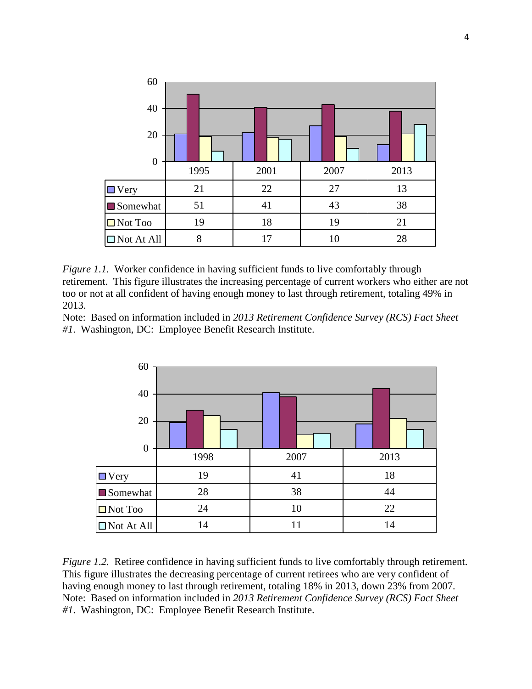

*Figure 1.1.* Worker confidence in having sufficient funds to live comfortably through retirement. This figure illustrates the increasing percentage of current workers who either are not too or not at all confident of having enough money to last through retirement, totaling 49% in 2013.

Note: Based on information included in *2013 Retirement Confidence Survey (RCS) Fact Sheet #1*. Washington, DC: Employee Benefit Research Institute.



*Figure 1.2.* Retiree confidence in having sufficient funds to live comfortably through retirement. This figure illustrates the decreasing percentage of current retirees who are very confident of having enough money to last through retirement, totaling 18% in 2013, down 23% from 2007. Note: Based on information included in *2013 Retirement Confidence Survey (RCS) Fact Sheet #1*. Washington, DC: Employee Benefit Research Institute.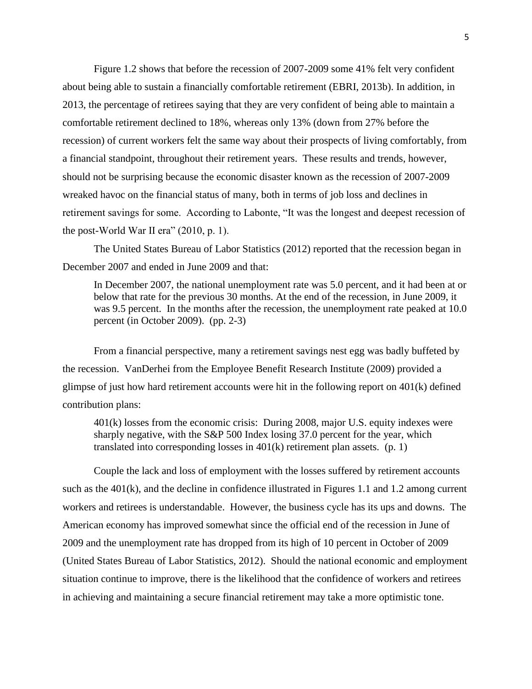Figure 1.2 shows that before the recession of 2007-2009 some 41% felt very confident about being able to sustain a financially comfortable retirement (EBRI, 2013b). In addition, in 2013, the percentage of retirees saying that they are very confident of being able to maintain a comfortable retirement declined to 18%, whereas only 13% (down from 27% before the recession) of current workers felt the same way about their prospects of living comfortably, from a financial standpoint, throughout their retirement years. These results and trends, however, should not be surprising because the economic disaster known as the recession of 2007-2009 wreaked havoc on the financial status of many, both in terms of job loss and declines in retirement savings for some. According to Labonte, "It was the longest and deepest recession of the post-World War II era" (2010, p. 1).

The United States Bureau of Labor Statistics (2012) reported that the recession began in December 2007 and ended in June 2009 and that:

In December 2007, the national unemployment rate was 5.0 percent, and it had been at or below that rate for the previous 30 months. At the end of the recession, in June 2009, it was 9.5 percent. In the months after the recession, the unemployment rate peaked at 10.0 percent (in October 2009). (pp. 2-3)

From a financial perspective, many a retirement savings nest egg was badly buffeted by the recession. VanDerhei from the Employee Benefit Research Institute (2009) provided a glimpse of just how hard retirement accounts were hit in the following report on 401(k) defined contribution plans:

401(k) losses from the economic crisis: During 2008, major U.S. equity indexes were sharply negative, with the S&P 500 Index losing 37.0 percent for the year, which translated into corresponding losses in  $401(k)$  retirement plan assets. (p. 1)

Couple the lack and loss of employment with the losses suffered by retirement accounts such as the  $401(k)$ , and the decline in confidence illustrated in Figures 1.1 and 1.2 among current workers and retirees is understandable. However, the business cycle has its ups and downs. The American economy has improved somewhat since the official end of the recession in June of 2009 and the unemployment rate has dropped from its high of 10 percent in October of 2009 (United States Bureau of Labor Statistics, 2012). Should the national economic and employment situation continue to improve, there is the likelihood that the confidence of workers and retirees in achieving and maintaining a secure financial retirement may take a more optimistic tone.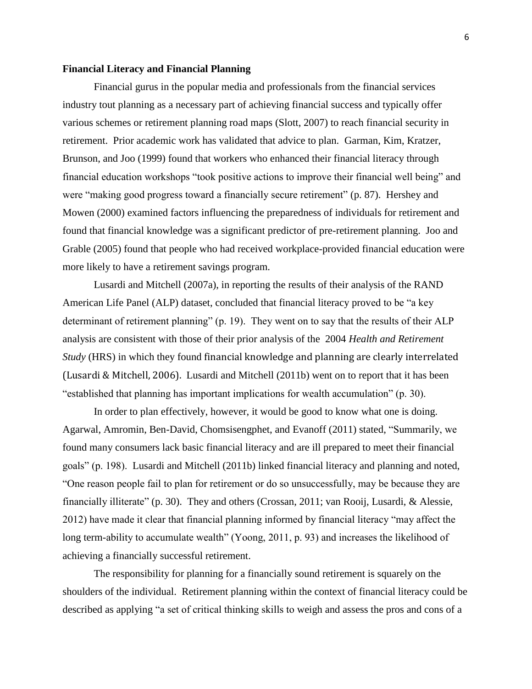### **Financial Literacy and Financial Planning**

Financial gurus in the popular media and professionals from the financial services industry tout planning as a necessary part of achieving financial success and typically offer various schemes or retirement planning road maps (Slott, 2007) to reach financial security in retirement. Prior academic work has validated that advice to plan. Garman, Kim, Kratzer, Brunson, and Joo (1999) found that workers who enhanced their financial literacy through financial education workshops "took positive actions to improve their financial well being" and were "making good progress toward a financially secure retirement" (p. 87). Hershey and Mowen (2000) examined factors influencing the preparedness of individuals for retirement and found that financial knowledge was a significant predictor of pre-retirement planning. Joo and Grable (2005) found that people who had received workplace-provided financial education were more likely to have a retirement savings program.

Lusardi and Mitchell (2007a), in reporting the results of their analysis of the RAND American Life Panel (ALP) dataset, concluded that financial literacy proved to be "a key determinant of retirement planning" (p. 19). They went on to say that the results of their ALP analysis are consistent with those of their prior analysis of the 2004 *Health and Retirement Study* (HRS) in which they found financial knowledge and planning are clearly interrelated (Lusardi & Mitchell, 2006). Lusardi and Mitchell (2011b) went on to report that it has been "established that planning has important implications for wealth accumulation" (p. 30).

In order to plan effectively, however, it would be good to know what one is doing. Agarwal, Amromin, Ben-David, Chomsisengphet, and Evanoff (2011) stated, "Summarily, we found many consumers lack basic financial literacy and are ill prepared to meet their financial goals" (p. 198). Lusardi and Mitchell (2011b) linked financial literacy and planning and noted, "One reason people fail to plan for retirement or do so unsuccessfully, may be because they are financially illiterate" (p. 30). They and others (Crossan, 2011; van Rooij, Lusardi, & Alessie, 2012) have made it clear that financial planning informed by financial literacy "may affect the long term-ability to accumulate wealth" (Yoong, 2011, p. 93) and increases the likelihood of achieving a financially successful retirement.

The responsibility for planning for a financially sound retirement is squarely on the shoulders of the individual. Retirement planning within the context of financial literacy could be described as applying "a set of critical thinking skills to weigh and assess the pros and cons of a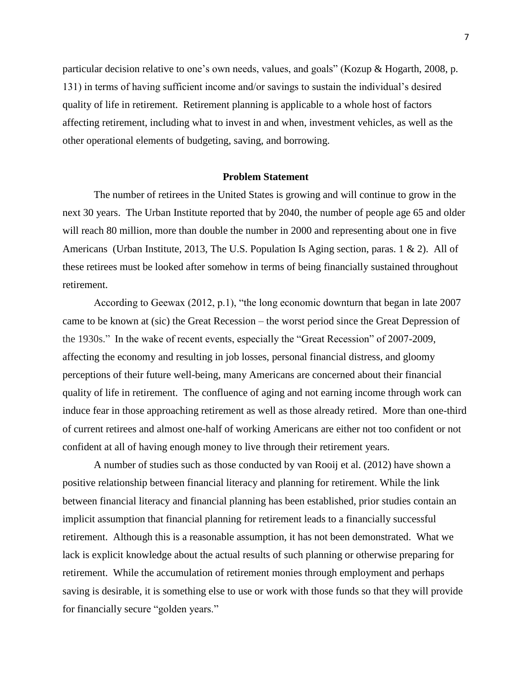particular decision relative to one's own needs, values, and goals" (Kozup & Hogarth, 2008, p. 131) in terms of having sufficient income and/or savings to sustain the individual's desired quality of life in retirement. Retirement planning is applicable to a whole host of factors affecting retirement, including what to invest in and when, investment vehicles, as well as the other operational elements of budgeting, saving, and borrowing.

# **Problem Statement**

The number of retirees in the United States is growing and will continue to grow in the next 30 years. The Urban Institute reported that by 2040, the number of people age 65 and older will reach 80 million, more than double the number in 2000 and representing about one in five Americans (Urban Institute, 2013, The U.S. Population Is Aging section, paras. 1 & 2). All of these retirees must be looked after somehow in terms of being financially sustained throughout retirement.

According to Geewax (2012, p.1), "the long economic downturn that began in late 2007 came to be known at (sic) the Great Recession – the worst period since the Great Depression of the 1930s." In the wake of recent events, especially the "Great Recession" of 2007-2009, affecting the economy and resulting in job losses, personal financial distress, and gloomy perceptions of their future well-being, many Americans are concerned about their financial quality of life in retirement. The confluence of aging and not earning income through work can induce fear in those approaching retirement as well as those already retired. More than one-third of current retirees and almost one-half of working Americans are either not too confident or not confident at all of having enough money to live through their retirement years.

A number of studies such as those conducted by van Rooij et al. (2012) have shown a positive relationship between financial literacy and planning for retirement. While the link between financial literacy and financial planning has been established, prior studies contain an implicit assumption that financial planning for retirement leads to a financially successful retirement. Although this is a reasonable assumption, it has not been demonstrated. What we lack is explicit knowledge about the actual results of such planning or otherwise preparing for retirement. While the accumulation of retirement monies through employment and perhaps saving is desirable, it is something else to use or work with those funds so that they will provide for financially secure "golden years."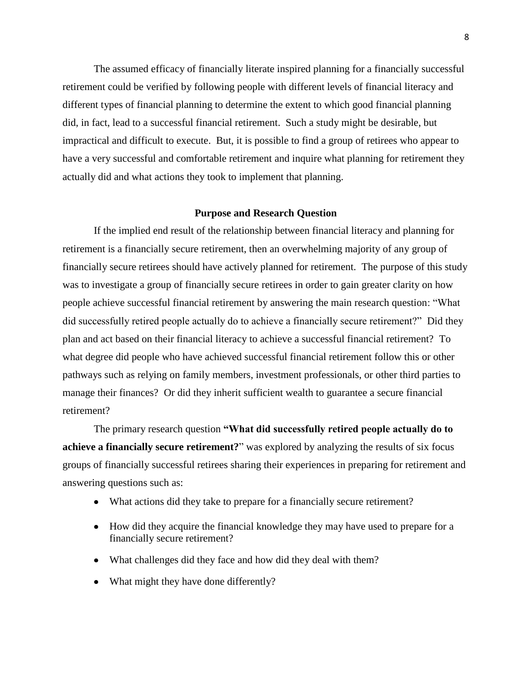The assumed efficacy of financially literate inspired planning for a financially successful retirement could be verified by following people with different levels of financial literacy and different types of financial planning to determine the extent to which good financial planning did, in fact, lead to a successful financial retirement. Such a study might be desirable, but impractical and difficult to execute. But, it is possible to find a group of retirees who appear to have a very successful and comfortable retirement and inquire what planning for retirement they actually did and what actions they took to implement that planning.

#### **Purpose and Research Question**

If the implied end result of the relationship between financial literacy and planning for retirement is a financially secure retirement, then an overwhelming majority of any group of financially secure retirees should have actively planned for retirement. The purpose of this study was to investigate a group of financially secure retirees in order to gain greater clarity on how people achieve successful financial retirement by answering the main research question: "What did successfully retired people actually do to achieve a financially secure retirement?" Did they plan and act based on their financial literacy to achieve a successful financial retirement? To what degree did people who have achieved successful financial retirement follow this or other pathways such as relying on family members, investment professionals, or other third parties to manage their finances? Or did they inherit sufficient wealth to guarantee a secure financial retirement?

The primary research question **"What did successfully retired people actually do to achieve a financially secure retirement?**" was explored by analyzing the results of six focus groups of financially successful retirees sharing their experiences in preparing for retirement and answering questions such as:

- What actions did they take to prepare for a financially secure retirement?
- How did they acquire the financial knowledge they may have used to prepare for a financially secure retirement?
- What challenges did they face and how did they deal with them?
- What might they have done differently?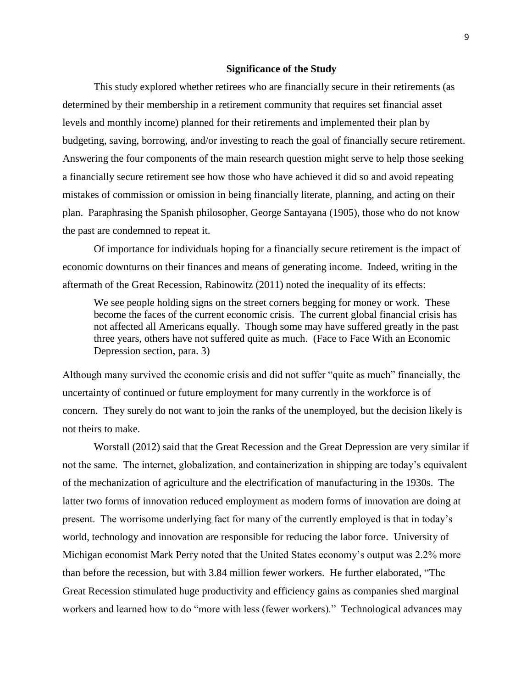#### **Significance of the Study**

This study explored whether retirees who are financially secure in their retirements (as determined by their membership in a retirement community that requires set financial asset levels and monthly income) planned for their retirements and implemented their plan by budgeting, saving, borrowing, and/or investing to reach the goal of financially secure retirement. Answering the four components of the main research question might serve to help those seeking a financially secure retirement see how those who have achieved it did so and avoid repeating mistakes of commission or omission in being financially literate, planning, and acting on their plan. Paraphrasing the Spanish philosopher, George Santayana (1905), those who do not know the past are condemned to repeat it.

Of importance for individuals hoping for a financially secure retirement is the impact of economic downturns on their finances and means of generating income. Indeed, writing in the aftermath of the Great Recession, Rabinowitz (2011) noted the inequality of its effects:

We see people holding signs on the street corners begging for money or work. These become the faces of the current economic crisis. The current global financial crisis has not affected all Americans equally. Though some may have suffered greatly in the past three years, others have not suffered quite as much. (Face to Face With an Economic Depression section, para. 3)

Although many survived the economic crisis and did not suffer "quite as much" financially, the uncertainty of continued or future employment for many currently in the workforce is of concern. They surely do not want to join the ranks of the unemployed, but the decision likely is not theirs to make.

Worstall (2012) said that the Great Recession and the Great Depression are very similar if not the same. The internet, globalization, and containerization in shipping are today's equivalent of the mechanization of agriculture and the electrification of manufacturing in the 1930s. The latter two forms of innovation reduced employment as modern forms of innovation are doing at present. The worrisome underlying fact for many of the currently employed is that in today's world, technology and innovation are responsible for reducing the labor force. University of Michigan economist Mark Perry noted that the United States economy's output was 2.2% more than before the recession, but with 3.84 million fewer workers. He further elaborated, "The Great Recession stimulated huge productivity and efficiency gains as companies shed marginal workers and learned how to do "more with less (fewer workers)." Technological advances may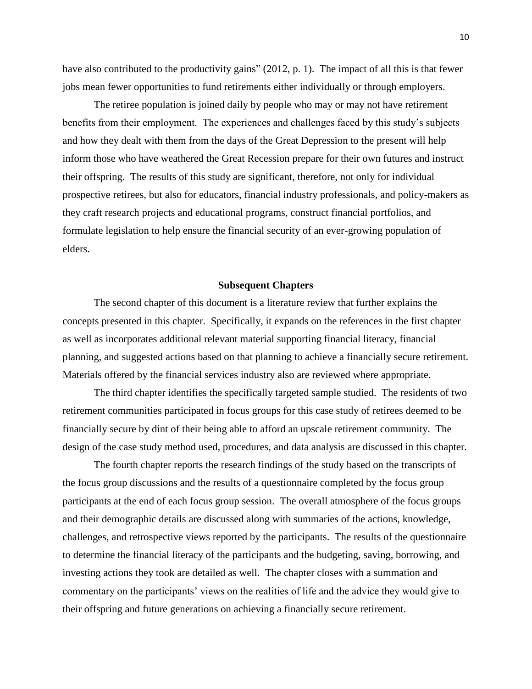have also contributed to the productivity gains" (2012, p. 1). The impact of all this is that fewer jobs mean fewer opportunities to fund retirements either individually or through employers.

The retiree population is joined daily by people who may or may not have retirement benefits from their employment. The experiences and challenges faced by this study's subjects and how they dealt with them from the days of the Great Depression to the present will help inform those who have weathered the Great Recession prepare for their own futures and instruct their offspring. The results of this study are significant, therefore, not only for individual prospective retirees, but also for educators, financial industry professionals, and policy-makers as they craft research projects and educational programs, construct financial portfolios, and formulate legislation to help ensure the financial security of an ever-growing population of elders.

#### **Subsequent Chapters**

The second chapter of this document is a literature review that further explains the concepts presented in this chapter. Specifically, it expands on the references in the first chapter as well as incorporates additional relevant material supporting financial literacy, financial planning, and suggested actions based on that planning to achieve a financially secure retirement. Materials offered by the financial services industry also are reviewed where appropriate.

The third chapter identifies the specifically targeted sample studied. The residents of two retirement communities participated in focus groups for this case study of retirees deemed to be financially secure by dint of their being able to afford an upscale retirement community. The design of the case study method used, procedures, and data analysis are discussed in this chapter.

The fourth chapter reports the research findings of the study based on the transcripts of the focus group discussions and the results of a questionnaire completed by the focus group participants at the end of each focus group session. The overall atmosphere of the focus groups and their demographic details are discussed along with summaries of the actions, knowledge, challenges, and retrospective views reported by the participants. The results of the questionnaire to determine the financial literacy of the participants and the budgeting, saving, borrowing, and investing actions they took are detailed as well. The chapter closes with a summation and commentary on the participants' views on the realities of life and the advice they would give to their offspring and future generations on achieving a financially secure retirement.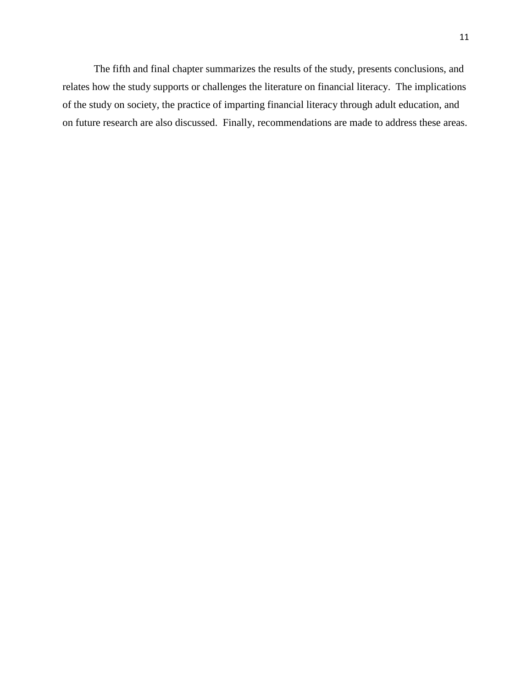The fifth and final chapter summarizes the results of the study, presents conclusions, and relates how the study supports or challenges the literature on financial literacy. The implications of the study on society, the practice of imparting financial literacy through adult education, and on future research are also discussed. Finally, recommendations are made to address these areas.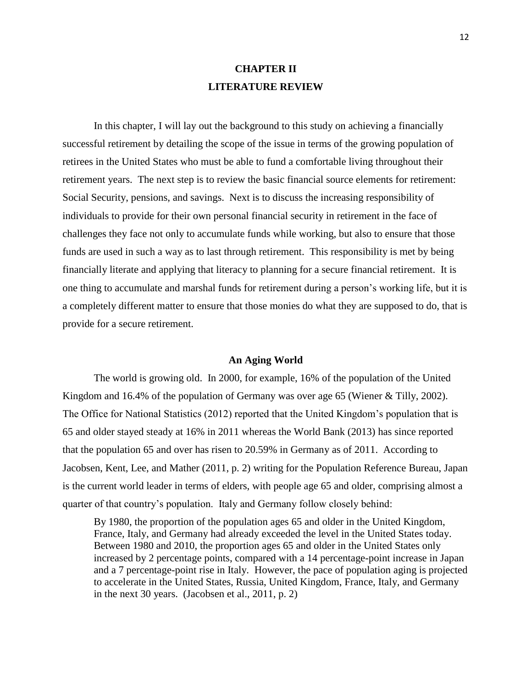# **CHAPTER II LITERATURE REVIEW**

In this chapter, I will lay out the background to this study on achieving a financially successful retirement by detailing the scope of the issue in terms of the growing population of retirees in the United States who must be able to fund a comfortable living throughout their retirement years. The next step is to review the basic financial source elements for retirement: Social Security, pensions, and savings. Next is to discuss the increasing responsibility of individuals to provide for their own personal financial security in retirement in the face of challenges they face not only to accumulate funds while working, but also to ensure that those funds are used in such a way as to last through retirement. This responsibility is met by being financially literate and applying that literacy to planning for a secure financial retirement. It is one thing to accumulate and marshal funds for retirement during a person's working life, but it is a completely different matter to ensure that those monies do what they are supposed to do, that is provide for a secure retirement.

#### **An Aging World**

The world is growing old. In 2000, for example, 16% of the population of the United Kingdom and 16.4% of the population of Germany was over age 65 (Wiener & Tilly, 2002). The Office for National Statistics (2012) reported that the United Kingdom's population that is 65 and older stayed steady at 16% in 2011 whereas the World Bank (2013) has since reported that the population 65 and over has risen to 20.59% in Germany as of 2011. According to Jacobsen, Kent, Lee, and Mather (2011, p. 2) writing for the Population Reference Bureau, Japan is the current world leader in terms of elders, with people age 65 and older, comprising almost a quarter of that country's population. Italy and Germany follow closely behind:

By 1980, the proportion of the population ages 65 and older in the United Kingdom, France, Italy, and Germany had already exceeded the level in the United States today. Between 1980 and 2010, the proportion ages 65 and older in the United States only increased by 2 percentage points, compared with a 14 percentage-point increase in Japan and a 7 percentage-point rise in Italy. However, the pace of population aging is projected to accelerate in the United States, Russia, United Kingdom, France, Italy, and Germany in the next 30 years. (Jacobsen et al., 2011, p. 2)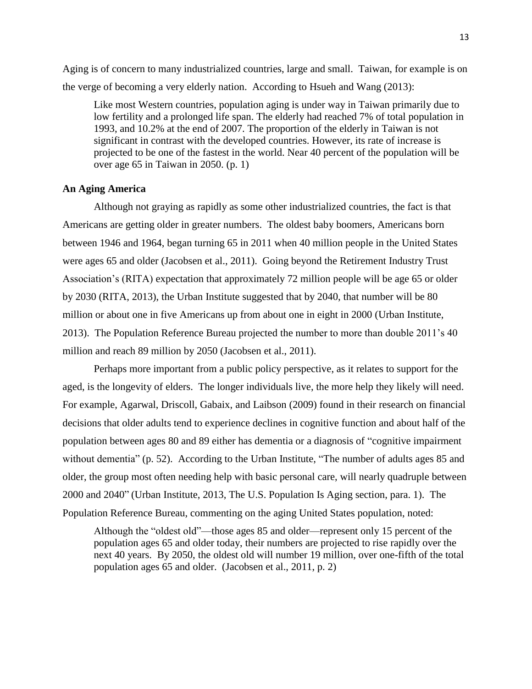Aging is of concern to many industrialized countries, large and small. Taiwan, for example is on the verge of becoming a very elderly nation. According to Hsueh and Wang (2013):

Like most Western countries, population aging is under way in Taiwan primarily due to low fertility and a prolonged life span. The elderly had reached 7% of total population in 1993, and 10.2% at the end of 2007. The proportion of the elderly in Taiwan is not significant in contrast with the developed countries. However, its rate of increase is projected to be one of the fastest in the world. Near 40 percent of the population will be over age 65 in Taiwan in 2050. (p. 1)

# **An Aging America**

Although not graying as rapidly as some other industrialized countries, the fact is that Americans are getting older in greater numbers.The oldest baby boomers, Americans born between 1946 and 1964, began turning 65 in 2011 when 40 million people in the United States were ages 65 and older (Jacobsen et al., 2011). Going beyond the Retirement Industry Trust Association's (RITA) expectation that approximately 72 million people will be age 65 or older by 2030 (RITA, 2013), the Urban Institute suggested that by 2040, that number will be 80 million or about one in five Americans up from about one in eight in 2000 (Urban Institute, 2013). The Population Reference Bureau projected the number to more than double 2011's 40 million and reach 89 million by 2050 (Jacobsen et al., 2011).

Perhaps more important from a public policy perspective, as it relates to support for the aged, is the longevity of elders. The longer individuals live, the more help they likely will need. For example, Agarwal, Driscoll, Gabaix, and Laibson (2009) found in their research on financial decisions that older adults tend to experience declines in cognitive function and about half of the population between ages 80 and 89 either has dementia or a diagnosis of "cognitive impairment without dementia" (p. 52). According to the Urban Institute, "The number of adults ages 85 and older, the group most often needing help with basic personal care, will nearly quadruple between 2000 and 2040" (Urban Institute, 2013, The U.S. Population Is Aging section, para. 1). The Population Reference Bureau, commenting on the aging United States population, noted:

Although the "oldest old"—those ages 85 and older—represent only 15 percent of the population ages 65 and older today, their numbers are projected to rise rapidly over the next 40 years. By 2050, the oldest old will number 19 million, over one-fifth of the total population ages 65 and older. (Jacobsen et al., 2011, p. 2)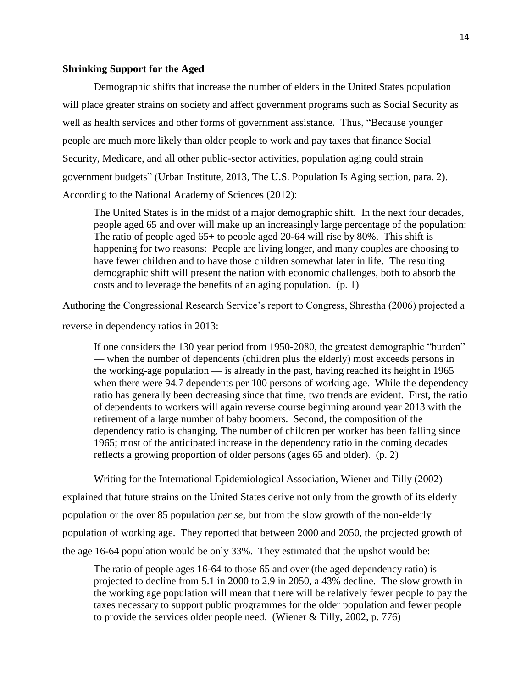# **Shrinking Support for the Aged**

Demographic shifts that increase the number of elders in the United States population will place greater strains on society and affect government programs such as Social Security as well as health services and other forms of government assistance. Thus, "Because younger people are much more likely than older people to work and pay taxes that finance Social Security, Medicare, and all other public-sector activities, population aging could strain government budgets" (Urban Institute, 2013, The U.S. Population Is Aging section, para. 2). According to the National Academy of Sciences (2012):

The United States is in the midst of a major demographic shift. In the next four decades, people aged 65 and over will make up an increasingly large percentage of the population: The ratio of people aged 65+ to people aged 20-64 will rise by 80%. This shift is happening for two reasons: People are living longer, and many couples are choosing to have fewer children and to have those children somewhat later in life. The resulting demographic shift will present the nation with economic challenges, both to absorb the costs and to leverage the benefits of an aging population. (p. 1)

Authoring the Congressional Research Service's report to Congress, Shrestha (2006) projected a

reverse in dependency ratios in 2013:

If one considers the 130 year period from 1950-2080, the greatest demographic "burden" — when the number of dependents (children plus the elderly) most exceeds persons in the working-age population — is already in the past, having reached its height in 1965 when there were 94.7 dependents per 100 persons of working age. While the dependency ratio has generally been decreasing since that time, two trends are evident. First, the ratio of dependents to workers will again reverse course beginning around year 2013 with the retirement of a large number of baby boomers. Second, the composition of the dependency ratio is changing. The number of children per worker has been falling since 1965; most of the anticipated increase in the dependency ratio in the coming decades reflects a growing proportion of older persons (ages 65 and older). (p. 2)

Writing for the International Epidemiological Association, Wiener and Tilly (2002)

explained that future strains on the United States derive not only from the growth of its elderly population or the over 85 population *per se*, but from the slow growth of the non-elderly population of working age. They reported that between 2000 and 2050, the projected growth of the age 16-64 population would be only 33%. They estimated that the upshot would be:

The ratio of people ages 16-64 to those 65 and over (the aged dependency ratio) is projected to decline from 5.1 in 2000 to 2.9 in 2050, a 43% decline. The slow growth in the working age population will mean that there will be relatively fewer people to pay the taxes necessary to support public programmes for the older population and fewer people to provide the services older people need. (Wiener & Tilly, 2002, p. 776)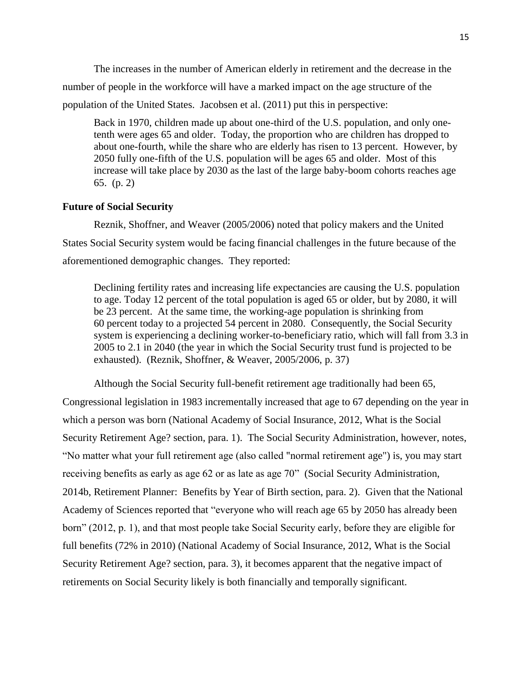The increases in the number of American elderly in retirement and the decrease in the number of people in the workforce will have a marked impact on the age structure of the population of the United States. Jacobsen et al. (2011) put this in perspective:

Back in 1970, children made up about one-third of the U.S. population, and only onetenth were ages 65 and older. Today, the proportion who are children has dropped to about one-fourth, while the share who are elderly has risen to 13 percent. However, by 2050 fully one-fifth of the U.S. population will be ages 65 and older. Most of this increase will take place by 2030 as the last of the large baby-boom cohorts reaches age 65. (p. 2)

### **Future of Social Security**

Reznik, Shoffner, and Weaver (2005/2006) noted that policy makers and the United States Social Security system would be facing financial challenges in the future because of the aforementioned demographic changes. They reported:

Declining fertility rates and increasing life expectancies are causing the U.S. population to age. Today 12 percent of the total population is aged 65 or older, but by 2080, it will be 23 percent. At the same time, the working-age population is shrinking from 60 percent today to a projected 54 percent in 2080. Consequently, the Social Security system is experiencing a declining worker-to-beneficiary ratio, which will fall from 3.3 in 2005 to 2.1 in 2040 (the year in which the Social Security trust fund is projected to be exhausted). (Reznik, Shoffner, & Weaver, 2005/2006, p. 37)

Although the Social Security full-benefit retirement age traditionally had been 65, Congressional legislation in 1983 incrementally increased that age to 67 depending on the year in which a person was born (National Academy of Social Insurance, 2012, What is the Social Security Retirement Age? section, para. 1). The Social Security Administration, however, notes, "No matter what your full retirement age (also called "normal retirement age") is, you may start receiving benefits as early as age 62 or as late as age 70" (Social Security Administration, 2014b, Retirement Planner: Benefits by Year of Birth section, para. 2). Given that the National Academy of Sciences reported that "everyone who will reach age 65 by 2050 has already been born" (2012, p. 1), and that most people take Social Security early, before they are eligible for full benefits (72% in 2010) (National Academy of Social Insurance, 2012, What is the Social Security Retirement Age? section, para. 3), it becomes apparent that the negative impact of retirements on Social Security likely is both financially and temporally significant.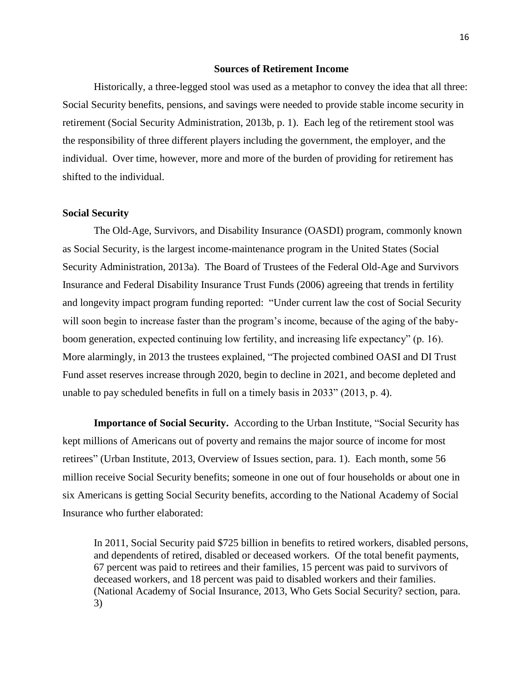## **Sources of Retirement Income**

Historically, a three-legged stool was used as a metaphor to convey the idea that all three: Social Security benefits, pensions, and savings were needed to provide stable income security in retirement (Social Security Administration, 2013b, p. 1). Each leg of the retirement stool was the responsibility of three different players including the government, the employer, and the individual. Over time, however, more and more of the burden of providing for retirement has shifted to the individual.

# **Social Security**

The Old-Age, Survivors, and Disability Insurance (OASDI) program, commonly known as Social Security, is the largest income-maintenance program in the United States (Social Security Administration, 2013a). The Board of Trustees of the Federal Old-Age and Survivors Insurance and Federal Disability Insurance Trust Funds (2006) agreeing that trends in fertility and longevity impact program funding reported: "Under current law the cost of Social Security will soon begin to increase faster than the program's income, because of the aging of the babyboom generation, expected continuing low fertility, and increasing life expectancy" (p. 16). More alarmingly, in 2013 the trustees explained, "The projected combined OASI and DI Trust Fund asset reserves increase through 2020, begin to decline in 2021, and become depleted and unable to pay scheduled benefits in full on a timely basis in 2033" (2013, p. 4).

**Importance of Social Security.** According to the Urban Institute, "Social Security has kept millions of Americans out of poverty and remains the major source of income for most retirees" (Urban Institute, 2013, Overview of Issues section, para. 1). Each month, some 56 million receive Social Security benefits; someone in one out of four households or about one in six Americans is getting Social Security benefits, according to the National Academy of Social Insurance who further elaborated:

In 2011, Social Security paid \$725 billion in benefits to retired workers, disabled persons, and dependents of retired, disabled or deceased workers. Of the total benefit payments, 67 percent was paid to retirees and their families, 15 percent was paid to survivors of deceased workers, and 18 percent was paid to disabled workers and their families. (National Academy of Social Insurance, 2013, Who Gets Social Security? section, para. 3)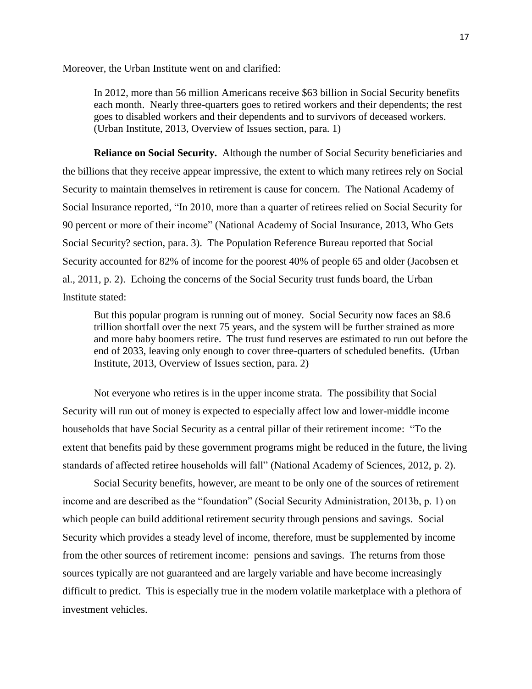Moreover, the Urban Institute went on and clarified:

In 2012, more than 56 million Americans receive \$63 billion in Social Security benefits each month. Nearly three-quarters goes to retired workers and their dependents; the rest goes to disabled workers and their dependents and to survivors of deceased workers. (Urban Institute, 2013, Overview of Issues section, para. 1)

**Reliance on Social Security.** Although the number of Social Security beneficiaries and the billions that they receive appear impressive, the extent to which many retirees rely on Social Security to maintain themselves in retirement is cause for concern. The National Academy of Social Insurance reported, "In 2010, more than a quarter of retirees relied on Social Security for 90 percent or more of their income" (National Academy of Social Insurance, 2013, Who Gets Social Security? section, para. 3). The Population Reference Bureau reported that Social Security accounted for 82% of income for the poorest 40% of people 65 and older (Jacobsen et al., 2011, p. 2). Echoing the concerns of the Social Security trust funds board, the Urban Institute stated:

But this popular program is running out of money. Social Security now faces an \$8.6 trillion shortfall over the next 75 years, and the system will be further strained as more and more baby boomers retire. The trust fund reserves are estimated to run out before the end of 2033, leaving only enough to cover three-quarters of scheduled benefits. (Urban Institute, 2013, Overview of Issues section, para. 2)

Not everyone who retires is in the upper income strata. The possibility that Social Security will run out of money is expected to especially affect low and lower-middle income households that have Social Security as a central pillar of their retirement income: "To the extent that benefits paid by these government programs might be reduced in the future, the living standards of affected retiree households will fall" (National Academy of Sciences, 2012, p. 2).

Social Security benefits, however, are meant to be only one of the sources of retirement income and are described as the "foundation" (Social Security Administration, 2013b, p. 1) on which people can build additional retirement security through pensions and savings. Social Security which provides a steady level of income, therefore, must be supplemented by income from the other sources of retirement income: pensions and savings. The returns from those sources typically are not guaranteed and are largely variable and have become increasingly difficult to predict. This is especially true in the modern volatile marketplace with a plethora of investment vehicles.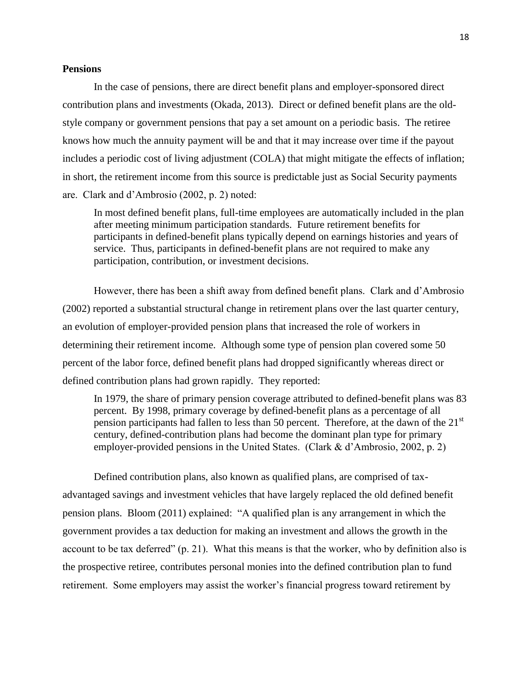#### **Pensions**

In the case of pensions, there are direct benefit plans and employer-sponsored direct contribution plans and investments (Okada, 2013). Direct or defined benefit plans are the oldstyle company or government pensions that pay a set amount on a periodic basis. The retiree knows how much the annuity payment will be and that it may increase over time if the payout includes a periodic cost of living adjustment (COLA) that might mitigate the effects of inflation; in short, the retirement income from this source is predictable just as Social Security payments are. Clark and d'Ambrosio (2002, p. 2) noted:

In most defined benefit plans, full-time employees are automatically included in the plan after meeting minimum participation standards. Future retirement benefits for participants in defined-benefit plans typically depend on earnings histories and years of service. Thus, participants in defined-benefit plans are not required to make any participation, contribution, or investment decisions.

However, there has been a shift away from defined benefit plans. Clark and d'Ambrosio (2002) reported a substantial structural change in retirement plans over the last quarter century, an evolution of employer-provided pension plans that increased the role of workers in determining their retirement income. Although some type of pension plan covered some 50 percent of the labor force, defined benefit plans had dropped significantly whereas direct or defined contribution plans had grown rapidly. They reported:

In 1979, the share of primary pension coverage attributed to defined-benefit plans was 83 percent. By 1998, primary coverage by defined-benefit plans as a percentage of all pension participants had fallen to less than 50 percent. Therefore, at the dawn of the  $21<sup>st</sup>$ century, defined-contribution plans had become the dominant plan type for primary employer-provided pensions in the United States. (Clark & d'Ambrosio, 2002, p. 2)

Defined contribution plans, also known as qualified plans, are comprised of taxadvantaged savings and investment vehicles that have largely replaced the old defined benefit pension plans. Bloom (2011) explained: "A qualified plan is any arrangement in which the government provides a tax deduction for making an investment and allows the growth in the account to be tax deferred" (p. 21). What this means is that the worker, who by definition also is the prospective retiree, contributes personal monies into the defined contribution plan to fund retirement. Some employers may assist the worker's financial progress toward retirement by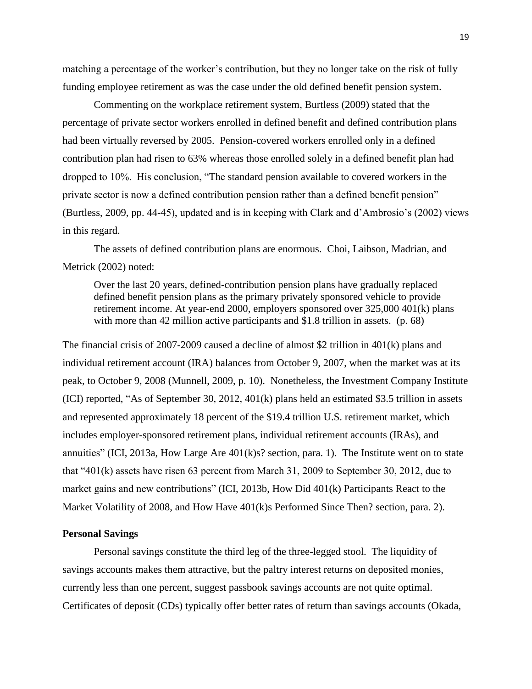matching a percentage of the worker's contribution, but they no longer take on the risk of fully funding employee retirement as was the case under the old defined benefit pension system.

Commenting on the workplace retirement system, Burtless (2009) stated that the percentage of private sector workers enrolled in defined benefit and defined contribution plans had been virtually reversed by 2005. Pension-covered workers enrolled only in a defined contribution plan had risen to 63% whereas those enrolled solely in a defined benefit plan had dropped to 10%. His conclusion, "The standard pension available to covered workers in the private sector is now a defined contribution pension rather than a defined benefit pension" (Burtless, 2009, pp. 44-45), updated and is in keeping with Clark and d'Ambrosio's (2002) views in this regard.

The assets of defined contribution plans are enormous. Choi, Laibson, Madrian, and Metrick (2002) noted:

Over the last 20 years, defined-contribution pension plans have gradually replaced defined benefit pension plans as the primary privately sponsored vehicle to provide retirement income. At year-end 2000, employers sponsored over 325,000 401(k) plans with more than 42 million active participants and \$1.8 trillion in assets. (p. 68)

The financial crisis of 2007-2009 caused a decline of almost \$2 trillion in 401(k) plans and individual retirement account (IRA) balances from October 9, 2007, when the market was at its peak, to October 9, 2008 (Munnell, 2009, p. 10). Nonetheless, the Investment Company Institute (ICI) reported, "As of September 30, 2012, 401(k) plans held an estimated \$3.5 trillion in assets and represented approximately 18 percent of the \$19.4 trillion U.S. retirement market, which includes employer-sponsored retirement plans, individual retirement accounts (IRAs), and annuities" (ICI, 2013a, How Large Are 401(k)s? section, para. 1). The Institute went on to state that "401(k) assets have risen 63 percent from March 31, 2009 to September 30, 2012, due to market gains and new contributions" (ICI, 2013b, How Did 401(k) Participants React to the Market Volatility of 2008, and How Have 401(k)s Performed Since Then? section, para. 2).

### **Personal Savings**

Personal savings constitute the third leg of the three-legged stool. The liquidity of savings accounts makes them attractive, but the paltry interest returns on deposited monies, currently less than one percent, suggest passbook savings accounts are not quite optimal. Certificates of deposit (CDs) typically offer better rates of return than savings accounts (Okada,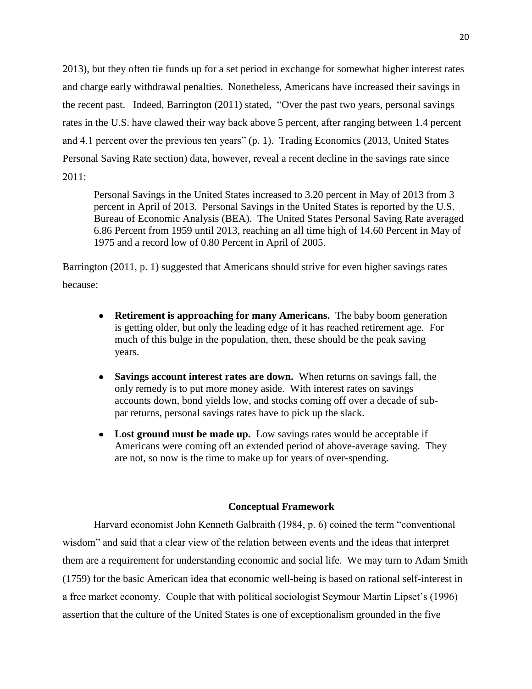2013), but they often tie funds up for a set period in exchange for somewhat higher interest rates and charge early withdrawal penalties. Nonetheless, Americans have increased their savings in the recent past. Indeed, Barrington (2011) stated, "Over the past two years, personal savings rates in the U.S. have clawed their way back above 5 percent, after ranging between 1.4 percent and 4.1 percent over the previous ten years" (p. 1). Trading Economics (2013, United States Personal Saving Rate section) data, however, reveal a recent decline in the savings rate since 2011:

Personal Savings in the United States increased to 3.20 percent in May of 2013 from 3 percent in April of 2013. Personal Savings in the United States is reported by the U.S. Bureau of Economic Analysis (BEA). The United States Personal Saving Rate averaged 6.86 Percent from 1959 until 2013, reaching an all time high of 14.60 Percent in May of 1975 and a record low of 0.80 Percent in April of 2005.

Barrington (2011, p. 1) suggested that Americans should strive for even higher savings rates because:

- **Retirement is approaching for many Americans.** The baby boom generation is getting older, but only the leading edge of it has reached retirement age. For much of this bulge in the population, then, these should be the peak saving years.
- **Savings account interest rates are down.** When returns on savings fall, the only remedy is to put more money aside. With interest rates on savings accounts down, bond yields low, and stocks coming off over a decade of subpar returns, personal savings rates have to pick up the slack.
- **Lost ground must be made up.** Low savings rates would be acceptable if Americans were coming off an extended period of above-average saving. They are not, so now is the time to make up for years of over-spending.

# **Conceptual Framework**

Harvard economist John Kenneth Galbraith (1984, p. 6) coined the term "conventional wisdom" and said that a clear view of the relation between events and the ideas that interpret them are a requirement for understanding economic and social life. We may turn to Adam Smith (1759) for the basic American idea that economic well-being is based on rational self-interest in a free market economy. Couple that with political sociologist Seymour Martin Lipset's (1996) assertion that the culture of the United States is one of exceptionalism grounded in the five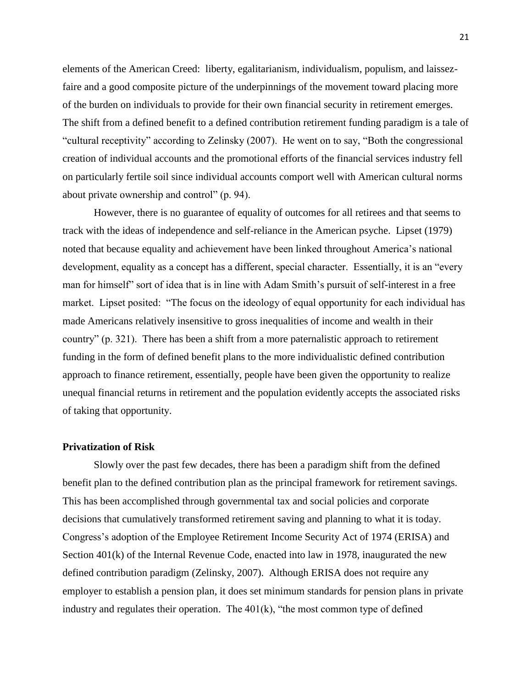elements of the American Creed: liberty, egalitarianism, individualism, populism, and laissezfaire and a good composite picture of the underpinnings of the movement toward placing more of the burden on individuals to provide for their own financial security in retirement emerges. The shift from a defined benefit to a defined contribution retirement funding paradigm is a tale of "cultural receptivity" according to Zelinsky (2007). He went on to say, "Both the congressional creation of individual accounts and the promotional efforts of the financial services industry fell on particularly fertile soil since individual accounts comport well with American cultural norms about private ownership and control" (p. 94).

However, there is no guarantee of equality of outcomes for all retirees and that seems to track with the ideas of independence and self-reliance in the American psyche. Lipset (1979) noted that because equality and achievement have been linked throughout America's national development, equality as a concept has a different, special character. Essentially, it is an "every man for himself" sort of idea that is in line with Adam Smith's pursuit of self-interest in a free market. Lipset posited: "The focus on the ideology of equal opportunity for each individual has made Americans relatively insensitive to gross inequalities of income and wealth in their country" (p. 321). There has been a shift from a more paternalistic approach to retirement funding in the form of defined benefit plans to the more individualistic defined contribution approach to finance retirement, essentially, people have been given the opportunity to realize unequal financial returns in retirement and the population evidently accepts the associated risks of taking that opportunity.

# **Privatization of Risk**

Slowly over the past few decades, there has been a paradigm shift from the defined benefit plan to the defined contribution plan as the principal framework for retirement savings. This has been accomplished through governmental tax and social policies and corporate decisions that cumulatively transformed retirement saving and planning to what it is today. Congress's adoption of the Employee Retirement Income Security Act of 1974 (ERISA) and Section 401(k) of the Internal Revenue Code, enacted into law in 1978, inaugurated the new defined contribution paradigm (Zelinsky, 2007). Although ERISA does not require any employer to establish a pension plan, it does set minimum standards for pension plans in private industry and regulates their operation. The  $401(k)$ , "the most common type of defined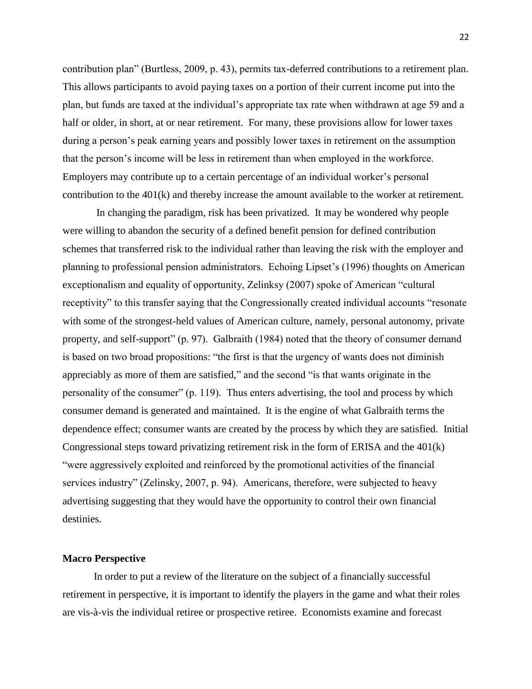contribution plan" (Burtless, 2009, p. 43), permits tax-deferred contributions to a retirement plan. This allows participants to avoid paying taxes on a portion of their current income put into the plan, but funds are taxed at the individual's appropriate tax rate when withdrawn at age 59 and a half or older, in short, at or near retirement. For many, these provisions allow for lower taxes during a person's peak earning years and possibly lower taxes in retirement on the assumption that the person's income will be less in retirement than when employed in the workforce. Employers may contribute up to a certain percentage of an individual worker's personal contribution to the 401(k) and thereby increase the amount available to the worker at retirement.

In changing the paradigm, risk has been privatized. It may be wondered why people were willing to abandon the security of a defined benefit pension for defined contribution schemes that transferred risk to the individual rather than leaving the risk with the employer and planning to professional pension administrators. Echoing Lipset's (1996) thoughts on American exceptionalism and equality of opportunity, Zelinksy (2007) spoke of American "cultural receptivity" to this transfer saying that the Congressionally created individual accounts "resonate with some of the strongest-held values of American culture, namely, personal autonomy, private property, and self-support" (p. 97). Galbraith (1984) noted that the theory of consumer demand is based on two broad propositions: "the first is that the urgency of wants does not diminish appreciably as more of them are satisfied," and the second "is that wants originate in the personality of the consumer" (p. 119). Thus enters advertising, the tool and process by which consumer demand is generated and maintained. It is the engine of what Galbraith terms the dependence effect; consumer wants are created by the process by which they are satisfied. Initial Congressional steps toward privatizing retirement risk in the form of ERISA and the 401(k) "were aggressively exploited and reinforced by the promotional activities of the financial services industry" (Zelinsky, 2007, p. 94). Americans, therefore, were subjected to heavy advertising suggesting that they would have the opportunity to control their own financial destinies.

#### **Macro Perspective**

In order to put a review of the literature on the subject of a financially successful retirement in perspective, it is important to identify the players in the game and what their roles are vis-à-vis the individual retiree or prospective retiree. Economists examine and forecast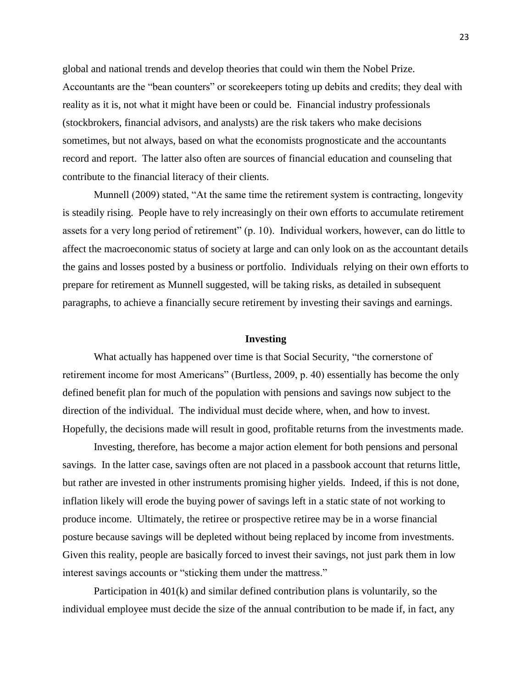global and national trends and develop theories that could win them the Nobel Prize. Accountants are the "bean counters" or scorekeepers toting up debits and credits; they deal with reality as it is, not what it might have been or could be. Financial industry professionals (stockbrokers, financial advisors, and analysts) are the risk takers who make decisions sometimes, but not always, based on what the economists prognosticate and the accountants record and report. The latter also often are sources of financial education and counseling that contribute to the financial literacy of their clients.

Munnell (2009) stated, "At the same time the retirement system is contracting, longevity is steadily rising. People have to rely increasingly on their own efforts to accumulate retirement assets for a very long period of retirement" (p. 10). Individual workers, however, can do little to affect the macroeconomic status of society at large and can only look on as the accountant details the gains and losses posted by a business or portfolio. Individuals relying on their own efforts to prepare for retirement as Munnell suggested, will be taking risks, as detailed in subsequent paragraphs, to achieve a financially secure retirement by investing their savings and earnings.

#### **Investing**

What actually has happened over time is that Social Security, "the cornerstone of retirement income for most Americans" (Burtless, 2009, p. 40) essentially has become the only defined benefit plan for much of the population with pensions and savings now subject to the direction of the individual. The individual must decide where, when, and how to invest. Hopefully, the decisions made will result in good, profitable returns from the investments made.

Investing, therefore, has become a major action element for both pensions and personal savings. In the latter case, savings often are not placed in a passbook account that returns little, but rather are invested in other instruments promising higher yields. Indeed, if this is not done, inflation likely will erode the buying power of savings left in a static state of not working to produce income. Ultimately, the retiree or prospective retiree may be in a worse financial posture because savings will be depleted without being replaced by income from investments. Given this reality, people are basically forced to invest their savings, not just park them in low interest savings accounts or "sticking them under the mattress."

Participation in 401(k) and similar defined contribution plans is voluntarily, so the individual employee must decide the size of the annual contribution to be made if, in fact, any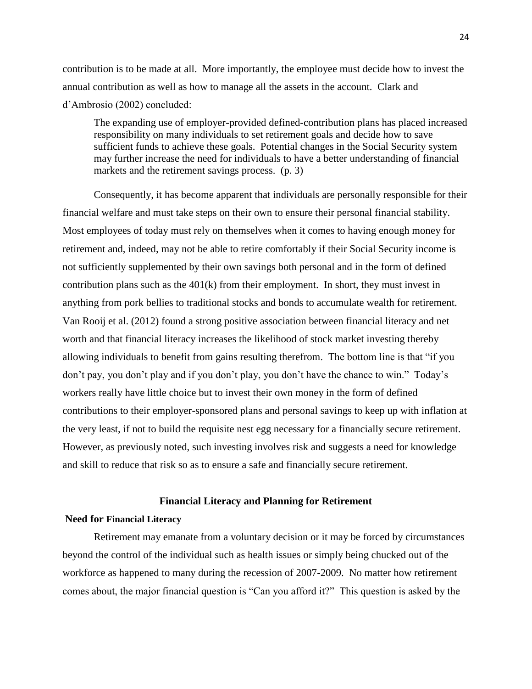contribution is to be made at all. More importantly, the employee must decide how to invest the annual contribution as well as how to manage all the assets in the account. Clark and d'Ambrosio (2002) concluded:

The expanding use of employer-provided defined-contribution plans has placed increased responsibility on many individuals to set retirement goals and decide how to save sufficient funds to achieve these goals. Potential changes in the Social Security system may further increase the need for individuals to have a better understanding of financial markets and the retirement savings process.  $(p, 3)$ 

Consequently, it has become apparent that individuals are personally responsible for their financial welfare and must take steps on their own to ensure their personal financial stability. Most employees of today must rely on themselves when it comes to having enough money for retirement and, indeed, may not be able to retire comfortably if their Social Security income is not sufficiently supplemented by their own savings both personal and in the form of defined contribution plans such as the 401(k) from their employment. In short, they must invest in anything from pork bellies to traditional stocks and bonds to accumulate wealth for retirement. Van Rooij et al. (2012) found a strong positive association between financial literacy and net worth and that financial literacy increases the likelihood of stock market investing thereby allowing individuals to benefit from gains resulting therefrom. The bottom line is that "if you don't pay, you don't play and if you don't play, you don't have the chance to win." Today's workers really have little choice but to invest their own money in the form of defined contributions to their employer-sponsored plans and personal savings to keep up with inflation at the very least, if not to build the requisite nest egg necessary for a financially secure retirement. However, as previously noted, such investing involves risk and suggests a need for knowledge and skill to reduce that risk so as to ensure a safe and financially secure retirement.

### **Financial Literacy and Planning for Retirement**

### **Need for Financial Literacy**

Retirement may emanate from a voluntary decision or it may be forced by circumstances beyond the control of the individual such as health issues or simply being chucked out of the workforce as happened to many during the recession of 2007-2009. No matter how retirement comes about, the major financial question is "Can you afford it?" This question is asked by the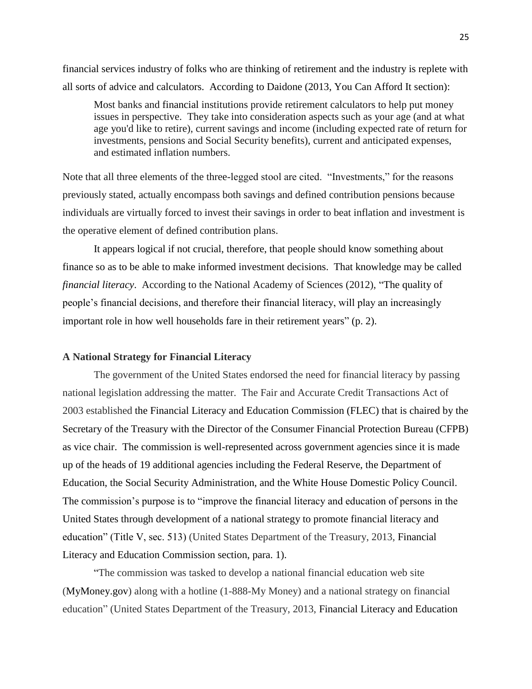financial services industry of folks who are thinking of retirement and the industry is replete with all sorts of advice and calculators. According to Daidone (2013, You Can Afford It section):

Most banks and [financial](http://www.investopedia.com/articles/retirement/10/signs-ready-to-retire.asp) institutions provide retirement calculators to help put money issues in perspective. They take into consideration aspects such as your age (and at what age you'd like to retire), current savings and income (including expected rate of return for investments, pensions and Social Security benefits), current and anticipated expenses, and estimated inflation numbers.

Note that all three elements of the three-legged stool are cited. "Investments," for the reasons previously stated, actually encompass both savings and defined contribution pensions because individuals are virtually forced to invest their savings in order to beat inflation and investment is the operative element of defined contribution plans.

It appears logical if not crucial, therefore, that people should know something about finance so as to be able to make informed investment decisions. That knowledge may be called *financial literacy*. According to the National Academy of Sciences (2012), "The quality of people's financial decisions, and therefore their financial literacy, will play an increasingly important role in how well households fare in their retirement years" (p. 2).

#### **A National Strategy for Financial Literacy**

The government of the United States endorsed the need for financial literacy by passing national legislation addressing the matter.The Fair and Accurate Credit Transactions Act of 2003 established the Financial Literacy and Education Commission (FLEC) that is chaired by the Secretary of the Treasury with the Director of the Consumer Financial Protection Bureau (CFPB) as vice chair. The commission is well-represented across government agencies since it is made up of the heads of 19 additional agencies including the Federal Reserve, the Department of Education, the Social Security Administration, and the White House Domestic Policy Council. The commission's purpose is to "improve the financial literacy and education of persons in the United States through development of a national strategy to promote financial literacy and education" (Title V, sec. 513) (United States Department of the Treasury, 2013, Financial Literacy and Education Commission section, para. 1).

"The commission was tasked to develop a national financial education web site [\(MyMoney.gov\)](http://www.mymoney.gov/) along with a hotline (1-888-My Money) and a national strategy on financial education" (United States Department of the Treasury, 2013, Financial Literacy and Education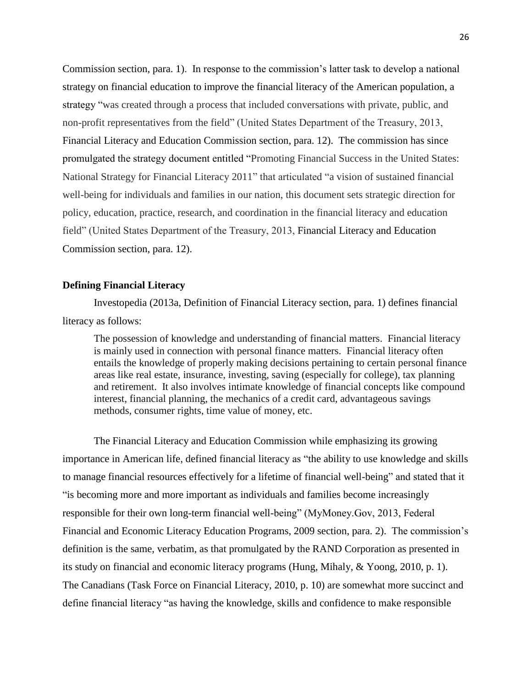Commission section, para. 1). In response to the commission's latter task to develop a national strategy on financial education to improve the financial literacy of the American population, a strategy "was created through a process that included conversations with private, public, and non-profit representatives from the field" (United States Department of the Treasury, 2013, Financial Literacy and Education Commission section, para. 12). The commission has since promulgated the strategy document entitled "Promoting Financial Success in the United States: National Strategy for Financial Literacy 2011" that articulated "a vision of sustained financial well-being for individuals and families in our nation, this document sets strategic direction for policy, education, practice, research, and coordination in the financial literacy and education field" (United States Department of the Treasury, 2013, Financial Literacy and Education Commission section, para. 12).

# **Defining Financial Literacy**

Investopedia (2013a, Definition of Financial Literacy section, para. 1) defines financial literacy as follows:

The possession of knowledge and understanding of financial matters. Financial literacy is mainly used in connection with personal finance matters. Financial literacy often entails the knowledge of properly making decisions pertaining to certain personal finance areas like real estate, insurance, investing, saving (especially for college), tax planning and retirement. It also involves intimate knowledge of financial concepts like compound interest, financial planning, the mechanics of a credit card, advantageous savings methods, consumer rights, time value of money, etc.

The Financial Literacy and Education Commission while emphasizing its growing importance in American life, defined financial literacy as "the ability to use knowledge and skills to manage financial resources effectively for a lifetime of financial well-being" and stated that it "is becoming more and more important as individuals and families become increasingly responsible for their own long-term financial well-being" (MyMoney.Gov, 2013, Federal Financial and Economic Literacy Education Programs, 2009 section, para. 2). The commission's definition is the same, verbatim, as that promulgated by the RAND Corporation as presented in its study on financial and economic literacy programs (Hung, Mihaly, & Yoong, 2010, p. 1). The Canadians (Task Force on Financial Literacy, 2010, p. 10) are somewhat more succinct and define financial literacy "as having the knowledge, skills and confidence to make responsible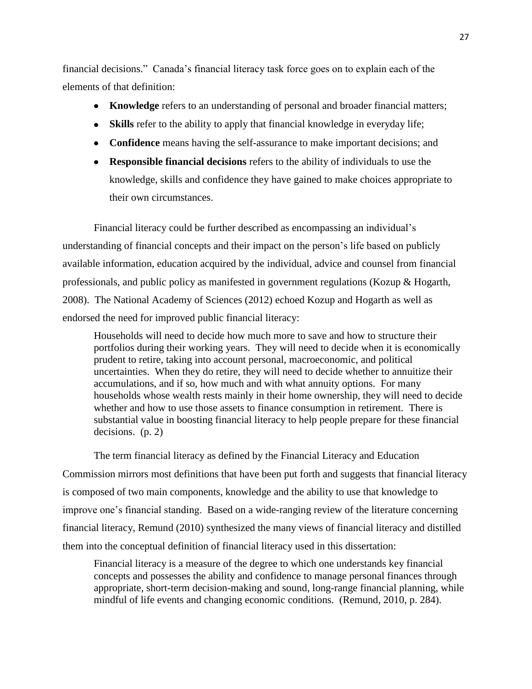financial decisions." Canada's financial literacy task force goes on to explain each of the elements of that definition:

- **Knowledge** refers to an understanding of personal and broader financial matters;
- **Skills** refer to the ability to apply that financial knowledge in everyday life;
- **Confidence** means having the self-assurance to make important decisions; and
- **Responsible financial decisions** refers to the ability of individuals to use the knowledge, skills and confidence they have gained to make choices appropriate to their own circumstances.

Financial literacy could be further described as encompassing an individual's understanding of financial concepts and their impact on the person's life based on publicly available information, education acquired by the individual, advice and counsel from financial professionals, and public policy as manifested in government regulations (Kozup & Hogarth, 2008). The National Academy of Sciences (2012) echoed Kozup and Hogarth as well as endorsed the need for improved public financial literacy:

Households will need to decide how much more to save and how to structure their portfolios during their working years. They will need to decide when it is economically prudent to retire, taking into account personal, macroeconomic, and political uncertainties. When they do retire, they will need to decide whether to annuitize their accumulations, and if so, how much and with what annuity options. For many households whose wealth rests mainly in their home ownership, they will need to decide whether and how to use those assets to finance consumption in retirement. There is substantial value in boosting financial literacy to help people prepare for these financial decisions. (p. 2)

The term financial literacy as defined by the Financial Literacy and Education Commission mirrors most definitions that have been put forth and suggests that financial literacy is composed of two main components, knowledge and the ability to use that knowledge to improve one's financial standing. Based on a wide-ranging review of the literature concerning financial literacy, Remund (2010) synthesized the many views of financial literacy and distilled them into the conceptual definition of financial literacy used in this dissertation:

Financial literacy is a measure of the degree to which one understands key financial concepts and possesses the ability and confidence to manage personal finances through appropriate, short-term decision-making and sound, long-range financial planning, while mindful of life events and changing economic conditions. (Remund, 2010, p. 284).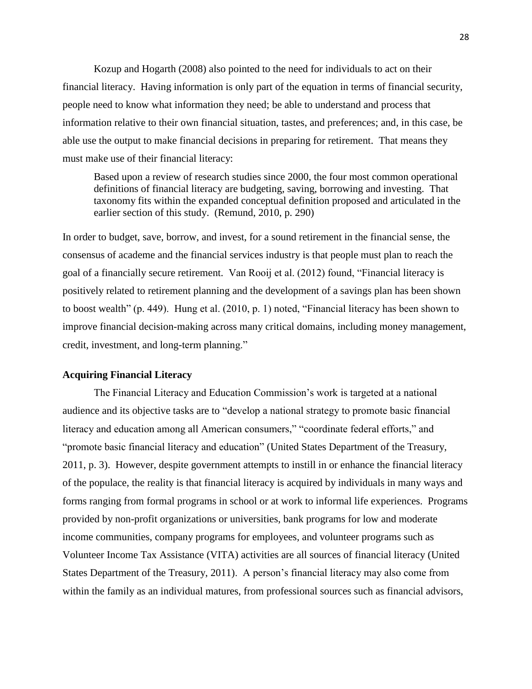Kozup and Hogarth (2008) also pointed to the need for individuals to act on their financial literacy. Having information is only part of the equation in terms of financial security, people need to know what information they need; be able to understand and process that information relative to their own financial situation, tastes, and preferences; and, in this case, be able use the output to make financial decisions in preparing for retirement. That means they must make use of their financial literacy:

Based upon a review of research studies since 2000, the four most common operational definitions of financial literacy are budgeting, saving, borrowing and investing. That taxonomy fits within the expanded conceptual definition proposed and articulated in the earlier section of this study. (Remund, 2010, p. 290)

In order to budget, save, borrow, and invest, for a sound retirement in the financial sense, the consensus of academe and the financial services industry is that people must plan to reach the goal of a financially secure retirement. Van Rooij et al. (2012) found, "Financial literacy is positively related to retirement planning and the development of a savings plan has been shown to boost wealth" (p. 449). Hung et al. (2010, p. 1) noted, "Financial literacy has been shown to improve financial decision-making across many critical domains, including money management, credit, investment, and long-term planning."

# **Acquiring Financial Literacy**

The Financial Literacy and Education Commission's work is targeted at a national audience and its objective tasks are to "develop a national strategy to promote basic financial literacy and education among all American consumers," "coordinate federal efforts," and "promote basic financial literacy and education" (United States Department of the Treasury, 2011, p. 3). However, despite government attempts to instill in or enhance the financial literacy of the populace, the reality is that financial literacy is acquired by individuals in many ways and forms ranging from formal programs in school or at work to informal life experiences. Programs provided by non-profit organizations or universities, bank programs for low and moderate income communities, company programs for employees, and volunteer programs such as Volunteer Income Tax Assistance (VITA) activities are all sources of financial literacy (United States Department of the Treasury, 2011). A person's financial literacy may also come from within the family as an individual matures, from professional sources such as financial advisors,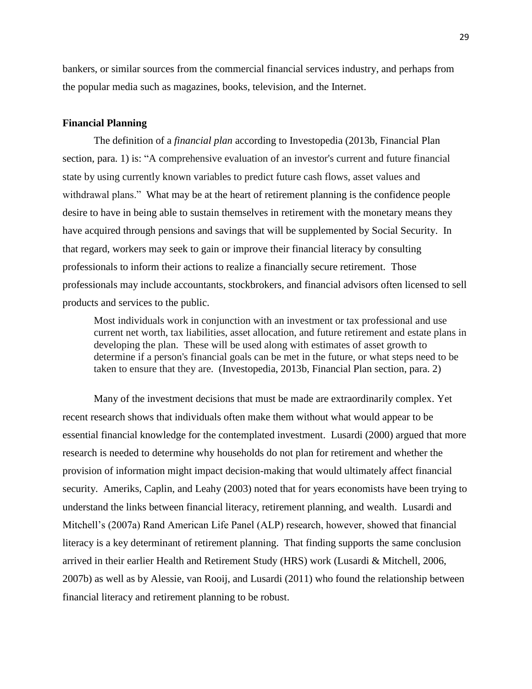bankers, or similar sources from the commercial financial services industry, and perhaps from the popular media such as magazines, books, television, and the Internet.

## **Financial Planning**

The definition of a *financial plan* according to Investopedia (2013b, Financial Plan section, para. 1) is: "A comprehensive evaluation of an investor's current and future financial state by using currently known variables to predict future cash flows, asset values and withdrawal plans." What may be at the heart of retirement planning is the confidence people desire to have in being able to sustain themselves in retirement with the monetary means they have acquired through pensions and savings that will be supplemented by Social Security. In that regard, workers may seek to gain or improve their financial literacy by consulting professionals to inform their actions to realize a financially secure retirement. Those professionals may include accountants, stockbrokers, and financial advisors often licensed to sell products and services to the public.

Most individuals work in conjunction with an investment or tax professional and use current net worth, tax liabilities, asset allocation, and future retirement and estate plans in developing the plan. These will be used along with estimates of asset growth to determine if a person's financial goals can be met in the future, or what steps need to be taken to ensure that they are. (Investopedia, 2013b, Financial Plan section, para. 2)

Many of the investment decisions that must be made are extraordinarily complex. Yet recent research shows that individuals often make them without what would appear to be essential financial knowledge for the contemplated investment. Lusardi (2000) argued that more research is needed to determine why households do not plan for retirement and whether the provision of information might impact decision-making that would ultimately affect financial security. Ameriks, Caplin, and Leahy (2003) noted that for years economists have been trying to understand the links between financial literacy, retirement planning, and wealth. Lusardi and Mitchell's (2007a) Rand American Life Panel (ALP) research, however, showed that financial literacy is a key determinant of retirement planning. That finding supports the same conclusion arrived in their earlier Health and Retirement Study (HRS) work (Lusardi & Mitchell, 2006, 2007b) as well as by Alessie, van Rooij, and Lusardi (2011) who found the relationship between financial literacy and retirement planning to be robust.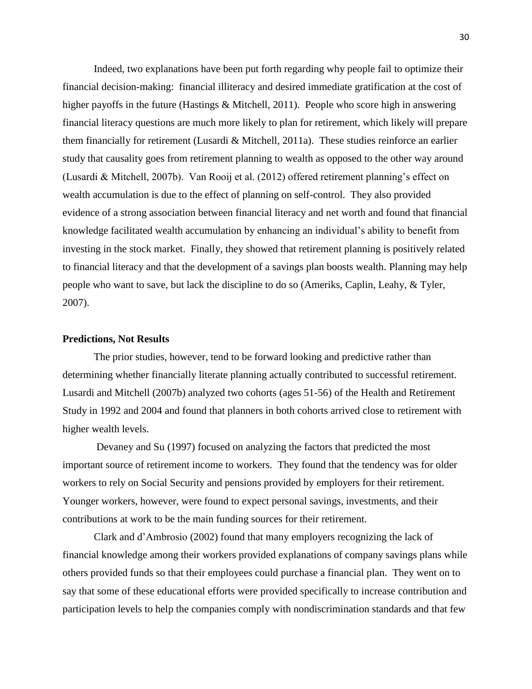Indeed, two explanations have been put forth regarding why people fail to optimize their financial decision-making: financial illiteracy and desired immediate gratification at the cost of higher payoffs in the future (Hastings & Mitchell, 2011). People who score high in answering financial literacy questions are much more likely to plan for retirement, which likely will prepare them financially for retirement (Lusardi & Mitchell, 2011a). These studies reinforce an earlier study that causality goes from retirement planning to wealth as opposed to the other way around (Lusardi & Mitchell, 2007b). Van Rooij et al. (2012) offered retirement planning's effect on wealth accumulation is due to the effect of planning on self-control. They also provided evidence of a strong association between financial literacy and net worth and found that financial knowledge facilitated wealth accumulation by enhancing an individual's ability to benefit from investing in the stock market. Finally, they showed that retirement planning is positively related to financial literacy and that the development of a savings plan boosts wealth. Planning may help people who want to save, but lack the discipline to do so (Ameriks, Caplin, Leahy, & Tyler, 2007).

#### **Predictions, Not Results**

The prior studies, however, tend to be forward looking and predictive rather than determining whether financially literate planning actually contributed to successful retirement. Lusardi and Mitchell (2007b) analyzed two cohorts (ages 51-56) of the Health and Retirement Study in 1992 and 2004 and found that planners in both cohorts arrived close to retirement with higher wealth levels.

Devaney and Su (1997) focused on analyzing the factors that predicted the most important source of retirement income to workers. They found that the tendency was for older workers to rely on Social Security and pensions provided by employers for their retirement. Younger workers, however, were found to expect personal savings, investments, and their contributions at work to be the main funding sources for their retirement.

Clark and d'Ambrosio (2002) found that many employers recognizing the lack of financial knowledge among their workers provided explanations of company savings plans while others provided funds so that their employees could purchase a financial plan. They went on to say that some of these educational efforts were provided specifically to increase contribution and participation levels to help the companies comply with nondiscrimination standards and that few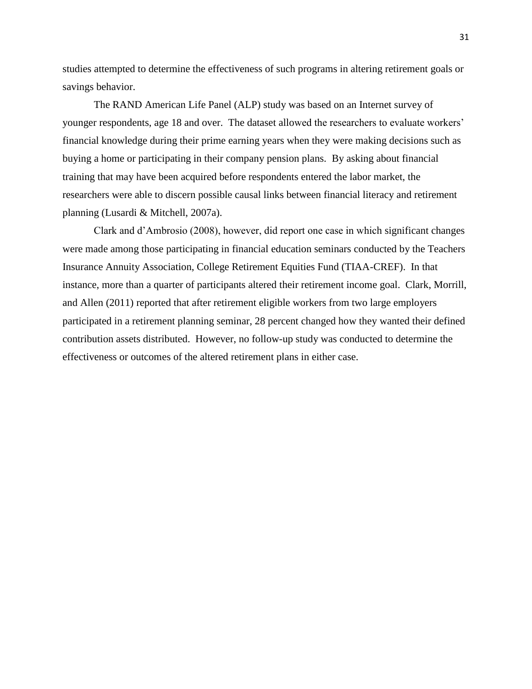studies attempted to determine the effectiveness of such programs in altering retirement goals or savings behavior.

The RAND American Life Panel (ALP) study was based on an Internet survey of younger respondents, age 18 and over. The dataset allowed the researchers to evaluate workers' financial knowledge during their prime earning years when they were making decisions such as buying a home or participating in their company pension plans. By asking about financial training that may have been acquired before respondents entered the labor market, the researchers were able to discern possible causal links between financial literacy and retirement planning (Lusardi & Mitchell, 2007a).

Clark and d'Ambrosio (2008), however, did report one case in which significant changes were made among those participating in financial education seminars conducted by the Teachers Insurance Annuity Association, College Retirement Equities Fund (TIAA-CREF). In that instance, more than a quarter of participants altered their retirement income goal. Clark, Morrill, and Allen (2011) reported that after retirement eligible workers from two large employers participated in a retirement planning seminar, 28 percent changed how they wanted their defined contribution assets distributed. However, no follow-up study was conducted to determine the effectiveness or outcomes of the altered retirement plans in either case.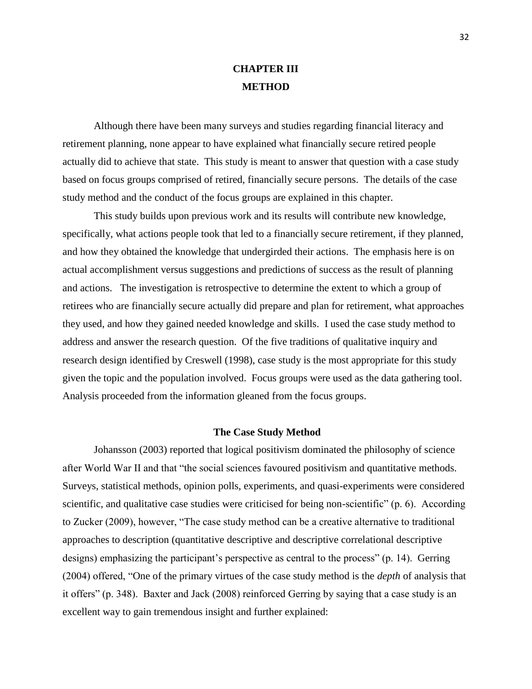# **CHAPTER III METHOD**

Although there have been many surveys and studies regarding financial literacy and retirement planning, none appear to have explained what financially secure retired people actually did to achieve that state. This study is meant to answer that question with a case study based on focus groups comprised of retired, financially secure persons. The details of the case study method and the conduct of the focus groups are explained in this chapter.

This study builds upon previous work and its results will contribute new knowledge, specifically, what actions people took that led to a financially secure retirement, if they planned, and how they obtained the knowledge that undergirded their actions. The emphasis here is on actual accomplishment versus suggestions and predictions of success as the result of planning and actions. The investigation is retrospective to determine the extent to which a group of retirees who are financially secure actually did prepare and plan for retirement, what approaches they used, and how they gained needed knowledge and skills. I used the case study method to address and answer the research question. Of the five traditions of qualitative inquiry and research design identified by Creswell (1998), case study is the most appropriate for this study given the topic and the population involved. Focus groups were used as the data gathering tool. Analysis proceeded from the information gleaned from the focus groups.

#### **The Case Study Method**

Johansson (2003) reported that logical positivism dominated the philosophy of science after World War II and that "the social sciences favoured positivism and quantitative methods. Surveys, statistical methods, opinion polls, experiments, and quasi-experiments were considered scientific, and qualitative case studies were criticised for being non-scientific" (p. 6). According to Zucker (2009), however, "The case study method can be a creative alternative to traditional approaches to description (quantitative descriptive and descriptive correlational descriptive designs) emphasizing the participant's perspective as central to the process" (p. 14). Gerring (2004) offered, "One of the primary virtues of the case study method is the *depth* of analysis that it offers" (p. 348). Baxter and Jack (2008) reinforced Gerring by saying that a case study is an excellent way to gain tremendous insight and further explained: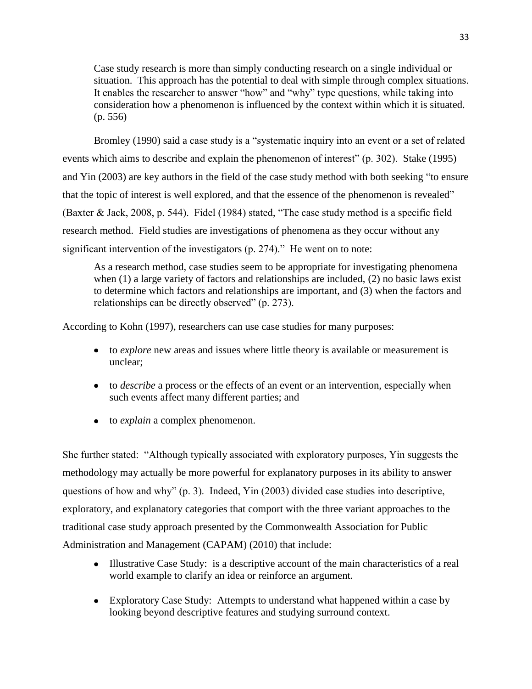Case study research is more than simply conducting research on a single individual or situation. This approach has the potential to deal with simple through complex situations. It enables the researcher to answer "how" and "why" type questions, while taking into consideration how a phenomenon is influenced by the context within which it is situated. (p. 556)

Bromley (1990) said a case study is a "systematic inquiry into an event or a set of related events which aims to describe and explain the phenomenon of interest" (p. 302). Stake (1995) and Yin (2003) are key authors in the field of the case study method with both seeking "to ensure that the topic of interest is well explored, and that the essence of the phenomenon is revealed" (Baxter & Jack, 2008, p. 544). Fidel (1984) stated, "The case study method is a specific field research method. Field studies are investigations of phenomena as they occur without any significant intervention of the investigators (p. 274)." He went on to note:

As a research method, case studies seem to be appropriate for investigating phenomena when (1) a large variety of factors and relationships are included, (2) no basic laws exist to determine which factors and relationships are important, and (3) when the factors and relationships can be directly observed" (p. 273).

According to Kohn (1997), researchers can use case studies for many purposes:

- to *explore* new areas and issues where little theory is available or measurement is unclear;
- to *describe* a process or the effects of an event or an intervention, especially when such events affect many different parties; and
- to *explain* a complex phenomenon.

She further stated: "Although typically associated with exploratory purposes, Yin suggests the methodology may actually be more powerful for explanatory purposes in its ability to answer questions of how and why" (p. 3). Indeed, Yin (2003) divided case studies into descriptive, exploratory, and explanatory categories that comport with the three variant approaches to the traditional case study approach presented by the Commonwealth Association for Public Administration and Management (CAPAM) (2010) that include:

- Illustrative Case Study: is a descriptive account of the main characteristics of a real world example to clarify an idea or reinforce an argument.
- Exploratory Case Study: Attempts to understand what happened within a case by looking beyond descriptive features and studying surround context.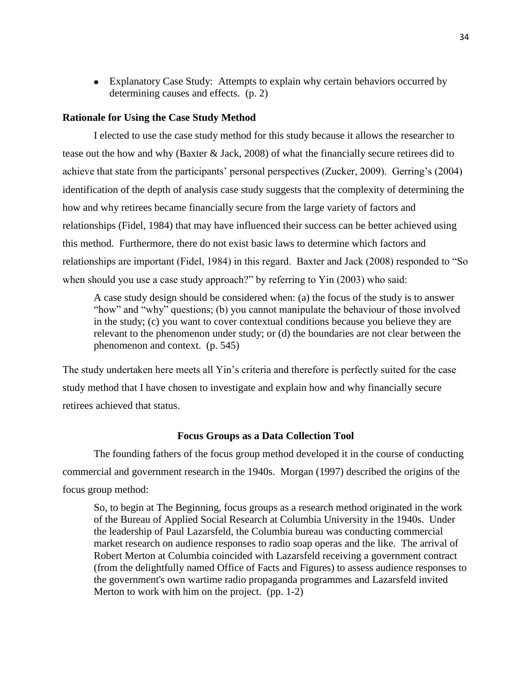• Explanatory Case Study: Attempts to explain why certain behaviors occurred by determining causes and effects. (p. 2)

## **Rationale for Using the Case Study Method**

I elected to use the case study method for this study because it allows the researcher to tease out the how and why (Baxter & Jack, 2008) of what the financially secure retirees did to achieve that state from the participants' personal perspectives (Zucker, 2009). Gerring's (2004) identification of the depth of analysis case study suggests that the complexity of determining the how and why retirees became financially secure from the large variety of factors and relationships (Fidel, 1984) that may have influenced their success can be better achieved using this method. Furthermore, there do not exist basic laws to determine which factors and relationships are important (Fidel, 1984) in this regard. Baxter and Jack (2008) responded to "So when should you use a case study approach?" by referring to Yin (2003) who said:

A case study design should be considered when: (a) the focus of the study is to answer "how" and "why" questions; (b) you cannot manipulate the behaviour of those involved in the study; (c) you want to cover contextual conditions because you believe they are relevant to the phenomenon under study; or (d) the boundaries are not clear between the phenomenon and context. (p. 545)

The study undertaken here meets all Yin's criteria and therefore is perfectly suited for the case study method that I have chosen to investigate and explain how and why financially secure retirees achieved that status.

### **Focus Groups as a Data Collection Tool**

The founding fathers of the focus group method developed it in the course of conducting commercial and government research in the 1940s. Morgan (1997) described the origins of the focus group method:

So, to begin at The Beginning, focus groups as a research method originated in the work of the Bureau of Applied Social Research at Columbia University in the 1940s. Under the leadership of Paul Lazarsfeld, the Columbia bureau was conducting commercial market research on audience responses to radio soap operas and the like. The arrival of Robert Merton at Columbia coincided with Lazarsfeld receiving a government contract (from the delightfully named Office of Facts and Figures) to assess audience responses to the government's own wartime radio propaganda programmes and Lazarsfeld invited Merton to work with him on the project. (pp. 1-2)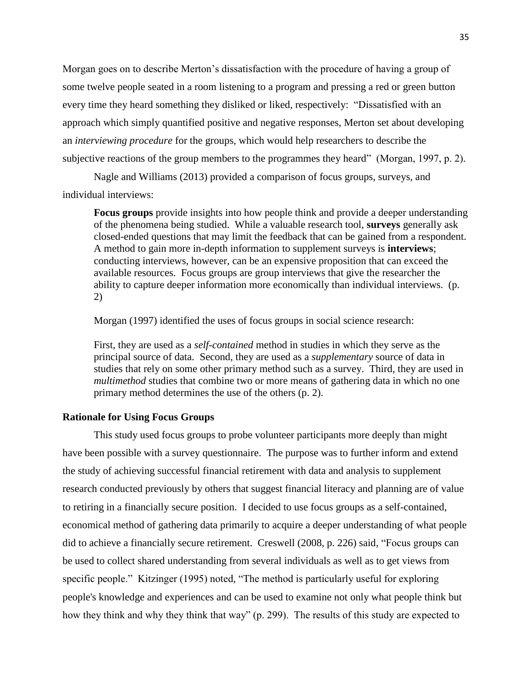Morgan goes on to describe Merton's dissatisfaction with the procedure of having a group of some twelve people seated in a room listening to a program and pressing a red or green button every time they heard something they disliked or liked, respectively: "Dissatisfied with an approach which simply quantified positive and negative responses, Merton set about developing an *interviewing procedure* for the groups, which would help researchers to describe the subjective reactions of the group members to the programmes they heard" (Morgan, 1997, p. 2).

Nagle and Williams (2013) provided a comparison of focus groups, surveys, and individual interviews:

**Focus groups** provide insights into how people think and provide a deeper understanding of the phenomena being studied. While a valuable research tool, **surveys** generally ask closed-ended questions that may limit the feedback that can be gained from a respondent. A method to gain more in-depth information to supplement surveys is **interviews**; conducting interviews, however, can be an expensive proposition that can exceed the available resources. Focus groups are group interviews that give the researcher the ability to capture deeper information more economically than individual interviews. (p. 2)

Morgan (1997) identified the uses of focus groups in social science research:

First, they are used as a *self-contained* method in studies in which they serve as the principal source of data. Second, they are used as a *supplementary* source of data in studies that rely on some other primary method such as a survey. Third, they are used in *multimethod* studies that combine two or more means of gathering data in which no one primary method determines the use of the others (p. 2).

## **Rationale for Using Focus Groups**

This study used focus groups to probe volunteer participants more deeply than might have been possible with a survey questionnaire. The purpose was to further inform and extend the study of achieving successful financial retirement with data and analysis to supplement research conducted previously by others that suggest financial literacy and planning are of value to retiring in a financially secure position. I decided to use focus groups as a self-contained, economical method of gathering data primarily to acquire a deeper understanding of what people did to achieve a financially secure retirement. Creswell (2008, p. 226) said, "Focus groups can be used to collect shared understanding from several individuals as well as to get views from specific people." Kitzinger (1995) noted, "The method is particularly useful for exploring people's knowledge and experiences and can be used to examine not only what people think but how they think and why they think that way" (p. 299). The results of this study are expected to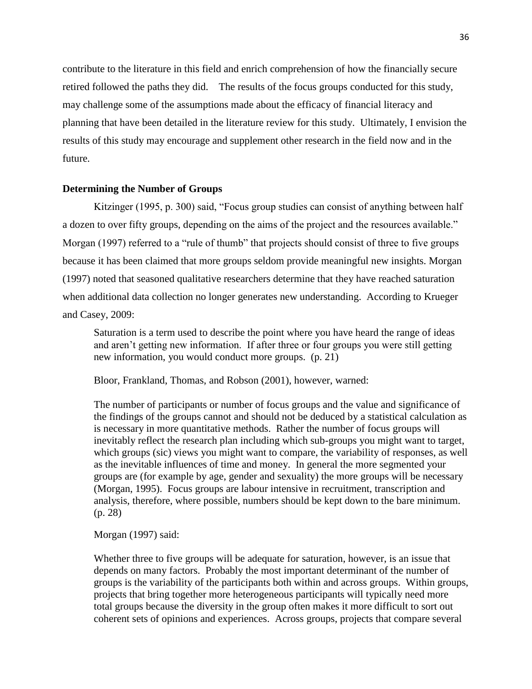contribute to the literature in this field and enrich comprehension of how the financially secure retired followed the paths they did. The results of the focus groups conducted for this study, may challenge some of the assumptions made about the efficacy of financial literacy and planning that have been detailed in the literature review for this study. Ultimately, I envision the results of this study may encourage and supplement other research in the field now and in the future.

## **Determining the Number of Groups**

Kitzinger (1995, p. 300) said, "Focus group studies can consist of anything between half a dozen to over fifty groups, depending on the aims of the project and the resources available." Morgan (1997) referred to a "rule of thumb" that projects should consist of three to five groups because it has been claimed that more groups seldom provide meaningful new insights. Morgan (1997) noted that seasoned qualitative researchers determine that they have reached saturation when additional data collection no longer generates new understanding. According to Krueger and Casey, 2009:

Saturation is a term used to describe the point where you have heard the range of ideas and aren't getting new information. If after three or four groups you were still getting new information, you would conduct more groups. (p. 21)

Bloor, Frankland, Thomas, and Robson (2001), however, warned:

The number of participants or number of focus groups and the value and significance of the findings of the groups cannot and should not be deduced by a statistical calculation as is necessary in more quantitative methods. Rather the number of focus groups will inevitably reflect the research plan including which sub-groups you might want to target, which groups (sic) views you might want to compare, the variability of responses, as well as the inevitable influences of time and money. In general the more segmented your groups are (for example by age, gender and sexuality) the more groups will be necessary (Morgan, 1995). Focus groups are labour intensive in recruitment, transcription and analysis, therefore, where possible, numbers should be kept down to the bare minimum. (p. 28)

Morgan (1997) said:

Whether three to five groups will be adequate for saturation, however, is an issue that depends on many factors. Probably the most important determinant of the number of groups is the variability of the participants both within and across groups. Within groups, projects that bring together more heterogeneous participants will typically need more total groups because the diversity in the group often makes it more difficult to sort out coherent sets of opinions and experiences. Across groups, projects that compare several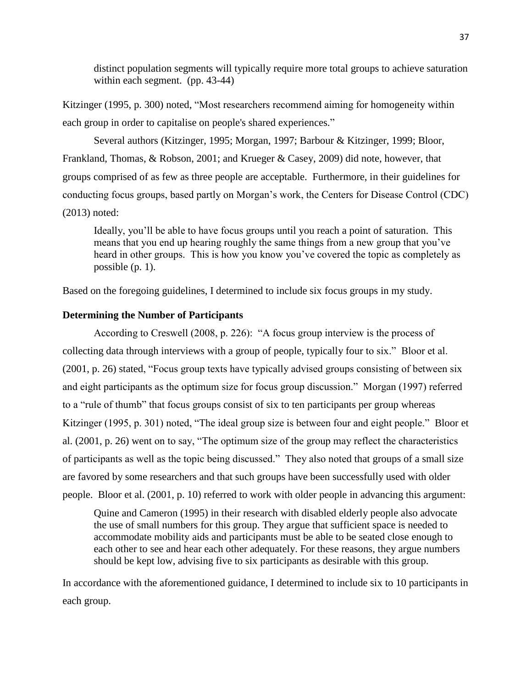distinct population segments will typically require more total groups to achieve saturation within each segment. (pp. 43-44)

Kitzinger (1995, p. 300) noted, "Most researchers recommend aiming for homogeneity within each group in order to capitalise on people's shared experiences."

Several authors (Kitzinger, 1995; Morgan, 1997; Barbour & Kitzinger, 1999; Bloor, Frankland, Thomas, & Robson, 2001; and Krueger & Casey, 2009) did note, however, that groups comprised of as few as three people are acceptable. Furthermore, in their guidelines for conducting focus groups, based partly on Morgan's work, the Centers for Disease Control (CDC) (2013) noted:

Ideally, you'll be able to have focus groups until you reach a point of saturation. This means that you end up hearing roughly the same things from a new group that you've heard in other groups. This is how you know you've covered the topic as completely as possible (p. 1).

Based on the foregoing guidelines, I determined to include six focus groups in my study.

# **Determining the Number of Participants**

According to Creswell (2008, p. 226): "A focus group interview is the process of collecting data through interviews with a group of people, typically four to six." Bloor et al. (2001, p. 26) stated, "Focus group texts have typically advised groups consisting of between six and eight participants as the optimum size for focus group discussion." Morgan (1997) referred to a "rule of thumb" that focus groups consist of six to ten participants per group whereas Kitzinger (1995, p. 301) noted, "The ideal group size is between four and eight people." Bloor et al. (2001, p. 26) went on to say, "The optimum size of the group may reflect the characteristics of participants as well as the topic being discussed." They also noted that groups of a small size are favored by some researchers and that such groups have been successfully used with older people. Bloor et al. (2001, p. 10) referred to work with older people in advancing this argument:

Quine and Cameron (1995) in their research with disabled elderly people also advocate the use of small numbers for this group. They argue that sufficient space is needed to accommodate mobility aids and participants must be able to be seated close enough to each other to see and hear each other adequately. For these reasons, they argue numbers should be kept low, advising five to six participants as desirable with this group.

In accordance with the aforementioned guidance, I determined to include six to 10 participants in each group.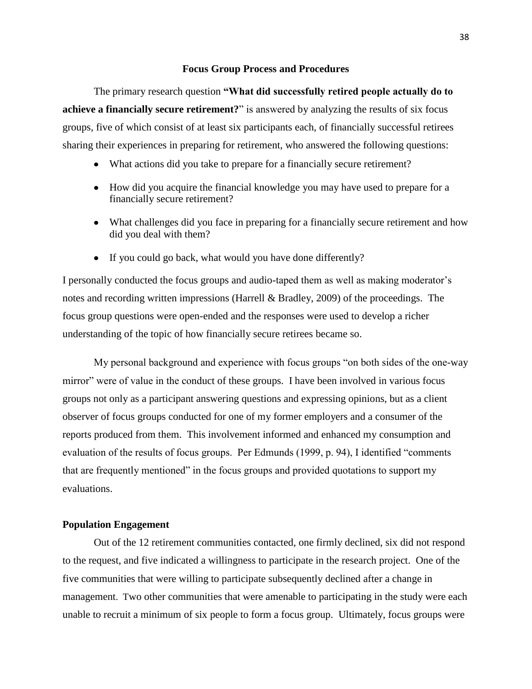#### **Focus Group Process and Procedures**

The primary research question **"What did successfully retired people actually do to achieve a financially secure retirement?**" is answered by analyzing the results of six focus groups, five of which consist of at least six participants each, of financially successful retirees sharing their experiences in preparing for retirement, who answered the following questions:

- What actions did you take to prepare for a financially secure retirement?
- How did you acquire the financial knowledge you may have used to prepare for a financially secure retirement?
- What challenges did you face in preparing for a financially secure retirement and how did you deal with them?
- If you could go back, what would you have done differently?

I personally conducted the focus groups and audio-taped them as well as making moderator's notes and recording written impressions (Harrell & Bradley, 2009) of the proceedings. The focus group questions were open-ended and the responses were used to develop a richer understanding of the topic of how financially secure retirees became so.

My personal background and experience with focus groups "on both sides of the one-way mirror" were of value in the conduct of these groups. I have been involved in various focus groups not only as a participant answering questions and expressing opinions, but as a client observer of focus groups conducted for one of my former employers and a consumer of the reports produced from them. This involvement informed and enhanced my consumption and evaluation of the results of focus groups. Per Edmunds (1999, p. 94), I identified "comments that are frequently mentioned" in the focus groups and provided quotations to support my evaluations.

#### **Population Engagement**

Out of the 12 retirement communities contacted, one firmly declined, six did not respond to the request, and five indicated a willingness to participate in the research project. One of the five communities that were willing to participate subsequently declined after a change in management. Two other communities that were amenable to participating in the study were each unable to recruit a minimum of six people to form a focus group. Ultimately, focus groups were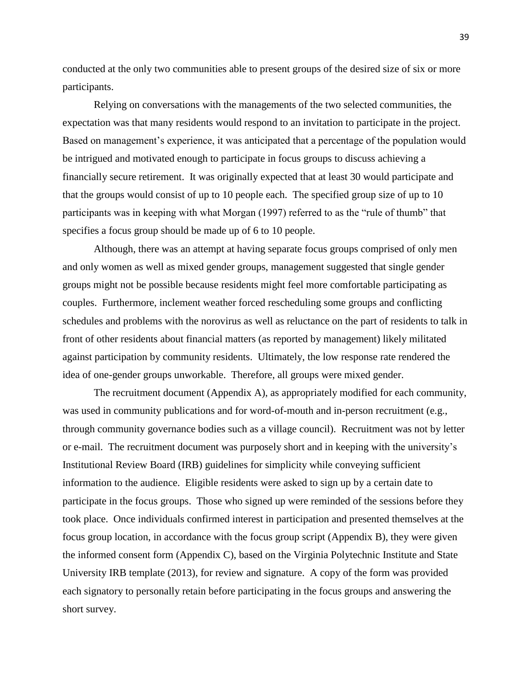conducted at the only two communities able to present groups of the desired size of six or more participants.

Relying on conversations with the managements of the two selected communities, the expectation was that many residents would respond to an invitation to participate in the project. Based on management's experience, it was anticipated that a percentage of the population would be intrigued and motivated enough to participate in focus groups to discuss achieving a financially secure retirement. It was originally expected that at least 30 would participate and that the groups would consist of up to 10 people each. The specified group size of up to 10 participants was in keeping with what Morgan (1997) referred to as the "rule of thumb" that specifies a focus group should be made up of 6 to 10 people.

Although, there was an attempt at having separate focus groups comprised of only men and only women as well as mixed gender groups, management suggested that single gender groups might not be possible because residents might feel more comfortable participating as couples. Furthermore, inclement weather forced rescheduling some groups and conflicting schedules and problems with the norovirus as well as reluctance on the part of residents to talk in front of other residents about financial matters (as reported by management) likely militated against participation by community residents. Ultimately, the low response rate rendered the idea of one-gender groups unworkable. Therefore, all groups were mixed gender.

The recruitment document (Appendix A), as appropriately modified for each community, was used in community publications and for word-of-mouth and in-person recruitment (e.g., through community governance bodies such as a village council). Recruitment was not by letter or e-mail. The recruitment document was purposely short and in keeping with the university's Institutional Review Board (IRB) guidelines for simplicity while conveying sufficient information to the audience. Eligible residents were asked to sign up by a certain date to participate in the focus groups. Those who signed up were reminded of the sessions before they took place. Once individuals confirmed interest in participation and presented themselves at the focus group location, in accordance with the focus group script (Appendix B), they were given the informed consent form (Appendix C), based on the Virginia Polytechnic Institute and State University IRB template (2013), for review and signature. A copy of the form was provided each signatory to personally retain before participating in the focus groups and answering the short survey.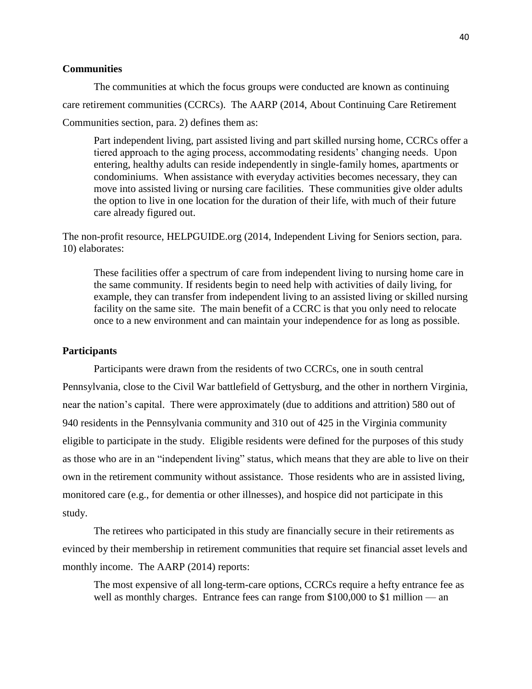# **Communities**

The communities at which the focus groups were conducted are known as continuing care retirement communities (CCRCs). The AARP (2014, About Continuing Care Retirement Communities section, para. 2) defines them as:

Part independent living, part assisted living and part skilled nursing home, CCRCs offer a tiered approach to the aging process, accommodating residents' changing needs. Upon entering, healthy adults can reside independently in single-family homes, apartments or condominiums. When assistance with everyday activities becomes necessary, they can move into assisted living or nursing care facilities. These communities give older adults the option to live in one location for the duration of their life, with much of their future care already figured out.

The non-profit resource, HELPGUIDE.org (2014, Independent Living for Seniors section, para. 10) elaborates:

These facilities offer a spectrum of care from independent living to nursing home care in the same community. If residents begin to need help with activities of daily living, for example, they can transfer from independent living to an assisted living or skilled nursing facility on the same site. The main benefit of a CCRC is that you only need to relocate once to a new environment and can maintain your independence for as long as possible.

## **Participants**

Participants were drawn from the residents of two CCRCs, one in south central Pennsylvania, close to the Civil War battlefield of Gettysburg, and the other in northern Virginia, near the nation's capital. There were approximately (due to additions and attrition) 580 out of 940 residents in the Pennsylvania community and 310 out of 425 in the Virginia community eligible to participate in the study. Eligible residents were defined for the purposes of this study as those who are in an "independent living" status, which means that they are able to live on their own in the retirement community without assistance. Those residents who are in assisted living, monitored care (e.g., for dementia or other illnesses), and hospice did not participate in this study.

The retirees who participated in this study are financially secure in their retirements as evinced by their membership in retirement communities that require set financial asset levels and monthly income. The AARP (2014) reports:

The most expensive of all long-term-care options, CCRCs require a hefty entrance fee as well as monthly charges. Entrance fees can range from \$100,000 to \$1 million — an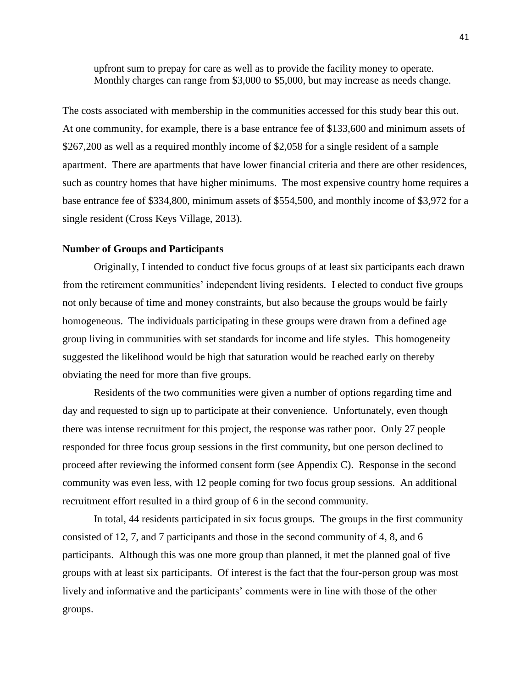upfront sum to prepay for care as well as to provide the facility money to operate. Monthly charges can range from \$3,000 to \$5,000, but may increase as needs change.

The costs associated with membership in the communities accessed for this study bear this out. At one community, for example, there is a base entrance fee of \$133,600 and minimum assets of \$267,200 as well as a required monthly income of \$2,058 for a single resident of a sample apartment. There are apartments that have lower financial criteria and there are other residences, such as country homes that have higher minimums. The most expensive country home requires a base entrance fee of \$334,800, minimum assets of \$554,500, and monthly income of \$3,972 for a single resident (Cross Keys Village, 2013).

#### **Number of Groups and Participants**

Originally, I intended to conduct five focus groups of at least six participants each drawn from the retirement communities' independent living residents. I elected to conduct five groups not only because of time and money constraints, but also because the groups would be fairly homogeneous. The individuals participating in these groups were drawn from a defined age group living in communities with set standards for income and life styles. This homogeneity suggested the likelihood would be high that saturation would be reached early on thereby obviating the need for more than five groups.

Residents of the two communities were given a number of options regarding time and day and requested to sign up to participate at their convenience. Unfortunately, even though there was intense recruitment for this project, the response was rather poor. Only 27 people responded for three focus group sessions in the first community, but one person declined to proceed after reviewing the informed consent form (see Appendix C). Response in the second community was even less, with 12 people coming for two focus group sessions. An additional recruitment effort resulted in a third group of 6 in the second community.

In total, 44 residents participated in six focus groups. The groups in the first community consisted of 12, 7, and 7 participants and those in the second community of 4, 8, and 6 participants. Although this was one more group than planned, it met the planned goal of five groups with at least six participants. Of interest is the fact that the four-person group was most lively and informative and the participants' comments were in line with those of the other groups.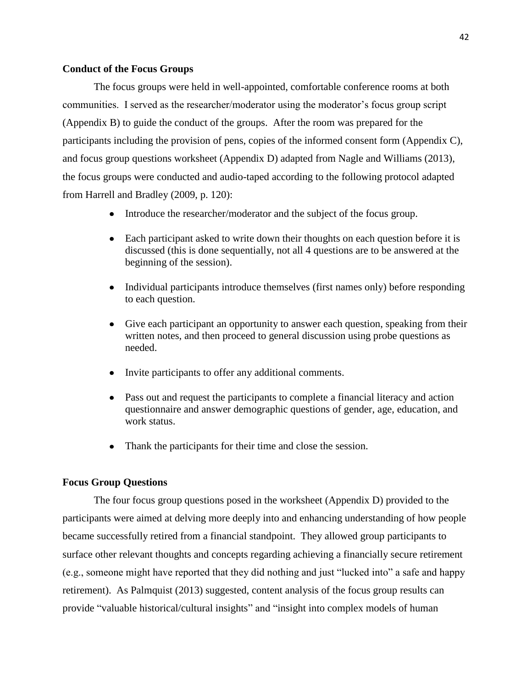#### **Conduct of the Focus Groups**

The focus groups were held in well-appointed, comfortable conference rooms at both communities. I served as the researcher/moderator using the moderator's focus group script (Appendix B) to guide the conduct of the groups. After the room was prepared for the participants including the provision of pens, copies of the informed consent form (Appendix C), and focus group questions worksheet (Appendix D) adapted from Nagle and Williams (2013), the focus groups were conducted and audio-taped according to the following protocol adapted from Harrell and Bradley (2009, p. 120):

- Introduce the researcher/moderator and the subject of the focus group.
- Each participant asked to write down their thoughts on each question before it is discussed (this is done sequentially, not all 4 questions are to be answered at the beginning of the session).
- Individual participants introduce themselves (first names only) before responding to each question.
- $\bullet$ Give each participant an opportunity to answer each question, speaking from their written notes, and then proceed to general discussion using probe questions as needed.
- $\bullet$ Invite participants to offer any additional comments.
- Pass out and request the participants to complete a financial literacy and action questionnaire and answer demographic questions of gender, age, education, and work status.
- Thank the participants for their time and close the session.

#### **Focus Group Questions**

The four focus group questions posed in the worksheet (Appendix D) provided to the participants were aimed at delving more deeply into and enhancing understanding of how people became successfully retired from a financial standpoint. They allowed group participants to surface other relevant thoughts and concepts regarding achieving a financially secure retirement (e.g., someone might have reported that they did nothing and just "lucked into" a safe and happy retirement). As Palmquist (2013) suggested, content analysis of the focus group results can provide "valuable historical/cultural insights" and "insight into complex models of human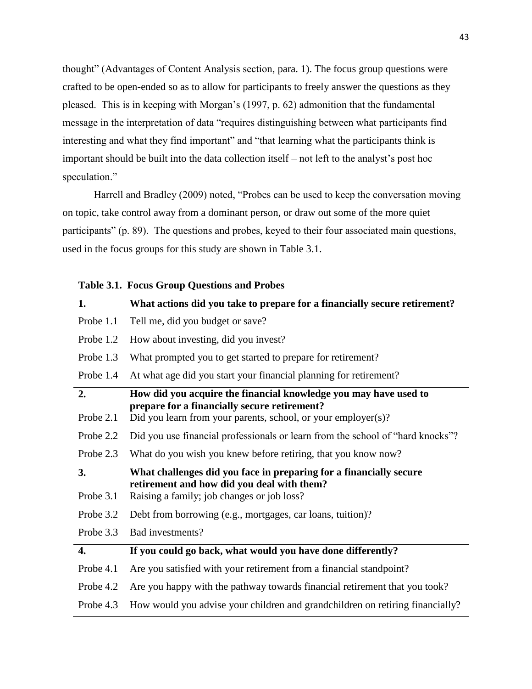thought" (Advantages of Content Analysis section, para. 1). The focus group questions were crafted to be open-ended so as to allow for participants to freely answer the questions as they pleased. This is in keeping with Morgan's (1997, p. 62) admonition that the fundamental message in the interpretation of data "requires distinguishing between what participants find interesting and what they find important" and "that learning what the participants think is important should be built into the data collection itself – not left to the analyst's post hoc speculation."

Harrell and Bradley (2009) noted, "Probes can be used to keep the conversation moving on topic, take control away from a dominant person, or draw out some of the more quiet participants" (p. 89). The questions and probes, keyed to their four associated main questions, used in the focus groups for this study are shown in Table 3.1.

| What actions did you take to prepare for a financially secure retirement?                                                                                                         |
|-----------------------------------------------------------------------------------------------------------------------------------------------------------------------------------|
|                                                                                                                                                                                   |
|                                                                                                                                                                                   |
|                                                                                                                                                                                   |
| What prompted you to get started to prepare for retirement?                                                                                                                       |
| At what age did you start your financial planning for retirement?                                                                                                                 |
|                                                                                                                                                                                   |
| How did you acquire the financial knowledge you may have used to<br>prepare for a financially secure retirement?<br>Did you learn from your parents, school, or your employer(s)? |
| Did you use financial professionals or learn from the school of "hard knocks"?                                                                                                    |
| What do you wish you knew before retiring, that you know now?                                                                                                                     |
| What challenges did you face in preparing for a financially secure<br>retirement and how did you deal with them?<br>Raising a family; job changes or job loss?                    |
| Debt from borrowing (e.g., mortgages, car loans, tuition)?                                                                                                                        |
|                                                                                                                                                                                   |
| If you could go back, what would you have done differently?                                                                                                                       |
| Are you satisfied with your retirement from a financial standpoint?                                                                                                               |
| Are you happy with the pathway towards financial retirement that you took?                                                                                                        |
|                                                                                                                                                                                   |

|  |  |  |  | Table 3.1. Focus Group Questions and Probes |
|--|--|--|--|---------------------------------------------|
|--|--|--|--|---------------------------------------------|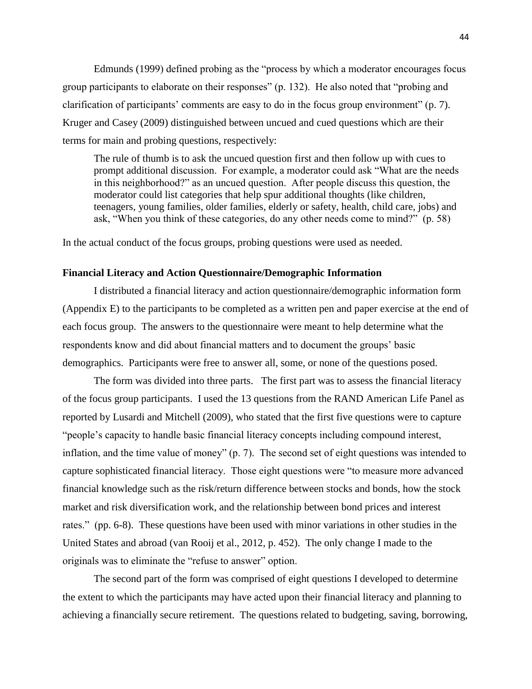Edmunds (1999) defined probing as the "process by which a moderator encourages focus group participants to elaborate on their responses" (p. 132). He also noted that "probing and clarification of participants' comments are easy to do in the focus group environment" (p. 7). Kruger and Casey (2009) distinguished between uncued and cued questions which are their terms for main and probing questions, respectively:

The rule of thumb is to ask the uncued question first and then follow up with cues to prompt additional discussion. For example, a moderator could ask "What are the needs in this neighborhood?" as an uncued question. After people discuss this question, the moderator could list categories that help spur additional thoughts (like children, teenagers, young families, older families, elderly or safety, health, child care, jobs) and ask, "When you think of these categories, do any other needs come to mind?" (p. 58)

In the actual conduct of the focus groups, probing questions were used as needed.

#### **Financial Literacy and Action Questionnaire/Demographic Information**

I distributed a financial literacy and action questionnaire/demographic information form (Appendix E) to the participants to be completed as a written pen and paper exercise at the end of each focus group. The answers to the questionnaire were meant to help determine what the respondents know and did about financial matters and to document the groups' basic demographics. Participants were free to answer all, some, or none of the questions posed.

The form was divided into three parts. The first part was to assess the financial literacy of the focus group participants. I used the 13 questions from the RAND American Life Panel as reported by Lusardi and Mitchell (2009), who stated that the first five questions were to capture "people's capacity to handle basic financial literacy concepts including compound interest, inflation, and the time value of money" (p. 7). The second set of eight questions was intended to capture sophisticated financial literacy. Those eight questions were "to measure more advanced financial knowledge such as the risk/return difference between stocks and bonds, how the stock market and risk diversification work, and the relationship between bond prices and interest rates." (pp. 6-8). These questions have been used with minor variations in other studies in the United States and abroad (van Rooij et al., 2012, p. 452). The only change I made to the originals was to eliminate the "refuse to answer" option.

The second part of the form was comprised of eight questions I developed to determine the extent to which the participants may have acted upon their financial literacy and planning to achieving a financially secure retirement. The questions related to budgeting, saving, borrowing,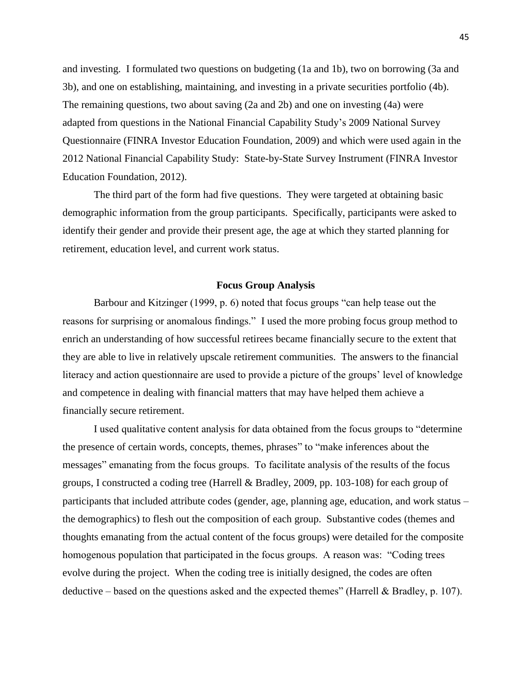and investing. I formulated two questions on budgeting (1a and 1b), two on borrowing (3a and 3b), and one on establishing, maintaining, and investing in a private securities portfolio (4b). The remaining questions, two about saving (2a and 2b) and one on investing (4a) were adapted from questions in the National Financial Capability Study's 2009 National Survey Questionnaire (FINRA Investor Education Foundation, 2009) and which were used again in the 2012 National Financial Capability Study: State-by-State Survey Instrument (FINRA Investor Education Foundation, 2012).

The third part of the form had five questions. They were targeted at obtaining basic demographic information from the group participants. Specifically, participants were asked to identify their gender and provide their present age, the age at which they started planning for retirement, education level, and current work status.

#### **Focus Group Analysis**

Barbour and Kitzinger (1999, p. 6) noted that focus groups "can help tease out the reasons for surprising or anomalous findings." I used the more probing focus group method to enrich an understanding of how successful retirees became financially secure to the extent that they are able to live in relatively upscale retirement communities. The answers to the financial literacy and action questionnaire are used to provide a picture of the groups' level of knowledge and competence in dealing with financial matters that may have helped them achieve a financially secure retirement.

I used qualitative content analysis for data obtained from the focus groups to "determine the presence of certain words, concepts, themes, phrases" to "make inferences about the messages" emanating from the focus groups. To facilitate analysis of the results of the focus groups, I constructed a coding tree (Harrell & Bradley, 2009, pp. 103-108) for each group of participants that included attribute codes (gender, age, planning age, education, and work status – the demographics) to flesh out the composition of each group. Substantive codes (themes and thoughts emanating from the actual content of the focus groups) were detailed for the composite homogenous population that participated in the focus groups. A reason was: "Coding trees evolve during the project. When the coding tree is initially designed, the codes are often deductive – based on the questions asked and the expected themes" (Harrell & Bradley, p. 107).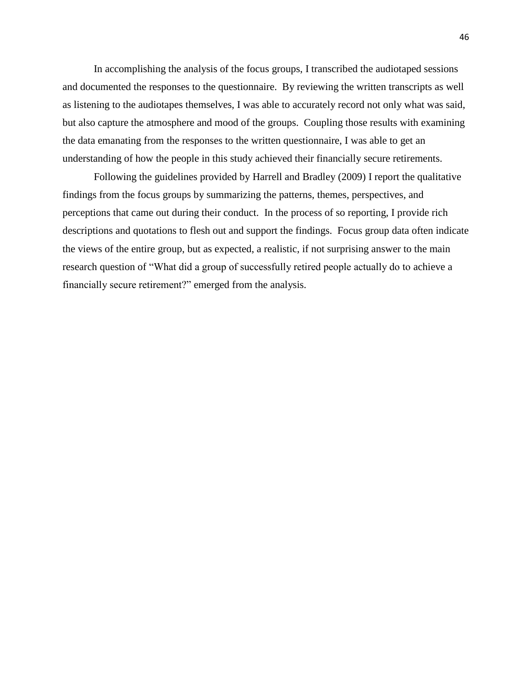In accomplishing the analysis of the focus groups, I transcribed the audiotaped sessions and documented the responses to the questionnaire. By reviewing the written transcripts as well as listening to the audiotapes themselves, I was able to accurately record not only what was said, but also capture the atmosphere and mood of the groups. Coupling those results with examining the data emanating from the responses to the written questionnaire, I was able to get an understanding of how the people in this study achieved their financially secure retirements.

Following the guidelines provided by Harrell and Bradley (2009) I report the qualitative findings from the focus groups by summarizing the patterns, themes, perspectives, and perceptions that came out during their conduct. In the process of so reporting, I provide rich descriptions and quotations to flesh out and support the findings. Focus group data often indicate the views of the entire group, but as expected, a realistic, if not surprising answer to the main research question of "What did a group of successfully retired people actually do to achieve a financially secure retirement?" emerged from the analysis.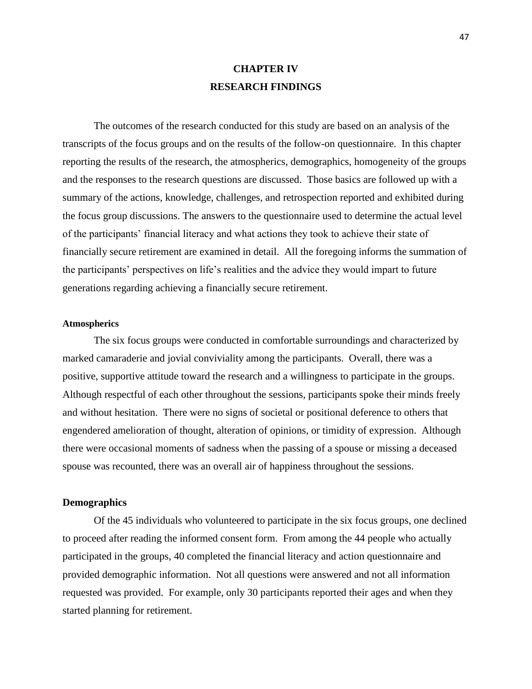# **CHAPTER IV RESEARCH FINDINGS**

The outcomes of the research conducted for this study are based on an analysis of the transcripts of the focus groups and on the results of the follow-on questionnaire. In this chapter reporting the results of the research, the atmospherics, demographics, homogeneity of the groups and the responses to the research questions are discussed. Those basics are followed up with a summary of the actions, knowledge, challenges, and retrospection reported and exhibited during the focus group discussions. The answers to the questionnaire used to determine the actual level of the participants' financial literacy and what actions they took to achieve their state of financially secure retirement are examined in detail. All the foregoing informs the summation of the participants' perspectives on life's realities and the advice they would impart to future generations regarding achieving a financially secure retirement.

#### **Atmospherics**

The six focus groups were conducted in comfortable surroundings and characterized by marked camaraderie and jovial conviviality among the participants. Overall, there was a positive, supportive attitude toward the research and a willingness to participate in the groups. Although respectful of each other throughout the sessions, participants spoke their minds freely and without hesitation. There were no signs of societal or positional deference to others that engendered amelioration of thought, alteration of opinions, or timidity of expression. Although there were occasional moments of sadness when the passing of a spouse or missing a deceased spouse was recounted, there was an overall air of happiness throughout the sessions.

## **Demographics**

Of the 45 individuals who volunteered to participate in the six focus groups, one declined to proceed after reading the informed consent form. From among the 44 people who actually participated in the groups, 40 completed the financial literacy and action questionnaire and provided demographic information. Not all questions were answered and not all information requested was provided. For example, only 30 participants reported their ages and when they started planning for retirement.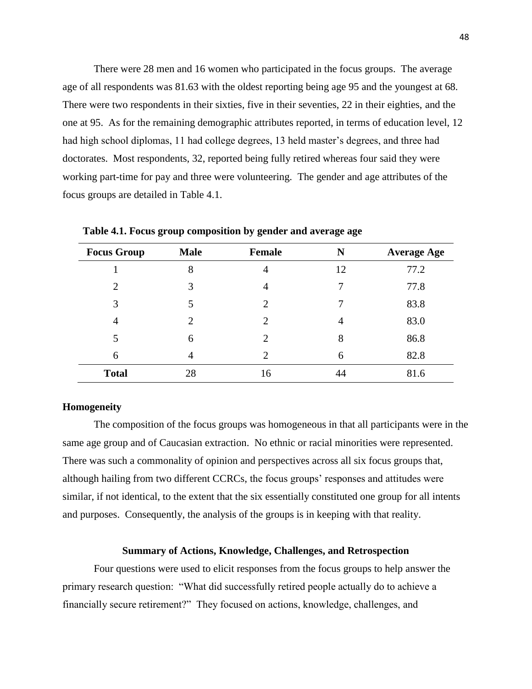There were 28 men and 16 women who participated in the focus groups. The average age of all respondents was 81.63 with the oldest reporting being age 95 and the youngest at 68. There were two respondents in their sixties, five in their seventies, 22 in their eighties, and the one at 95. As for the remaining demographic attributes reported, in terms of education level, 12 had high school diplomas, 11 had college degrees, 13 held master's degrees, and three had doctorates. Most respondents, 32, reported being fully retired whereas four said they were working part-time for pay and three were volunteering. The gender and age attributes of the focus groups are detailed in Table 4.1.

| <b>Focus Group</b> | <b>Male</b>    | Female                      |    | <b>Average Age</b> |  |
|--------------------|----------------|-----------------------------|----|--------------------|--|
|                    | 8              | $\overline{4}$              | 12 | 77.2               |  |
| $\overline{2}$     | 3              | $\overline{4}$              | 7  | 77.8               |  |
| 3                  | 5              | $\mathcal{D}_{\mathcal{L}}$ | 7  | 83.8               |  |
| 4                  | $\overline{2}$ | $\mathcal{D}_{\mathcal{L}}$ | 4  | 83.0               |  |
| 5                  | 6              | $\mathcal{D}_{\mathcal{L}}$ | 8  | 86.8               |  |
| 6                  | 4              | $\overline{c}$              | 6  | 82.8               |  |
| <b>Total</b>       | 28             | 16                          | 44 | 81.6               |  |

**Table 4.1. Focus group composition by gender and average age**

#### **Homogeneity**

The composition of the focus groups was homogeneous in that all participants were in the same age group and of Caucasian extraction. No ethnic or racial minorities were represented. There was such a commonality of opinion and perspectives across all six focus groups that, although hailing from two different CCRCs, the focus groups' responses and attitudes were similar, if not identical, to the extent that the six essentially constituted one group for all intents and purposes. Consequently, the analysis of the groups is in keeping with that reality.

#### **Summary of Actions, Knowledge, Challenges, and Retrospection**

Four questions were used to elicit responses from the focus groups to help answer the primary research question: "What did successfully retired people actually do to achieve a financially secure retirement?" They focused on actions, knowledge, challenges, and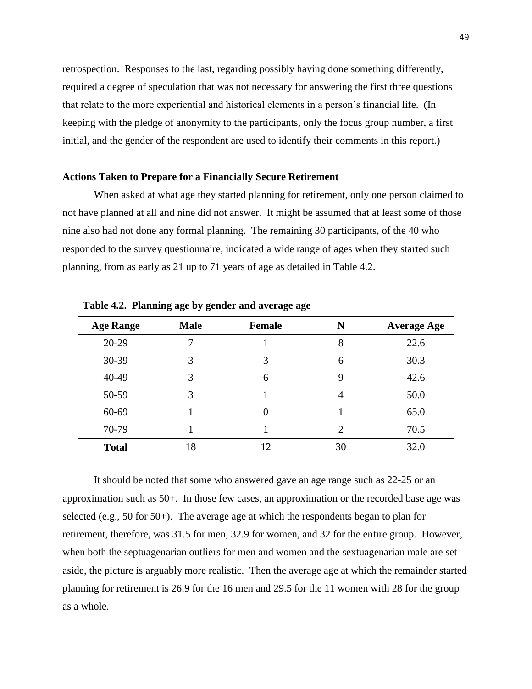retrospection. Responses to the last, regarding possibly having done something differently, required a degree of speculation that was not necessary for answering the first three questions that relate to the more experiential and historical elements in a person's financial life. (In keeping with the pledge of anonymity to the participants, only the focus group number, a first initial, and the gender of the respondent are used to identify their comments in this report.)

### **Actions Taken to Prepare for a Financially Secure Retirement**

When asked at what age they started planning for retirement, only one person claimed to not have planned at all and nine did not answer. It might be assumed that at least some of those nine also had not done any formal planning. The remaining 30 participants, of the 40 who responded to the survey questionnaire, indicated a wide range of ages when they started such planning, from as early as 21 up to 71 years of age as detailed in Table 4.2.

| <b>Age Range</b> | <b>Male</b> | <b>Female</b> | N              | <b>Average Age</b> |
|------------------|-------------|---------------|----------------|--------------------|
| $20 - 29$        | 7           |               | 8              | 22.6               |
| 30-39            | 3           | 3             | 6              | 30.3               |
| 40-49            | 3           | 6             | 9              | 42.6               |
| 50-59            | 3           |               | 4              | 50.0               |
| 60-69            | 1           | 0             |                | 65.0               |
| 70-79            |             |               | $\overline{2}$ | 70.5               |
| <b>Total</b>     | 18          | 12            | 30             | 32.0               |

**Table 4.2. Planning age by gender and average age**

It should be noted that some who answered gave an age range such as 22-25 or an approximation such as 50+. In those few cases, an approximation or the recorded base age was selected (e.g., 50 for 50+). The average age at which the respondents began to plan for retirement, therefore, was 31.5 for men, 32.9 for women, and 32 for the entire group. However, when both the septuagenarian outliers for men and women and the sextuagenarian male are set aside, the picture is arguably more realistic. Then the average age at which the remainder started planning for retirement is 26.9 for the 16 men and 29.5 for the 11 women with 28 for the group as a whole.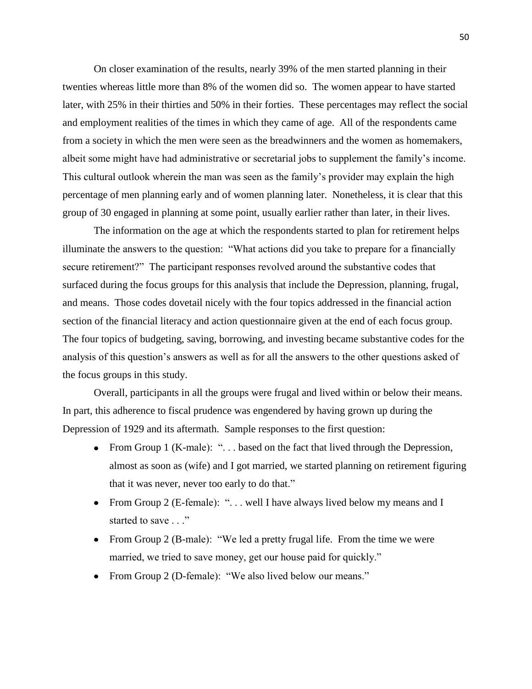On closer examination of the results, nearly 39% of the men started planning in their twenties whereas little more than 8% of the women did so. The women appear to have started later, with 25% in their thirties and 50% in their forties. These percentages may reflect the social and employment realities of the times in which they came of age. All of the respondents came from a society in which the men were seen as the breadwinners and the women as homemakers, albeit some might have had administrative or secretarial jobs to supplement the family's income. This cultural outlook wherein the man was seen as the family's provider may explain the high percentage of men planning early and of women planning later. Nonetheless, it is clear that this group of 30 engaged in planning at some point, usually earlier rather than later, in their lives.

The information on the age at which the respondents started to plan for retirement helps illuminate the answers to the question: "What actions did you take to prepare for a financially secure retirement?" The participant responses revolved around the substantive codes that surfaced during the focus groups for this analysis that include the Depression, planning, frugal, and means. Those codes dovetail nicely with the four topics addressed in the financial action section of the financial literacy and action questionnaire given at the end of each focus group. The four topics of budgeting, saving, borrowing, and investing became substantive codes for the analysis of this question's answers as well as for all the answers to the other questions asked of the focus groups in this study.

Overall, participants in all the groups were frugal and lived within or below their means. In part, this adherence to fiscal prudence was engendered by having grown up during the Depression of 1929 and its aftermath. Sample responses to the first question:

- From Group 1 (K-male): "... based on the fact that lived through the Depression, almost as soon as (wife) and I got married, we started planning on retirement figuring that it was never, never too early to do that."
- From Group 2 (E-female): "... well I have always lived below my means and I started to save . . ."
- From Group 2 (B-male): "We led a pretty frugal life. From the time we were married, we tried to save money, get our house paid for quickly."
- From Group 2 (D-female): "We also lived below our means."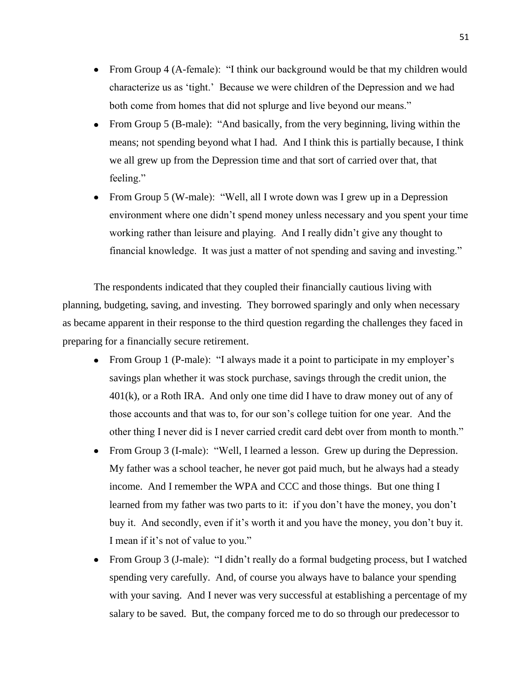- From Group 4 (A-female): "I think our background would be that my children would characterize us as 'tight.' Because we were children of the Depression and we had both come from homes that did not splurge and live beyond our means."
- From Group 5 (B-male): "And basically, from the very beginning, living within the means; not spending beyond what I had. And I think this is partially because, I think we all grew up from the Depression time and that sort of carried over that, that feeling."
- From Group 5 (W-male): "Well, all I wrote down was I grew up in a Depression environment where one didn't spend money unless necessary and you spent your time working rather than leisure and playing. And I really didn't give any thought to financial knowledge. It was just a matter of not spending and saving and investing."

The respondents indicated that they coupled their financially cautious living with planning, budgeting, saving, and investing. They borrowed sparingly and only when necessary as became apparent in their response to the third question regarding the challenges they faced in preparing for a financially secure retirement.

- From Group 1 (P-male): "I always made it a point to participate in my employer's savings plan whether it was stock purchase, savings through the credit union, the 401(k), or a Roth IRA. And only one time did I have to draw money out of any of those accounts and that was to, for our son's college tuition for one year. And the other thing I never did is I never carried credit card debt over from month to month."
- From Group 3 (I-male): "Well, I learned a lesson. Grew up during the Depression. My father was a school teacher, he never got paid much, but he always had a steady income. And I remember the WPA and CCC and those things. But one thing I learned from my father was two parts to it: if you don't have the money, you don't buy it. And secondly, even if it's worth it and you have the money, you don't buy it. I mean if it's not of value to you."
- From Group 3 (J-male): "I didn't really do a formal budgeting process, but I watched  $\bullet$ spending very carefully. And, of course you always have to balance your spending with your saving. And I never was very successful at establishing a percentage of my salary to be saved. But, the company forced me to do so through our predecessor to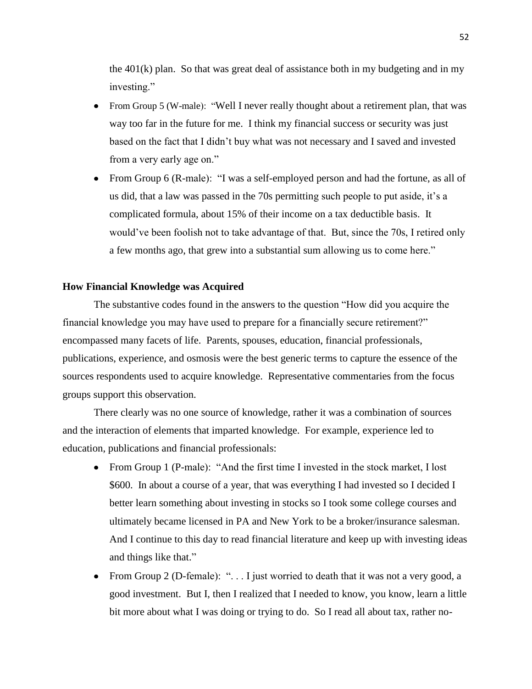the  $401(k)$  plan. So that was great deal of assistance both in my budgeting and in my investing."

- From Group 5 (W-male): "Well I never really thought about a retirement plan, that was way too far in the future for me. I think my financial success or security was just based on the fact that I didn't buy what was not necessary and I saved and invested from a very early age on."
- From Group 6 (R-male): "I was a self-employed person and had the fortune, as all of us did, that a law was passed in the 70s permitting such people to put aside, it's a complicated formula, about 15% of their income on a tax deductible basis. It would've been foolish not to take advantage of that. But, since the 70s, I retired only a few months ago, that grew into a substantial sum allowing us to come here."

## **How Financial Knowledge was Acquired**

The substantive codes found in the answers to the question "How did you acquire the financial knowledge you may have used to prepare for a financially secure retirement?" encompassed many facets of life. Parents, spouses, education, financial professionals, publications, experience, and osmosis were the best generic terms to capture the essence of the sources respondents used to acquire knowledge. Representative commentaries from the focus groups support this observation.

There clearly was no one source of knowledge, rather it was a combination of sources and the interaction of elements that imparted knowledge. For example, experience led to education, publications and financial professionals:

- From Group 1 (P-male): "And the first time I invested in the stock market, I lost \$600. In about a course of a year, that was everything I had invested so I decided I better learn something about investing in stocks so I took some college courses and ultimately became licensed in PA and New York to be a broker/insurance salesman. And I continue to this day to read financial literature and keep up with investing ideas and things like that."
- From Group 2 (D-female): " $\dots$  I just worried to death that it was not a very good, a good investment. But I, then I realized that I needed to know, you know, learn a little bit more about what I was doing or trying to do. So I read all about tax, rather no-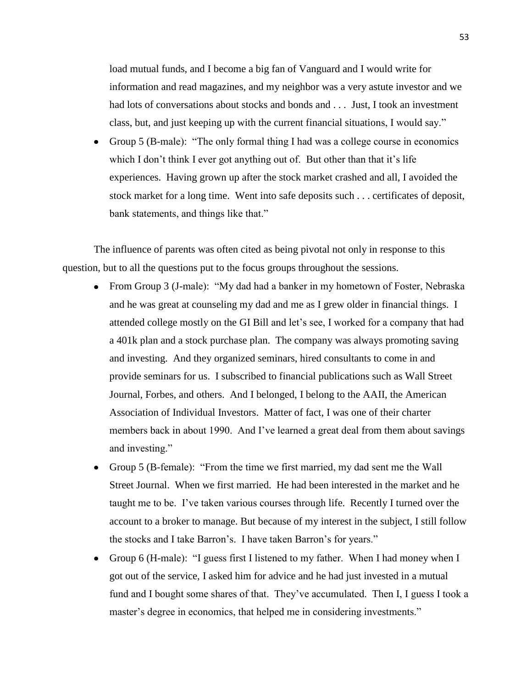load mutual funds, and I become a big fan of Vanguard and I would write for information and read magazines, and my neighbor was a very astute investor and we had lots of conversations about stocks and bonds and . . . Just, I took an investment class, but, and just keeping up with the current financial situations, I would say."

Group 5 (B-male): "The only formal thing I had was a college course in economics which I don't think I ever got anything out of. But other than that it's life experiences. Having grown up after the stock market crashed and all, I avoided the stock market for a long time. Went into safe deposits such . . . certificates of deposit, bank statements, and things like that."

The influence of parents was often cited as being pivotal not only in response to this question, but to all the questions put to the focus groups throughout the sessions.

- From Group 3 (J-male): "My dad had a banker in my hometown of Foster, Nebraska and he was great at counseling my dad and me as I grew older in financial things. I attended college mostly on the GI Bill and let's see, I worked for a company that had a 401k plan and a stock purchase plan. The company was always promoting saving and investing. And they organized seminars, hired consultants to come in and provide seminars for us. I subscribed to financial publications such as Wall Street Journal, Forbes, and others. And I belonged, I belong to the AAII, the American Association of Individual Investors. Matter of fact, I was one of their charter members back in about 1990. And I've learned a great deal from them about savings and investing."
- Group 5 (B-female): "From the time we first married, my dad sent me the Wall Street Journal. When we first married. He had been interested in the market and he taught me to be. I've taken various courses through life. Recently I turned over the account to a broker to manage. But because of my interest in the subject, I still follow the stocks and I take Barron's. I have taken Barron's for years."
- Group 6 (H-male): "I guess first I listened to my father. When I had money when I got out of the service, I asked him for advice and he had just invested in a mutual fund and I bought some shares of that. They've accumulated. Then I, I guess I took a master's degree in economics, that helped me in considering investments."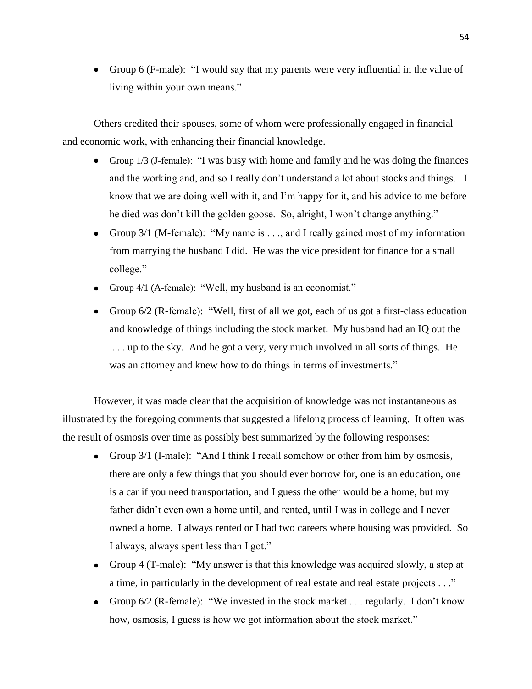• Group 6 (F-male): "I would say that my parents were very influential in the value of living within your own means."

Others credited their spouses, some of whom were professionally engaged in financial and economic work, with enhancing their financial knowledge.

- Group 1/3 (J-female): "I was busy with home and family and he was doing the finances and the working and, and so I really don't understand a lot about stocks and things. I know that we are doing well with it, and I'm happy for it, and his advice to me before he died was don't kill the golden goose. So, alright, I won't change anything."
- Group 3/1 (M-female): "My name is . . ., and I really gained most of my information from marrying the husband I did. He was the vice president for finance for a small college."
- Group 4/1 (A-female): "Well, my husband is an economist."
- Group 6/2 (R-female): "Well, first of all we got, each of us got a first-class education and knowledge of things including the stock market. My husband had an IQ out the . . . up to the sky. And he got a very, very much involved in all sorts of things. He was an attorney and knew how to do things in terms of investments."

However, it was made clear that the acquisition of knowledge was not instantaneous as illustrated by the foregoing comments that suggested a lifelong process of learning. It often was the result of osmosis over time as possibly best summarized by the following responses:

- Group 3/1 (I-male): "And I think I recall somehow or other from him by osmosis, there are only a few things that you should ever borrow for, one is an education, one is a car if you need transportation, and I guess the other would be a home, but my father didn't even own a home until, and rented, until I was in college and I never owned a home. I always rented or I had two careers where housing was provided. So I always, always spent less than I got."
- Group 4 (T-male): "My answer is that this knowledge was acquired slowly, a step at a time, in particularly in the development of real estate and real estate projects . . ."
- Group 6/2 (R-female): "We invested in the stock market . . . regularly. I don't know how, osmosis, I guess is how we got information about the stock market."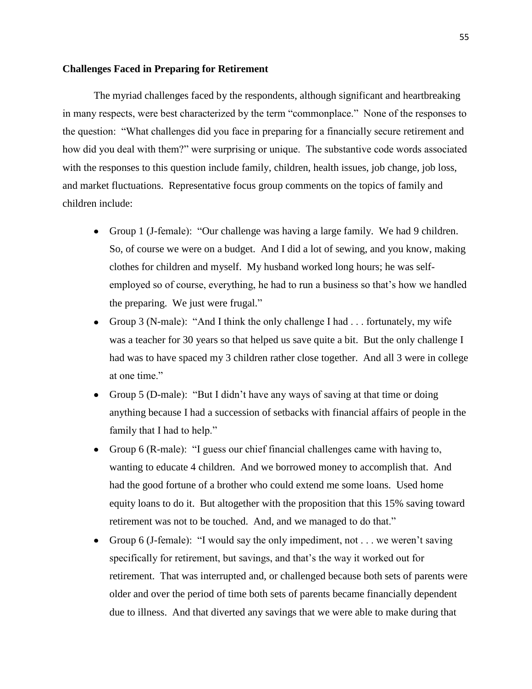## **Challenges Faced in Preparing for Retirement**

The myriad challenges faced by the respondents, although significant and heartbreaking in many respects, were best characterized by the term "commonplace." None of the responses to the question: "What challenges did you face in preparing for a financially secure retirement and how did you deal with them?" were surprising or unique. The substantive code words associated with the responses to this question include family, children, health issues, job change, job loss, and market fluctuations. Representative focus group comments on the topics of family and children include:

- Group 1 (J-female): "Our challenge was having a large family. We had 9 children. So, of course we were on a budget. And I did a lot of sewing, and you know, making clothes for children and myself. My husband worked long hours; he was selfemployed so of course, everything, he had to run a business so that's how we handled the preparing. We just were frugal."
- Group 3 (N-male): "And I think the only challenge I had . . . fortunately, my wife was a teacher for 30 years so that helped us save quite a bit. But the only challenge I had was to have spaced my 3 children rather close together. And all 3 were in college at one time."
- Group 5 (D-male): "But I didn't have any ways of saving at that time or doing anything because I had a succession of setbacks with financial affairs of people in the family that I had to help."
- Group 6 (R-male): "I guess our chief financial challenges came with having to, wanting to educate 4 children. And we borrowed money to accomplish that. And had the good fortune of a brother who could extend me some loans. Used home equity loans to do it. But altogether with the proposition that this 15% saving toward retirement was not to be touched. And, and we managed to do that."
- Group 6 (J-female): "I would say the only impediment, not . . . we weren't saving specifically for retirement, but savings, and that's the way it worked out for retirement. That was interrupted and, or challenged because both sets of parents were older and over the period of time both sets of parents became financially dependent due to illness. And that diverted any savings that we were able to make during that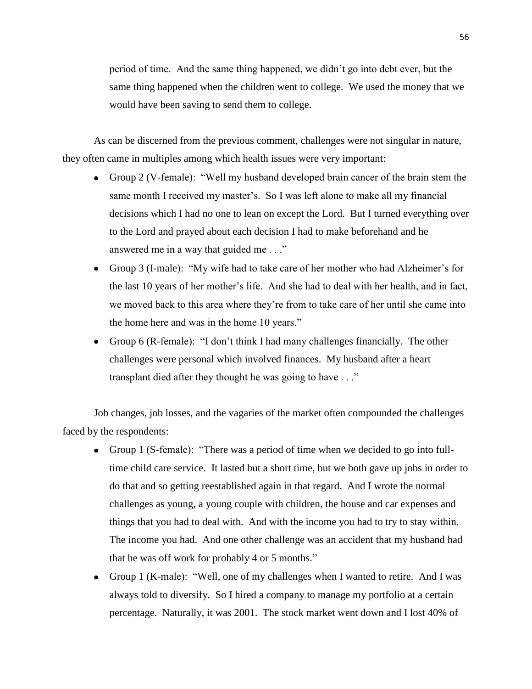period of time. And the same thing happened, we didn't go into debt ever, but the same thing happened when the children went to college. We used the money that we would have been saving to send them to college.

As can be discerned from the previous comment, challenges were not singular in nature, they often came in multiples among which health issues were very important:

- Group 2 (V-female): "Well my husband developed brain cancer of the brain stem the same month I received my master's. So I was left alone to make all my financial decisions which I had no one to lean on except the Lord. But I turned everything over to the Lord and prayed about each decision I had to make beforehand and he answered me in a way that guided me . . ."
- Group 3 (I-male): "My wife had to take care of her mother who had Alzheimer's for the last 10 years of her mother's life. And she had to deal with her health, and in fact, we moved back to this area where they're from to take care of her until she came into the home here and was in the home 10 years."
- Group 6 (R-female): "I don't think I had many challenges financially. The other challenges were personal which involved finances. My husband after a heart transplant died after they thought he was going to have . . ."

Job changes, job losses, and the vagaries of the market often compounded the challenges faced by the respondents:

- Group 1 (S-female): "There was a period of time when we decided to go into fulltime child care service. It lasted but a short time, but we both gave up jobs in order to do that and so getting reestablished again in that regard. And I wrote the normal challenges as young, a young couple with children, the house and car expenses and things that you had to deal with. And with the income you had to try to stay within. The income you had. And one other challenge was an accident that my husband had that he was off work for probably 4 or 5 months."
- Group 1 (K-male): "Well, one of my challenges when I wanted to retire. And I was always told to diversify. So I hired a company to manage my portfolio at a certain percentage. Naturally, it was 2001. The stock market went down and I lost 40% of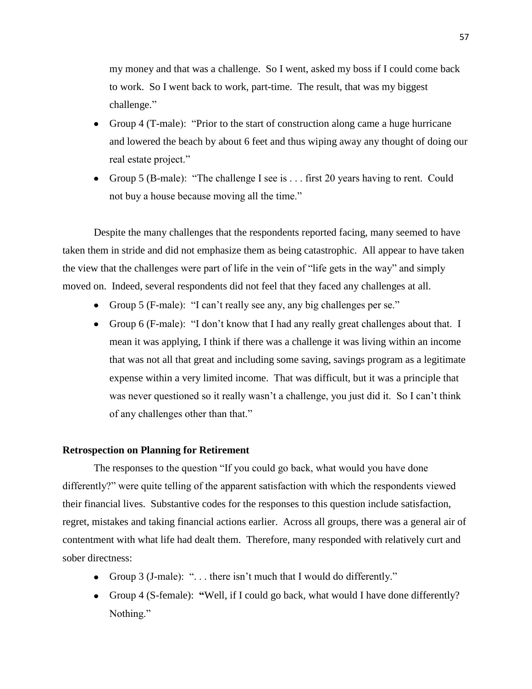my money and that was a challenge. So I went, asked my boss if I could come back to work. So I went back to work, part-time. The result, that was my biggest challenge."

- Group 4 (T-male): "Prior to the start of construction along came a huge hurricane and lowered the beach by about 6 feet and thus wiping away any thought of doing our real estate project."
- Group 5 (B-male): "The challenge I see is . . . first 20 years having to rent. Could not buy a house because moving all the time."

Despite the many challenges that the respondents reported facing, many seemed to have taken them in stride and did not emphasize them as being catastrophic. All appear to have taken the view that the challenges were part of life in the vein of "life gets in the way" and simply moved on. Indeed, several respondents did not feel that they faced any challenges at all.

- Group 5 (F-male): "I can't really see any, any big challenges per se."
- Group 6 (F-male): "I don't know that I had any really great challenges about that. I mean it was applying, I think if there was a challenge it was living within an income that was not all that great and including some saving, savings program as a legitimate expense within a very limited income. That was difficult, but it was a principle that was never questioned so it really wasn't a challenge, you just did it. So I can't think of any challenges other than that."

## **Retrospection on Planning for Retirement**

The responses to the question "If you could go back, what would you have done differently?" were quite telling of the apparent satisfaction with which the respondents viewed their financial lives. Substantive codes for the responses to this question include satisfaction, regret, mistakes and taking financial actions earlier. Across all groups, there was a general air of contentment with what life had dealt them. Therefore, many responded with relatively curt and sober directness:

- Group 3 (J-male): "... there isn't much that I would do differently."
- Group 4 (S-female): **"**Well, if I could go back, what would I have done differently? Nothing."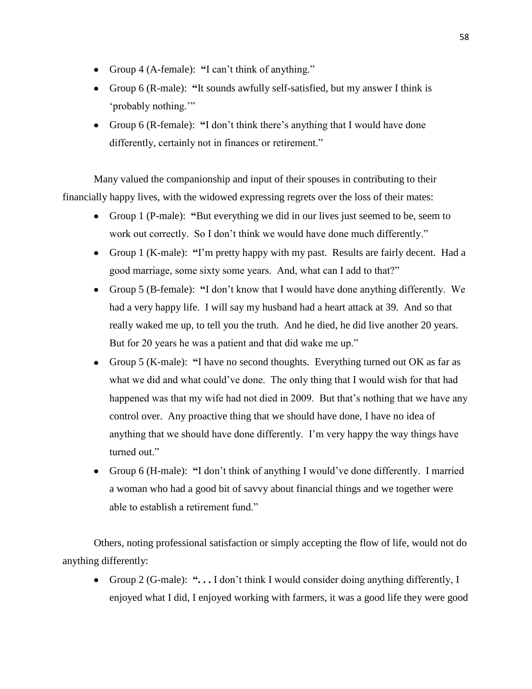- Group 4 (A-female): **"**I can't think of anything."
- Group 6 (R-male): **"**It sounds awfully self-satisfied, but my answer I think is 'probably nothing.'"
- Group 6 (R-female): **"**I don't think there's anything that I would have done differently, certainly not in finances or retirement."

Many valued the companionship and input of their spouses in contributing to their financially happy lives, with the widowed expressing regrets over the loss of their mates:

- Group 1 (P-male): **"**But everything we did in our lives just seemed to be, seem to work out correctly. So I don't think we would have done much differently."
- Group 1 (K-male): **"**I'm pretty happy with my past. Results are fairly decent. Had a good marriage, some sixty some years. And, what can I add to that?"
- Group 5 (B-female): **"**I don't know that I would have done anything differently. We had a very happy life. I will say my husband had a heart attack at 39. And so that really waked me up, to tell you the truth. And he died, he did live another 20 years. But for 20 years he was a patient and that did wake me up."
- Group 5 (K-male): **"**I have no second thoughts. Everything turned out OK as far as what we did and what could've done. The only thing that I would wish for that had happened was that my wife had not died in 2009. But that's nothing that we have any control over. Any proactive thing that we should have done, I have no idea of anything that we should have done differently. I'm very happy the way things have turned out."
- Group 6 (H-male): **"**I don't think of anything I would've done differently. I married a woman who had a good bit of savvy about financial things and we together were able to establish a retirement fund."

Others, noting professional satisfaction or simply accepting the flow of life, would not do anything differently:

Group 2 (G-male): **". . .** I don't think I would consider doing anything differently, I enjoyed what I did, I enjoyed working with farmers, it was a good life they were good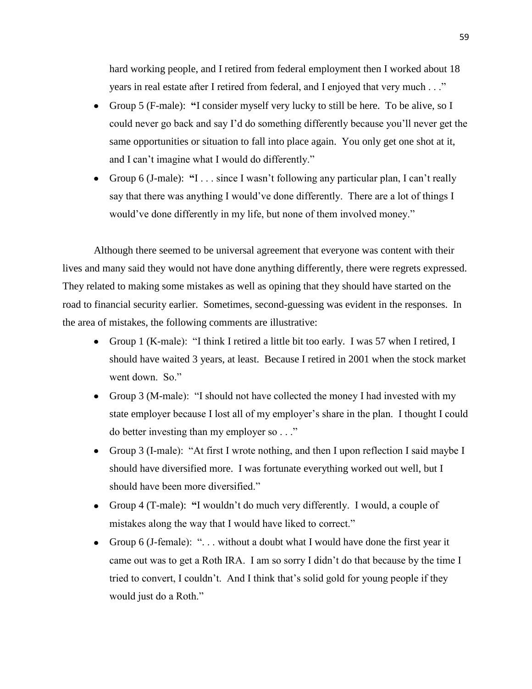hard working people, and I retired from federal employment then I worked about 18 years in real estate after I retired from federal, and I enjoyed that very much . . ."

- Group 5 (F-male): **"**I consider myself very lucky to still be here. To be alive, so I could never go back and say I'd do something differently because you'll never get the same opportunities or situation to fall into place again. You only get one shot at it, and I can't imagine what I would do differently."
- Group 6 (J-male): **"**I . . . since I wasn't following any particular plan, I can't really say that there was anything I would've done differently. There are a lot of things I would've done differently in my life, but none of them involved money."

Although there seemed to be universal agreement that everyone was content with their lives and many said they would not have done anything differently, there were regrets expressed. They related to making some mistakes as well as opining that they should have started on the road to financial security earlier. Sometimes, second-guessing was evident in the responses. In the area of mistakes, the following comments are illustrative:

- Group 1 (K-male): "I think I retired a little bit too early. I was 57 when I retired, I should have waited 3 years, at least. Because I retired in 2001 when the stock market went down. So."
- Group 3 (M-male): "I should not have collected the money I had invested with my state employer because I lost all of my employer's share in the plan. I thought I could do better investing than my employer so . . ."
- Group 3 (I-male): "At first I wrote nothing, and then I upon reflection I said maybe I should have diversified more. I was fortunate everything worked out well, but I should have been more diversified."
- Group 4 (T-male): **"**I wouldn't do much very differently. I would, a couple of mistakes along the way that I would have liked to correct."
- Group 6 (J-female): ". . . without a doubt what I would have done the first year it came out was to get a Roth IRA. I am so sorry I didn't do that because by the time I tried to convert, I couldn't. And I think that's solid gold for young people if they would just do a Roth."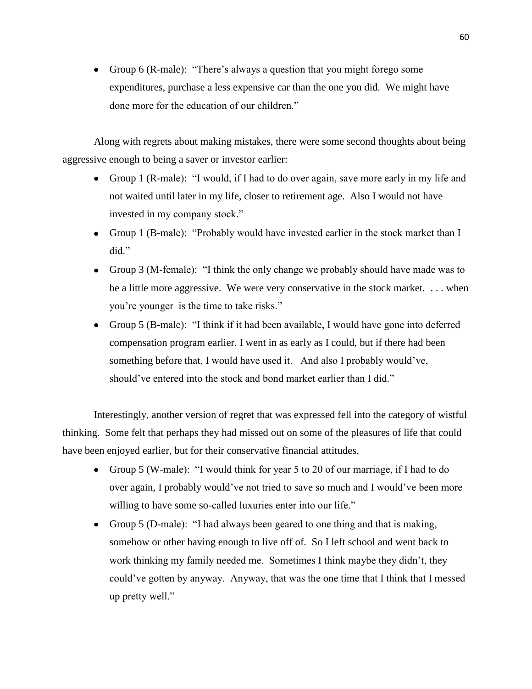Group 6 (R-male): "There's always a question that you might forego some expenditures, purchase a less expensive car than the one you did. We might have done more for the education of our children."

Along with regrets about making mistakes, there were some second thoughts about being aggressive enough to being a saver or investor earlier:

- Group 1 (R-male): "I would, if I had to do over again, save more early in my life and not waited until later in my life, closer to retirement age. Also I would not have invested in my company stock."
- Group 1 (B-male): "Probably would have invested earlier in the stock market than I did"
- Group 3 (M-female): "I think the only change we probably should have made was to be a little more aggressive. We were very conservative in the stock market. . . . when you're younger is the time to take risks."
- Group 5 (B-male): "I think if it had been available, I would have gone into deferred compensation program earlier. I went in as early as I could, but if there had been something before that, I would have used it. And also I probably would've, should've entered into the stock and bond market earlier than I did."

Interestingly, another version of regret that was expressed fell into the category of wistful thinking. Some felt that perhaps they had missed out on some of the pleasures of life that could have been enjoyed earlier, but for their conservative financial attitudes.

- Group 5 (W-male): "I would think for year 5 to 20 of our marriage, if I had to do over again, I probably would've not tried to save so much and I would've been more willing to have some so-called luxuries enter into our life."
- Group 5 (D-male): "I had always been geared to one thing and that is making, somehow or other having enough to live off of. So I left school and went back to work thinking my family needed me. Sometimes I think maybe they didn't, they could've gotten by anyway. Anyway, that was the one time that I think that I messed up pretty well."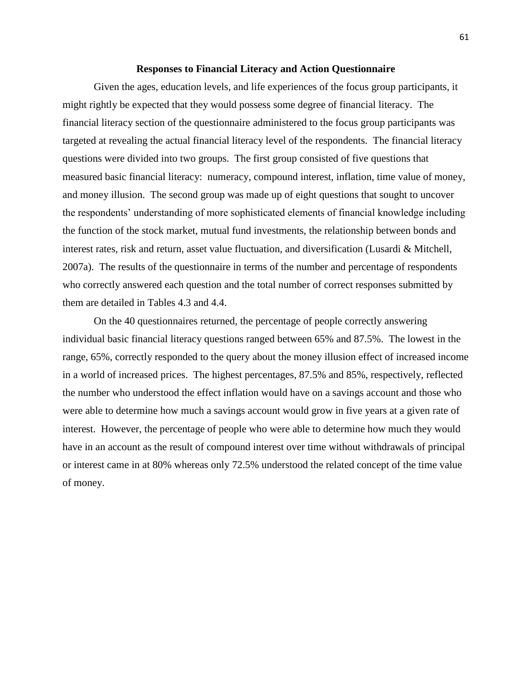#### **Responses to Financial Literacy and Action Questionnaire**

Given the ages, education levels, and life experiences of the focus group participants, it might rightly be expected that they would possess some degree of financial literacy. The financial literacy section of the questionnaire administered to the focus group participants was targeted at revealing the actual financial literacy level of the respondents. The financial literacy questions were divided into two groups. The first group consisted of five questions that measured basic financial literacy: numeracy, compound interest, inflation, time value of money, and money illusion. The second group was made up of eight questions that sought to uncover the respondents' understanding of more sophisticated elements of financial knowledge including the function of the stock market, mutual fund investments, the relationship between bonds and interest rates, risk and return, asset value fluctuation, and diversification (Lusardi & Mitchell, 2007a). The results of the questionnaire in terms of the number and percentage of respondents who correctly answered each question and the total number of correct responses submitted by them are detailed in Tables 4.3 and 4.4.

On the 40 questionnaires returned, the percentage of people correctly answering individual basic financial literacy questions ranged between 65% and 87.5%. The lowest in the range, 65%, correctly responded to the query about the money illusion effect of increased income in a world of increased prices. The highest percentages, 87.5% and 85%, respectively, reflected the number who understood the effect inflation would have on a savings account and those who were able to determine how much a savings account would grow in five years at a given rate of interest. However, the percentage of people who were able to determine how much they would have in an account as the result of compound interest over time without withdrawals of principal or interest came in at 80% whereas only 72.5% understood the related concept of the time value of money.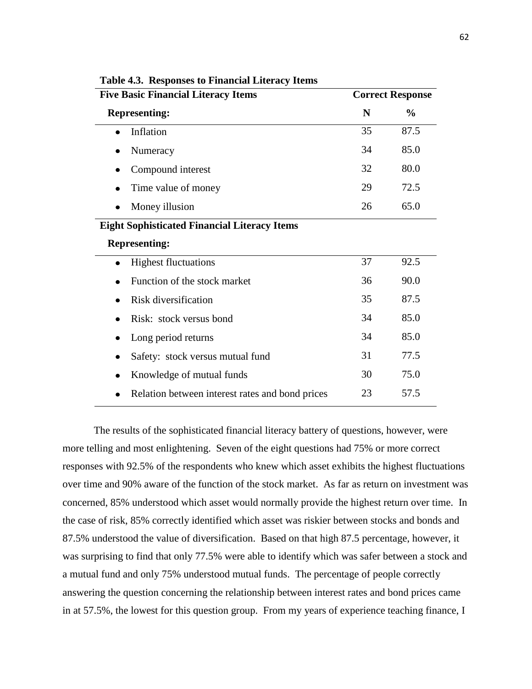| <b>Five Basic Financial Literacy Items</b>          | <b>Correct Response</b> |               |  |  |  |
|-----------------------------------------------------|-------------------------|---------------|--|--|--|
| <b>Representing:</b>                                | N                       | $\frac{0}{0}$ |  |  |  |
| Inflation                                           | 35                      | 87.5          |  |  |  |
| Numeracy<br>$\bullet$                               | 34                      | 85.0          |  |  |  |
| Compound interest                                   | 32                      | 80.0          |  |  |  |
| Time value of money                                 | 29                      | 72.5          |  |  |  |
| Money illusion                                      | 26                      | 65.0          |  |  |  |
| <b>Eight Sophisticated Financial Literacy Items</b> |                         |               |  |  |  |
| <b>Representing:</b>                                |                         |               |  |  |  |
| <b>Highest fluctuations</b><br>$\bullet$            | 37                      | 92.5          |  |  |  |
| Function of the stock market                        | 36                      | 90.0          |  |  |  |
| Risk diversification                                | 35                      | 87.5          |  |  |  |
| Risk: stock versus bond                             | 34                      | 85.0          |  |  |  |
| Long period returns                                 | 34                      | 85.0          |  |  |  |
| Safety: stock versus mutual fund<br>٠               | 31                      | 77.5          |  |  |  |
| Knowledge of mutual funds                           | 30                      | 75.0          |  |  |  |
| Relation between interest rates and bond prices     | 23                      | 57.5          |  |  |  |

**Table 4.3. Responses to Financial Literacy Items**

The results of the sophisticated financial literacy battery of questions, however, were more telling and most enlightening. Seven of the eight questions had 75% or more correct responses with 92.5% of the respondents who knew which asset exhibits the highest fluctuations over time and 90% aware of the function of the stock market. As far as return on investment was concerned, 85% understood which asset would normally provide the highest return over time. In the case of risk, 85% correctly identified which asset was riskier between stocks and bonds and 87.5% understood the value of diversification. Based on that high 87.5 percentage, however, it was surprising to find that only 77.5% were able to identify which was safer between a stock and a mutual fund and only 75% understood mutual funds. The percentage of people correctly answering the question concerning the relationship between interest rates and bond prices came in at 57.5%, the lowest for this question group. From my years of experience teaching finance, I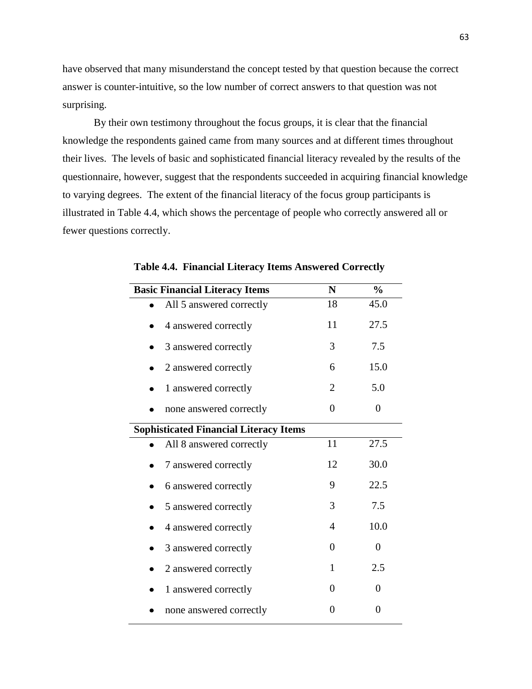have observed that many misunderstand the concept tested by that question because the correct answer is counter-intuitive, so the low number of correct answers to that question was not surprising.

By their own testimony throughout the focus groups, it is clear that the financial knowledge the respondents gained came from many sources and at different times throughout their lives. The levels of basic and sophisticated financial literacy revealed by the results of the questionnaire, however, suggest that the respondents succeeded in acquiring financial knowledge to varying degrees. The extent of the financial literacy of the focus group participants is illustrated in Table 4.4, which shows the percentage of people who correctly answered all or fewer questions correctly.

| <b>Basic Financial Literacy Items</b>         | N        | $\frac{0}{0}$  |
|-----------------------------------------------|----------|----------------|
| All 5 answered correctly                      | 18       | 45.0           |
| 4 answered correctly                          | 11       | 27.5           |
| 3 answered correctly                          | 3        | 7.5            |
| 2 answered correctly                          | 6        | 15.0           |
| 1 answered correctly                          | 2        | 5.0            |
| none answered correctly                       | $\theta$ | $\overline{0}$ |
| <b>Sophisticated Financial Literacy Items</b> |          |                |
| All 8 answered correctly                      | 11       | 27.5           |
| 7 answered correctly                          | 12       | 30.0           |
| 6 answered correctly                          | 9        | 22.5           |
| 5 answered correctly                          | 3        | 7.5            |
| 4 answered correctly                          | 4        | 10.0           |
| 3 answered correctly                          | $\theta$ | 0              |
| 2 answered correctly                          | 1        | 2.5            |
| 1 answered correctly                          | 0        | $\overline{0}$ |
| none answered correctly                       | 0        | 0              |

**Table 4.4. Financial Literacy Items Answered Correctly**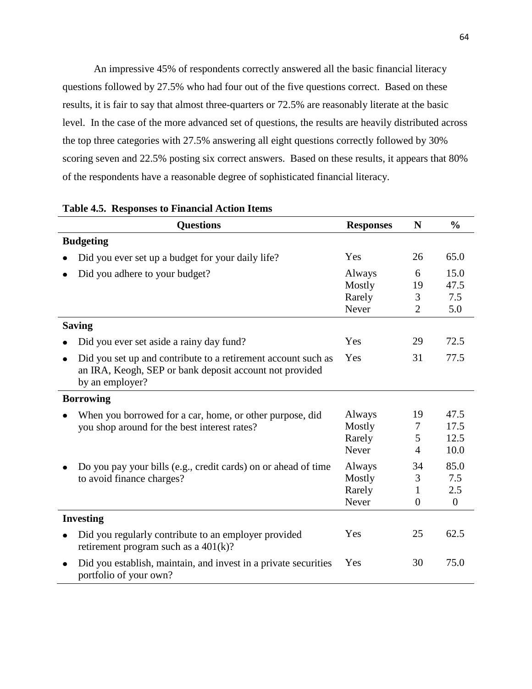An impressive 45% of respondents correctly answered all the basic financial literacy questions followed by 27.5% who had four out of the five questions correct. Based on these results, it is fair to say that almost three-quarters or 72.5% are reasonably literate at the basic level. In the case of the more advanced set of questions, the results are heavily distributed across the top three categories with 27.5% answering all eight questions correctly followed by 30% scoring seven and 22.5% posting six correct answers. Based on these results, it appears that 80% of the respondents have a reasonable degree of sophisticated financial literacy.

| <b>Questions</b>                                                                                                                            | <b>Responses</b> | N              | $\frac{0}{0}$  |
|---------------------------------------------------------------------------------------------------------------------------------------------|------------------|----------------|----------------|
| <b>Budgeting</b>                                                                                                                            |                  |                |                |
| Did you ever set up a budget for your daily life?                                                                                           | Yes              | 26             | 65.0           |
| Did you adhere to your budget?                                                                                                              | Always           | 6              | 15.0           |
|                                                                                                                                             | Mostly           | 19             | 47.5           |
|                                                                                                                                             | Rarely           | 3              | 7.5            |
|                                                                                                                                             | Never            | $\overline{2}$ | 5.0            |
| <b>Saving</b>                                                                                                                               |                  |                |                |
| Did you ever set aside a rainy day fund?                                                                                                    | Yes              | 29             | 72.5           |
| Did you set up and contribute to a retirement account such as<br>an IRA, Keogh, SEP or bank deposit account not provided<br>by an employer? | Yes              | 31             | 77.5           |
| <b>Borrowing</b>                                                                                                                            |                  |                |                |
| When you borrowed for a car, home, or other purpose, did                                                                                    | Always           | 19             | 47.5           |
| you shop around for the best interest rates?                                                                                                | Mostly           | 7              | 17.5           |
|                                                                                                                                             | Rarely           | 5              | 12.5           |
|                                                                                                                                             | Never            | $\overline{4}$ | 10.0           |
| Do you pay your bills (e.g., credit cards) on or ahead of time                                                                              | Always           | 34             | 85.0           |
| to avoid finance charges?                                                                                                                   | Mostly           | 3              | 7.5            |
|                                                                                                                                             | Rarely           | 1              | 2.5            |
|                                                                                                                                             | Never            | $\overline{0}$ | $\overline{0}$ |
| <b>Investing</b>                                                                                                                            |                  |                |                |
| Did you regularly contribute to an employer provided<br>retirement program such as a $401(k)$ ?                                             | Yes              | 25             | 62.5           |
| Did you establish, maintain, and invest in a private securities<br>portfolio of your own?                                                   | Yes              | 30             | 75.0           |

#### **Table 4.5. Responses to Financial Action Items**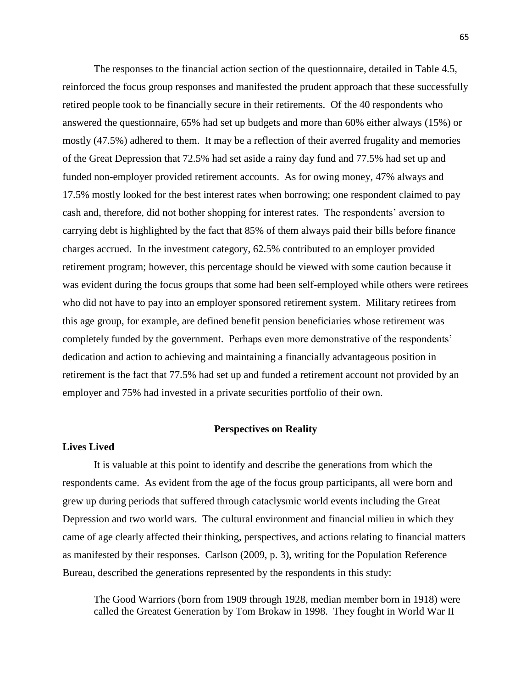The responses to the financial action section of the questionnaire, detailed in Table 4.5, reinforced the focus group responses and manifested the prudent approach that these successfully retired people took to be financially secure in their retirements. Of the 40 respondents who answered the questionnaire, 65% had set up budgets and more than 60% either always (15%) or mostly (47.5%) adhered to them. It may be a reflection of their averred frugality and memories of the Great Depression that 72.5% had set aside a rainy day fund and 77.5% had set up and funded non-employer provided retirement accounts. As for owing money, 47% always and 17.5% mostly looked for the best interest rates when borrowing; one respondent claimed to pay cash and, therefore, did not bother shopping for interest rates. The respondents' aversion to carrying debt is highlighted by the fact that 85% of them always paid their bills before finance charges accrued. In the investment category, 62.5% contributed to an employer provided retirement program; however, this percentage should be viewed with some caution because it was evident during the focus groups that some had been self-employed while others were retirees who did not have to pay into an employer sponsored retirement system. Military retirees from this age group, for example, are defined benefit pension beneficiaries whose retirement was completely funded by the government. Perhaps even more demonstrative of the respondents' dedication and action to achieving and maintaining a financially advantageous position in retirement is the fact that 77.5% had set up and funded a retirement account not provided by an employer and 75% had invested in a private securities portfolio of their own.

### **Perspectives on Reality**

### **Lives Lived**

It is valuable at this point to identify and describe the generations from which the respondents came. As evident from the age of the focus group participants, all were born and grew up during periods that suffered through cataclysmic world events including the Great Depression and two world wars. The cultural environment and financial milieu in which they came of age clearly affected their thinking, perspectives, and actions relating to financial matters as manifested by their responses. Carlson (2009, p. 3), writing for the Population Reference Bureau, described the generations represented by the respondents in this study:

The Good Warriors (born from 1909 through 1928, median member born in 1918) were called the Greatest Generation by Tom Brokaw in 1998. They fought in World War II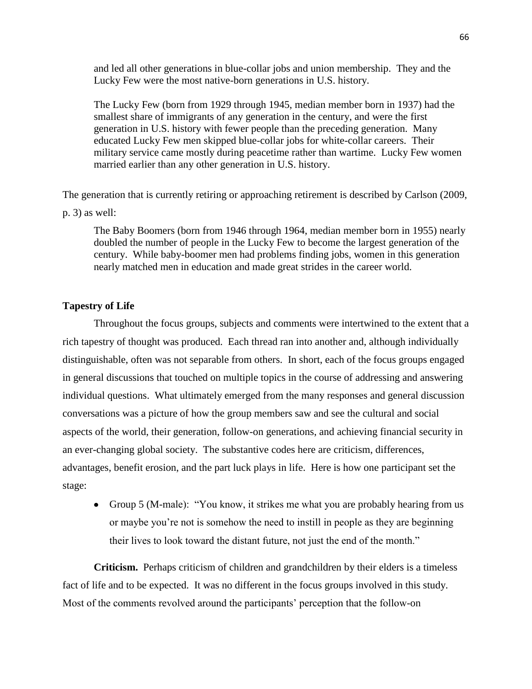and led all other generations in blue-collar jobs and union membership. They and the Lucky Few were the most native-born generations in U.S. history.

The Lucky Few (born from 1929 through 1945, median member born in 1937) had the smallest share of immigrants of any generation in the century, and were the first generation in U.S. history with fewer people than the preceding generation. Many educated Lucky Few men skipped blue-collar jobs for white-collar careers. Their military service came mostly during peacetime rather than wartime. Lucky Few women married earlier than any other generation in U.S. history.

The generation that is currently retiring or approaching retirement is described by Carlson (2009,

p. 3) as well:

The Baby Boomers (born from 1946 through 1964, median member born in 1955) nearly doubled the number of people in the Lucky Few to become the largest generation of the century. While baby-boomer men had problems finding jobs, women in this generation nearly matched men in education and made great strides in the career world.

### **Tapestry of Life**

Throughout the focus groups, subjects and comments were intertwined to the extent that a rich tapestry of thought was produced. Each thread ran into another and, although individually distinguishable, often was not separable from others. In short, each of the focus groups engaged in general discussions that touched on multiple topics in the course of addressing and answering individual questions. What ultimately emerged from the many responses and general discussion conversations was a picture of how the group members saw and see the cultural and social aspects of the world, their generation, follow-on generations, and achieving financial security in an ever-changing global society. The substantive codes here are criticism, differences, advantages, benefit erosion, and the part luck plays in life. Here is how one participant set the stage:

Group 5 (M-male): "You know, it strikes me what you are probably hearing from us or maybe you're not is somehow the need to instill in people as they are beginning their lives to look toward the distant future, not just the end of the month."

**Criticism.** Perhaps criticism of children and grandchildren by their elders is a timeless fact of life and to be expected. It was no different in the focus groups involved in this study. Most of the comments revolved around the participants' perception that the follow-on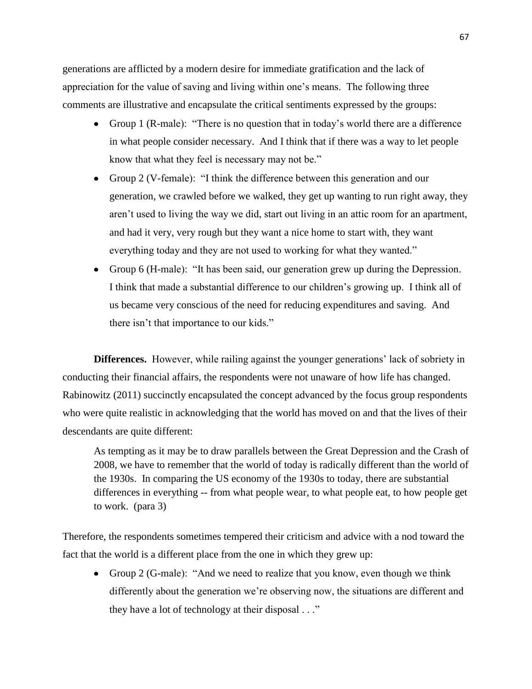generations are afflicted by a modern desire for immediate gratification and the lack of appreciation for the value of saving and living within one's means. The following three comments are illustrative and encapsulate the critical sentiments expressed by the groups:

- Group 1 (R-male): "There is no question that in today's world there are a difference in what people consider necessary. And I think that if there was a way to let people know that what they feel is necessary may not be."
- Group 2 (V-female): "I think the difference between this generation and our generation, we crawled before we walked, they get up wanting to run right away, they aren't used to living the way we did, start out living in an attic room for an apartment, and had it very, very rough but they want a nice home to start with, they want everything today and they are not used to working for what they wanted."
- Group 6 (H-male): "It has been said, our generation grew up during the Depression. I think that made a substantial difference to our children's growing up. I think all of us became very conscious of the need for reducing expenditures and saving. And there isn't that importance to our kids."

**Differences.** However, while railing against the younger generations' lack of sobriety in conducting their financial affairs, the respondents were not unaware of how life has changed. Rabinowitz (2011) succinctly encapsulated the concept advanced by the focus group respondents who were quite realistic in acknowledging that the world has moved on and that the lives of their descendants are quite different:

As tempting as it may be to draw parallels between the Great Depression and the Crash of 2008, we have to remember that the world of today is radically different than the world of the 1930s. In comparing the US economy of the 1930s to today, there are substantial differences in everything -- from what people wear, to what people eat, to how people get to work. (para 3)

Therefore, the respondents sometimes tempered their criticism and advice with a nod toward the fact that the world is a different place from the one in which they grew up:

• Group 2 (G-male): "And we need to realize that you know, even though we think differently about the generation we're observing now, the situations are different and they have a lot of technology at their disposal . . ."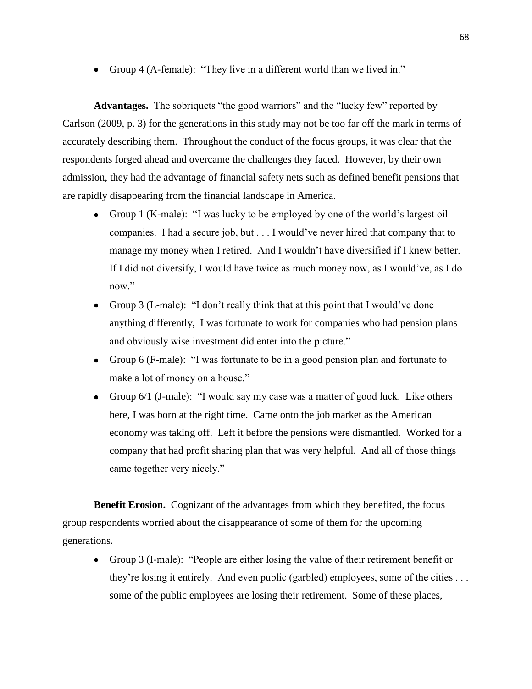• Group 4 (A-female): "They live in a different world than we lived in."

**Advantages.** The sobriquets "the good warriors" and the "lucky few" reported by Carlson (2009, p. 3) for the generations in this study may not be too far off the mark in terms of accurately describing them. Throughout the conduct of the focus groups, it was clear that the respondents forged ahead and overcame the challenges they faced. However, by their own admission, they had the advantage of financial safety nets such as defined benefit pensions that are rapidly disappearing from the financial landscape in America.

- Group 1 (K-male): "I was lucky to be employed by one of the world's largest oil companies. I had a secure job, but . . . I would've never hired that company that to manage my money when I retired. And I wouldn't have diversified if I knew better. If I did not diversify, I would have twice as much money now, as I would've, as I do now."
- Group 3 (L-male): "I don't really think that at this point that I would've done anything differently, I was fortunate to work for companies who had pension plans and obviously wise investment did enter into the picture."
- Group 6 (F-male): "I was fortunate to be in a good pension plan and fortunate to make a lot of money on a house."
- Group 6/1 (J-male): "I would say my case was a matter of good luck. Like others here, I was born at the right time. Came onto the job market as the American economy was taking off. Left it before the pensions were dismantled. Worked for a company that had profit sharing plan that was very helpful. And all of those things came together very nicely."

**Benefit Erosion.** Cognizant of the advantages from which they benefited, the focus group respondents worried about the disappearance of some of them for the upcoming generations.

Group 3 (I-male): "People are either losing the value of their retirement benefit or they're losing it entirely. And even public (garbled) employees, some of the cities . . . some of the public employees are losing their retirement. Some of these places,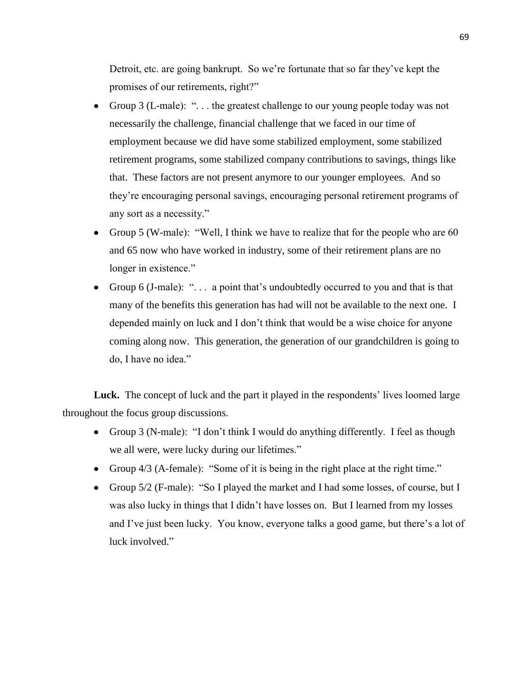Detroit, etc. are going bankrupt. So we're fortunate that so far they've kept the promises of our retirements, right?"

- Group 3 (L-male): ". . . the greatest challenge to our young people today was not necessarily the challenge, financial challenge that we faced in our time of employment because we did have some stabilized employment, some stabilized retirement programs, some stabilized company contributions to savings, things like that. These factors are not present anymore to our younger employees. And so they're encouraging personal savings, encouraging personal retirement programs of any sort as a necessity."
- Group 5 (W-male): "Well, I think we have to realize that for the people who are 60 and 65 now who have worked in industry, some of their retirement plans are no longer in existence."
- Group 6 (J-male): "... a point that's undoubtedly occurred to you and that is that many of the benefits this generation has had will not be available to the next one. I depended mainly on luck and I don't think that would be a wise choice for anyone coming along now. This generation, the generation of our grandchildren is going to do, I have no idea."

Luck. The concept of luck and the part it played in the respondents' lives loomed large throughout the focus group discussions.

- Group 3 (N-male): "I don't think I would do anything differently. I feel as though we all were, were lucky during our lifetimes."
- Group 4/3 (A-female): "Some of it is being in the right place at the right time."
- Group 5/2 (F-male): "So I played the market and I had some losses, of course, but I was also lucky in things that I didn't have losses on. But I learned from my losses and I've just been lucky. You know, everyone talks a good game, but there's a lot of luck involved."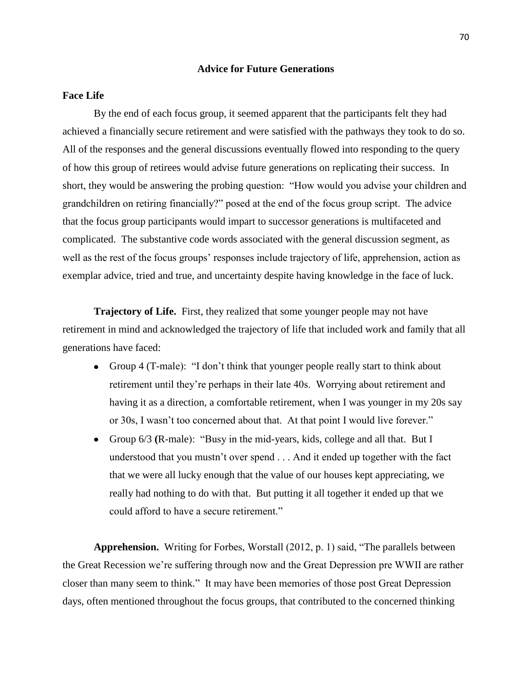### **Advice for Future Generations**

### **Face Life**

By the end of each focus group, it seemed apparent that the participants felt they had achieved a financially secure retirement and were satisfied with the pathways they took to do so. All of the responses and the general discussions eventually flowed into responding to the query of how this group of retirees would advise future generations on replicating their success. In short, they would be answering the probing question: "How would you advise your children and grandchildren on retiring financially?" posed at the end of the focus group script. The advice that the focus group participants would impart to successor generations is multifaceted and complicated. The substantive code words associated with the general discussion segment, as well as the rest of the focus groups' responses include trajectory of life, apprehension, action as exemplar advice, tried and true, and uncertainty despite having knowledge in the face of luck.

**Trajectory of Life.** First, they realized that some younger people may not have retirement in mind and acknowledged the trajectory of life that included work and family that all generations have faced:

- Group 4 (T-male): "I don't think that younger people really start to think about retirement until they're perhaps in their late 40s. Worrying about retirement and having it as a direction, a comfortable retirement, when I was younger in my 20s say or 30s, I wasn't too concerned about that. At that point I would live forever."
- Group 6/3 **(**R-male): "Busy in the mid-years, kids, college and all that. But I understood that you mustn't over spend . . . And it ended up together with the fact that we were all lucky enough that the value of our houses kept appreciating, we really had nothing to do with that. But putting it all together it ended up that we could afford to have a secure retirement."

**Apprehension.** Writing for Forbes, Worstall (2012, p. 1) said, "The parallels between the Great Recession we're suffering through now and the Great Depression pre WWII are rather closer than many seem to think." It may have been memories of those post Great Depression days, often mentioned throughout the focus groups, that contributed to the concerned thinking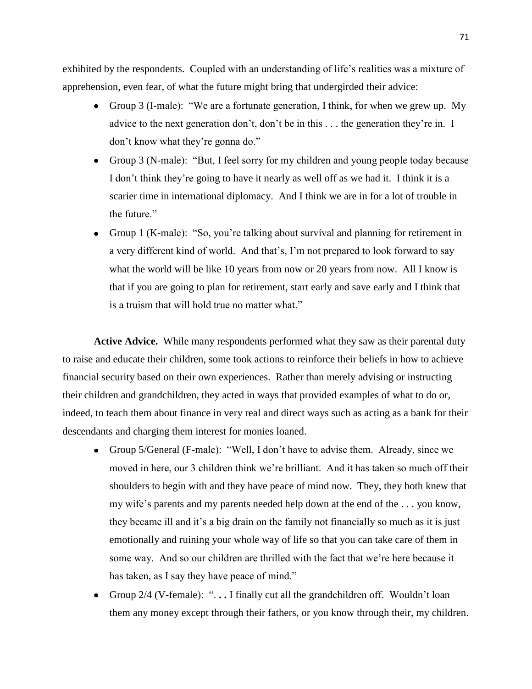exhibited by the respondents. Coupled with an understanding of life's realities was a mixture of apprehension, even fear, of what the future might bring that undergirded their advice:

- Group 3 (I-male): "We are a fortunate generation, I think, for when we grew up. My advice to the next generation don't, don't be in this . . . the generation they're in. I don't know what they're gonna do."
- Group 3 (N-male): "But, I feel sorry for my children and young people today because I don't think they're going to have it nearly as well off as we had it. I think it is a scarier time in international diplomacy. And I think we are in for a lot of trouble in the future."
- Group 1 (K-male): "So, you're talking about survival and planning for retirement in a very different kind of world. And that's, I'm not prepared to look forward to say what the world will be like 10 years from now or 20 years from now. All I know is that if you are going to plan for retirement, start early and save early and I think that is a truism that will hold true no matter what."

**Active Advice.** While many respondents performed what they saw as their parental duty to raise and educate their children, some took actions to reinforce their beliefs in how to achieve financial security based on their own experiences. Rather than merely advising or instructing their children and grandchildren, they acted in ways that provided examples of what to do or, indeed, to teach them about finance in very real and direct ways such as acting as a bank for their descendants and charging them interest for monies loaned.

- Group 5/General (F-male): "Well, I don't have to advise them. Already, since we moved in here, our 3 children think we're brilliant. And it has taken so much off their shoulders to begin with and they have peace of mind now. They, they both knew that my wife's parents and my parents needed help down at the end of the . . . you know, they became ill and it's a big drain on the family not financially so much as it is just emotionally and ruining your whole way of life so that you can take care of them in some way. And so our children are thrilled with the fact that we're here because it has taken, as I say they have peace of mind."
- Group 2/4 (V-female): ". **. .** I finally cut all the grandchildren off. Wouldn't loan  $\bullet$ them any money except through their fathers, or you know through their, my children.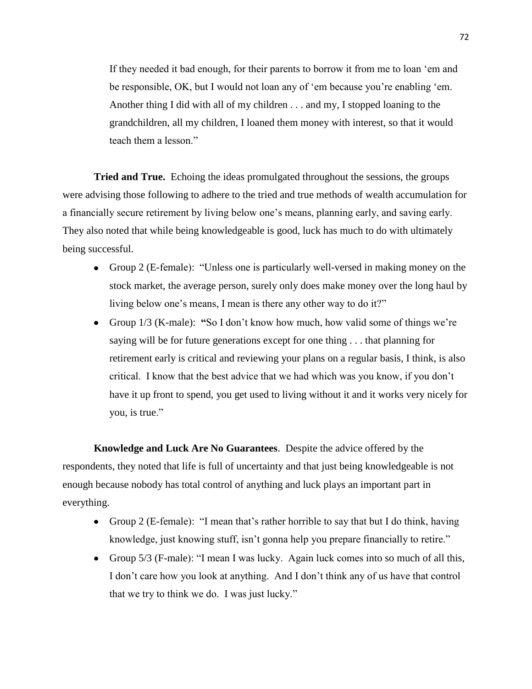If they needed it bad enough, for their parents to borrow it from me to loan 'em and be responsible, OK, but I would not loan any of 'em because you're enabling 'em. Another thing I did with all of my children . . . and my, I stopped loaning to the grandchildren, all my children, I loaned them money with interest, so that it would teach them a lesson."

**Tried and True.** Echoing the ideas promulgated throughout the sessions, the groups were advising those following to adhere to the tried and true methods of wealth accumulation for a financially secure retirement by living below one's means, planning early, and saving early. They also noted that while being knowledgeable is good, luck has much to do with ultimately being successful.

- Group 2 (E-female): "Unless one is particularly well-versed in making money on the stock market, the average person, surely only does make money over the long haul by living below one's means, I mean is there any other way to do it?"
- Group 1/3 (K-male): **"**So I don't know how much, how valid some of things we're saying will be for future generations except for one thing . . . that planning for retirement early is critical and reviewing your plans on a regular basis, I think, is also critical. I know that the best advice that we had which was you know, if you don't have it up front to spend, you get used to living without it and it works very nicely for you, is true."

**Knowledge and Luck Are No Guarantees**. Despite the advice offered by the respondents, they noted that life is full of uncertainty and that just being knowledgeable is not enough because nobody has total control of anything and luck plays an important part in everything.

- Group 2 (E-female): "I mean that's rather horrible to say that but I do think, having knowledge, just knowing stuff, isn't gonna help you prepare financially to retire."
- Group 5/3 (F-male): "I mean I was lucky. Again luck comes into so much of all this, I don't care how you look at anything. And I don't think any of us have that control that we try to think we do. I was just lucky."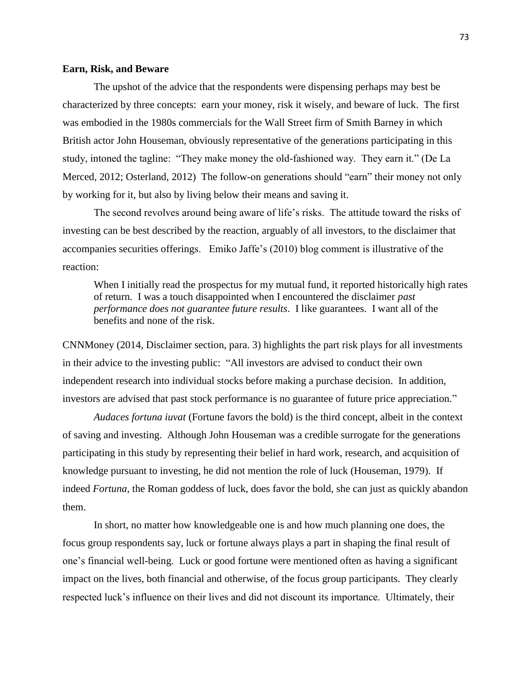#### **Earn, Risk, and Beware**

The upshot of the advice that the respondents were dispensing perhaps may best be characterized by three concepts: earn your money, risk it wisely, and beware of luck. The first was embodied in the 1980s commercials for the Wall Street firm of Smith Barney in which British actor John Houseman, obviously representative of the generations participating in this study, intoned the tagline: "They make money the old-fashioned way. They earn it." (De La Merced, 2012; Osterland, 2012) The follow-on generations should "earn" their money not only by working for it, but also by living below their means and saving it.

The second revolves around being aware of life's risks. The attitude toward the risks of investing can be best described by the reaction, arguably of all investors, to the disclaimer that accompanies securities offerings. Emiko Jaffe's (2010) blog comment is illustrative of the reaction:

When I initially read the prospectus for my mutual fund, it reported historically high rates of return. I was a touch disappointed when I encountered the disclaimer *past performance does not guarantee future results*. I like guarantees. I want all of the benefits and none of the risk.

CNNMoney (2014, Disclaimer section, para. 3) highlights the part risk plays for all investments in their advice to the investing public: "All investors are advised to conduct their own independent research into individual stocks before making a purchase decision. In addition, investors are advised that past stock performance is no guarantee of future price appreciation."

*Audaces fortuna iuvat* (Fortune favors the bold) is the third concept, albeit in the context of saving and investing. Although John Houseman was a credible surrogate for the generations participating in this study by representing their belief in hard work, research, and acquisition of knowledge pursuant to investing, he did not mention the role of luck (Houseman, 1979). If indeed *Fortuna*, the Roman goddess of luck, does favor the bold, she can just as quickly abandon them.

In short, no matter how knowledgeable one is and how much planning one does, the focus group respondents say, luck or fortune always plays a part in shaping the final result of one's financial well-being. Luck or good fortune were mentioned often as having a significant impact on the lives, both financial and otherwise, of the focus group participants. They clearly respected luck's influence on their lives and did not discount its importance. Ultimately, their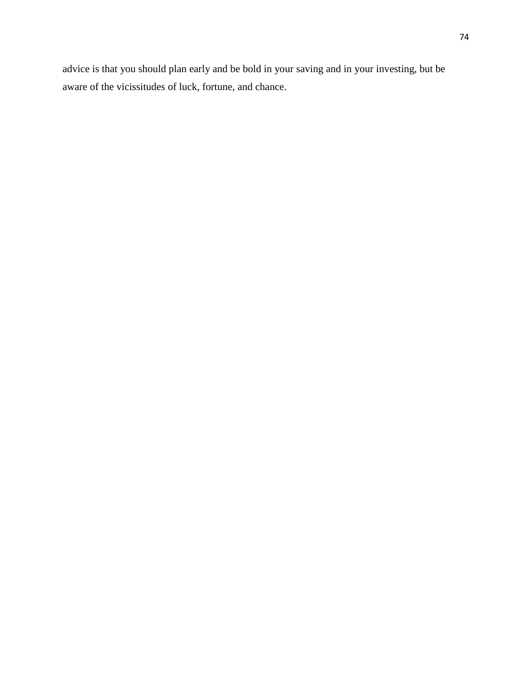advice is that you should plan early and be bold in your saving and in your investing, but be aware of the vicissitudes of luck, fortune, and chance.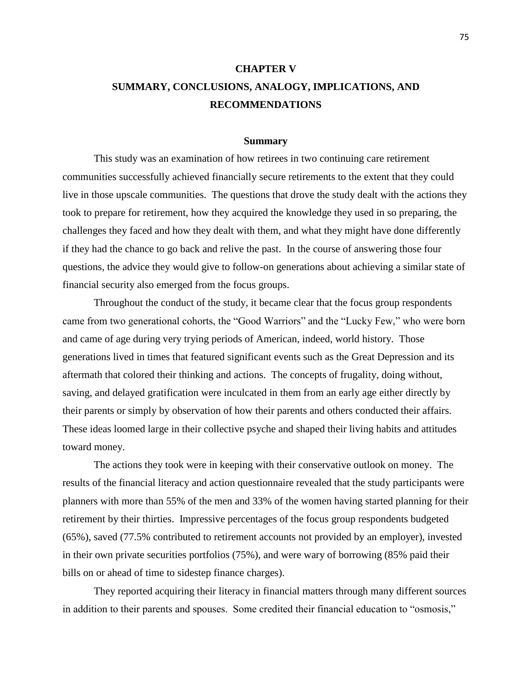# **CHAPTER V SUMMARY, CONCLUSIONS, ANALOGY, IMPLICATIONS, AND RECOMMENDATIONS**

#### **Summary**

This study was an examination of how retirees in two continuing care retirement communities successfully achieved financially secure retirements to the extent that they could live in those upscale communities. The questions that drove the study dealt with the actions they took to prepare for retirement, how they acquired the knowledge they used in so preparing, the challenges they faced and how they dealt with them, and what they might have done differently if they had the chance to go back and relive the past. In the course of answering those four questions, the advice they would give to follow-on generations about achieving a similar state of financial security also emerged from the focus groups.

Throughout the conduct of the study, it became clear that the focus group respondents came from two generational cohorts, the "Good Warriors" and the "Lucky Few," who were born and came of age during very trying periods of American, indeed, world history. Those generations lived in times that featured significant events such as the Great Depression and its aftermath that colored their thinking and actions. The concepts of frugality, doing without, saving, and delayed gratification were inculcated in them from an early age either directly by their parents or simply by observation of how their parents and others conducted their affairs. These ideas loomed large in their collective psyche and shaped their living habits and attitudes toward money.

The actions they took were in keeping with their conservative outlook on money. The results of the financial literacy and action questionnaire revealed that the study participants were planners with more than 55% of the men and 33% of the women having started planning for their retirement by their thirties. Impressive percentages of the focus group respondents budgeted (65%), saved (77.5% contributed to retirement accounts not provided by an employer), invested in their own private securities portfolios (75%), and were wary of borrowing (85% paid their bills on or ahead of time to sidestep finance charges).

They reported acquiring their literacy in financial matters through many different sources in addition to their parents and spouses. Some credited their financial education to "osmosis,"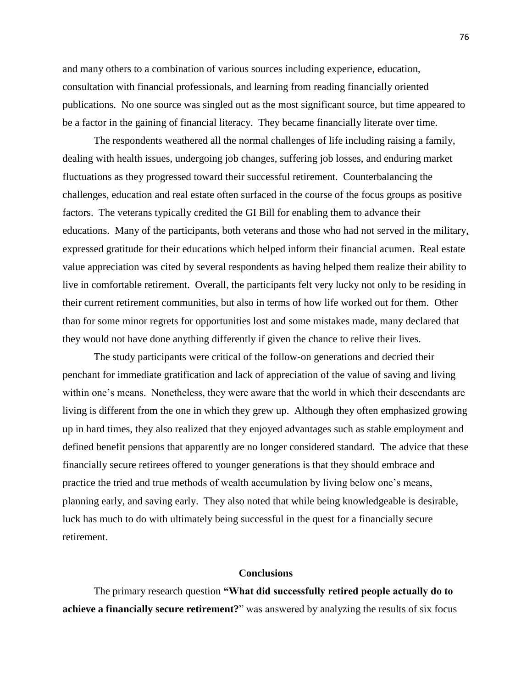and many others to a combination of various sources including experience, education, consultation with financial professionals, and learning from reading financially oriented publications. No one source was singled out as the most significant source, but time appeared to be a factor in the gaining of financial literacy. They became financially literate over time.

The respondents weathered all the normal challenges of life including raising a family, dealing with health issues, undergoing job changes, suffering job losses, and enduring market fluctuations as they progressed toward their successful retirement. Counterbalancing the challenges, education and real estate often surfaced in the course of the focus groups as positive factors. The veterans typically credited the GI Bill for enabling them to advance their educations. Many of the participants, both veterans and those who had not served in the military, expressed gratitude for their educations which helped inform their financial acumen. Real estate value appreciation was cited by several respondents as having helped them realize their ability to live in comfortable retirement. Overall, the participants felt very lucky not only to be residing in their current retirement communities, but also in terms of how life worked out for them. Other than for some minor regrets for opportunities lost and some mistakes made, many declared that they would not have done anything differently if given the chance to relive their lives.

The study participants were critical of the follow-on generations and decried their penchant for immediate gratification and lack of appreciation of the value of saving and living within one's means. Nonetheless, they were aware that the world in which their descendants are living is different from the one in which they grew up. Although they often emphasized growing up in hard times, they also realized that they enjoyed advantages such as stable employment and defined benefit pensions that apparently are no longer considered standard. The advice that these financially secure retirees offered to younger generations is that they should embrace and practice the tried and true methods of wealth accumulation by living below one's means, planning early, and saving early. They also noted that while being knowledgeable is desirable, luck has much to do with ultimately being successful in the quest for a financially secure retirement.

### **Conclusions**

The primary research question **"What did successfully retired people actually do to achieve a financially secure retirement?**" was answered by analyzing the results of six focus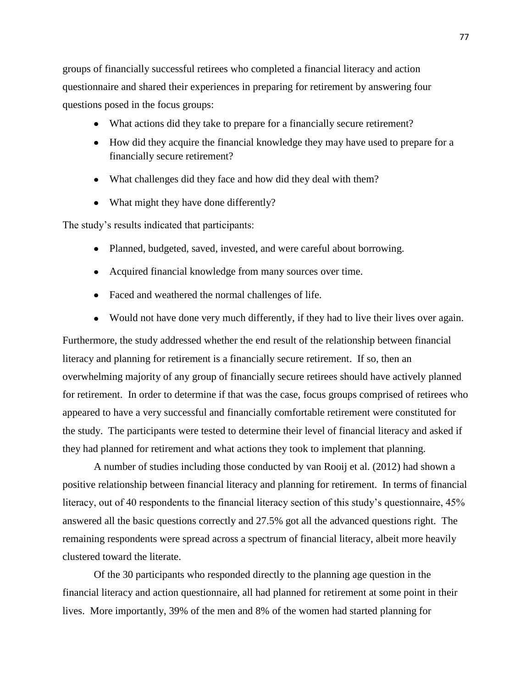groups of financially successful retirees who completed a financial literacy and action questionnaire and shared their experiences in preparing for retirement by answering four questions posed in the focus groups:

- What actions did they take to prepare for a financially secure retirement?
- How did they acquire the financial knowledge they may have used to prepare for a financially secure retirement?
- What challenges did they face and how did they deal with them?
- What might they have done differently?

The study's results indicated that participants:

- Planned, budgeted, saved, invested, and were careful about borrowing.
- Acquired financial knowledge from many sources over time.
- Faced and weathered the normal challenges of life.
- Would not have done very much differently, if they had to live their lives over again.

Furthermore, the study addressed whether the end result of the relationship between financial literacy and planning for retirement is a financially secure retirement. If so, then an overwhelming majority of any group of financially secure retirees should have actively planned for retirement. In order to determine if that was the case, focus groups comprised of retirees who appeared to have a very successful and financially comfortable retirement were constituted for the study. The participants were tested to determine their level of financial literacy and asked if they had planned for retirement and what actions they took to implement that planning.

A number of studies including those conducted by van Rooij et al. (2012) had shown a positive relationship between financial literacy and planning for retirement. In terms of financial literacy, out of 40 respondents to the financial literacy section of this study's questionnaire, 45% answered all the basic questions correctly and 27.5% got all the advanced questions right. The remaining respondents were spread across a spectrum of financial literacy, albeit more heavily clustered toward the literate.

Of the 30 participants who responded directly to the planning age question in the financial literacy and action questionnaire, all had planned for retirement at some point in their lives. More importantly, 39% of the men and 8% of the women had started planning for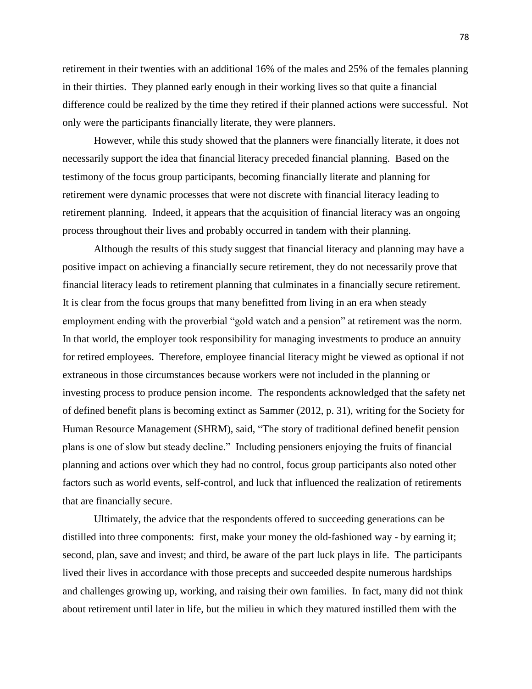retirement in their twenties with an additional 16% of the males and 25% of the females planning in their thirties. They planned early enough in their working lives so that quite a financial difference could be realized by the time they retired if their planned actions were successful. Not only were the participants financially literate, they were planners.

However, while this study showed that the planners were financially literate, it does not necessarily support the idea that financial literacy preceded financial planning. Based on the testimony of the focus group participants, becoming financially literate and planning for retirement were dynamic processes that were not discrete with financial literacy leading to retirement planning. Indeed, it appears that the acquisition of financial literacy was an ongoing process throughout their lives and probably occurred in tandem with their planning.

Although the results of this study suggest that financial literacy and planning may have a positive impact on achieving a financially secure retirement, they do not necessarily prove that financial literacy leads to retirement planning that culminates in a financially secure retirement. It is clear from the focus groups that many benefitted from living in an era when steady employment ending with the proverbial "gold watch and a pension" at retirement was the norm. In that world, the employer took responsibility for managing investments to produce an annuity for retired employees. Therefore, employee financial literacy might be viewed as optional if not extraneous in those circumstances because workers were not included in the planning or investing process to produce pension income. The respondents acknowledged that the safety net of defined benefit plans is becoming extinct as Sammer (2012, p. 31), writing for the Society for Human Resource Management (SHRM), said, "The story of traditional defined benefit pension plans is one of slow but steady decline." Including pensioners enjoying the fruits of financial planning and actions over which they had no control, focus group participants also noted other factors such as world events, self-control, and luck that influenced the realization of retirements that are financially secure.

Ultimately, the advice that the respondents offered to succeeding generations can be distilled into three components: first, make your money the old-fashioned way - by earning it; second, plan, save and invest; and third, be aware of the part luck plays in life. The participants lived their lives in accordance with those precepts and succeeded despite numerous hardships and challenges growing up, working, and raising their own families. In fact, many did not think about retirement until later in life, but the milieu in which they matured instilled them with the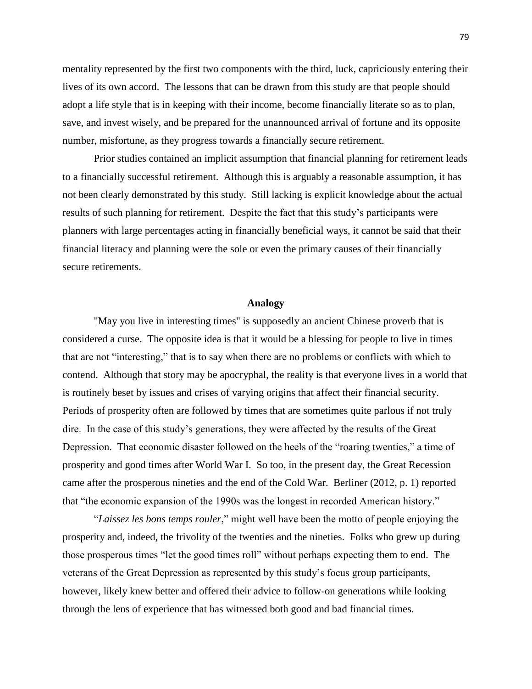mentality represented by the first two components with the third, luck, capriciously entering their lives of its own accord. The lessons that can be drawn from this study are that people should adopt a life style that is in keeping with their income, become financially literate so as to plan, save, and invest wisely, and be prepared for the unannounced arrival of fortune and its opposite number, misfortune, as they progress towards a financially secure retirement.

Prior studies contained an implicit assumption that financial planning for retirement leads to a financially successful retirement. Although this is arguably a reasonable assumption, it has not been clearly demonstrated by this study. Still lacking is explicit knowledge about the actual results of such planning for retirement. Despite the fact that this study's participants were planners with large percentages acting in financially beneficial ways, it cannot be said that their financial literacy and planning were the sole or even the primary causes of their financially secure retirements.

#### **Analogy**

"May you live in interesting times" is supposedly an ancient Chinese proverb that is considered a curse. The opposite idea is that it would be a blessing for people to live in times that are not "interesting," that is to say when there are no problems or conflicts with which to contend. Although that story may be apocryphal, the reality is that everyone lives in a world that is routinely beset by issues and crises of varying origins that affect their financial security. Periods of prosperity often are followed by times that are sometimes quite parlous if not truly dire. In the case of this study's generations, they were affected by the results of the Great Depression. That economic disaster followed on the heels of the "roaring twenties," a time of prosperity and good times after World War I. So too, in the present day, the Great Recession came after the prosperous nineties and the end of the Cold War. Berliner (2012, p. 1) reported that "the economic expansion of the 1990s was the longest in recorded American history."

"*Laissez les bons temps rouler*," might well have been the motto of people enjoying the prosperity and, indeed, the frivolity of the twenties and the nineties. Folks who grew up during those prosperous times "let the good times roll" without perhaps expecting them to end. The veterans of the Great Depression as represented by this study's focus group participants, however, likely knew better and offered their advice to follow-on generations while looking through the lens of experience that has witnessed both good and bad financial times.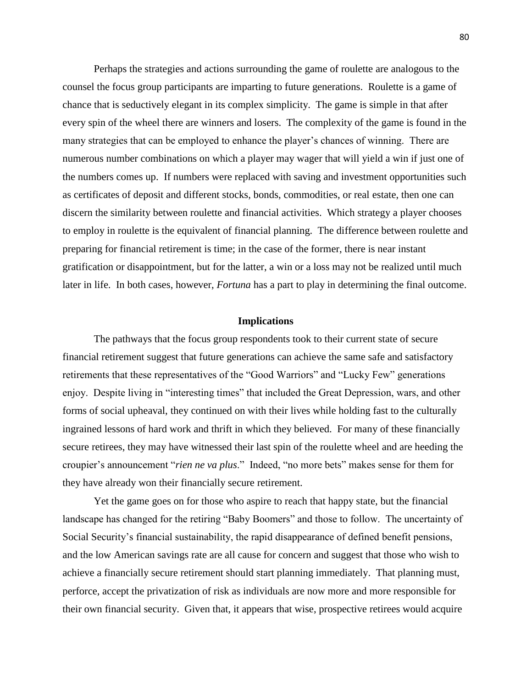Perhaps the strategies and actions surrounding the game of roulette are analogous to the counsel the focus group participants are imparting to future generations. Roulette is a game of chance that is seductively elegant in its complex simplicity. The game is simple in that after every spin of the wheel there are winners and losers. The complexity of the game is found in the many strategies that can be employed to enhance the player's chances of winning. There are numerous number combinations on which a player may wager that will yield a win if just one of the numbers comes up. If numbers were replaced with saving and investment opportunities such as certificates of deposit and different stocks, bonds, commodities, or real estate, then one can discern the similarity between roulette and financial activities. Which strategy a player chooses to employ in roulette is the equivalent of financial planning. The difference between roulette and preparing for financial retirement is time; in the case of the former, there is near instant gratification or disappointment, but for the latter, a win or a loss may not be realized until much later in life. In both cases, however, *Fortuna* has a part to play in determining the final outcome.

### **Implications**

The pathways that the focus group respondents took to their current state of secure financial retirement suggest that future generations can achieve the same safe and satisfactory retirements that these representatives of the "Good Warriors" and "Lucky Few" generations enjoy. Despite living in "interesting times" that included the Great Depression, wars, and other forms of social upheaval, they continued on with their lives while holding fast to the culturally ingrained lessons of hard work and thrift in which they believed. For many of these financially secure retirees, they may have witnessed their last spin of the roulette wheel and are heeding the croupier's announcement "*rien ne va plus*." Indeed, "no more bets" makes sense for them for they have already won their financially secure retirement.

Yet the game goes on for those who aspire to reach that happy state, but the financial landscape has changed for the retiring "Baby Boomers" and those to follow. The uncertainty of Social Security's financial sustainability, the rapid disappearance of defined benefit pensions, and the low American savings rate are all cause for concern and suggest that those who wish to achieve a financially secure retirement should start planning immediately. That planning must, perforce, accept the privatization of risk as individuals are now more and more responsible for their own financial security. Given that, it appears that wise, prospective retirees would acquire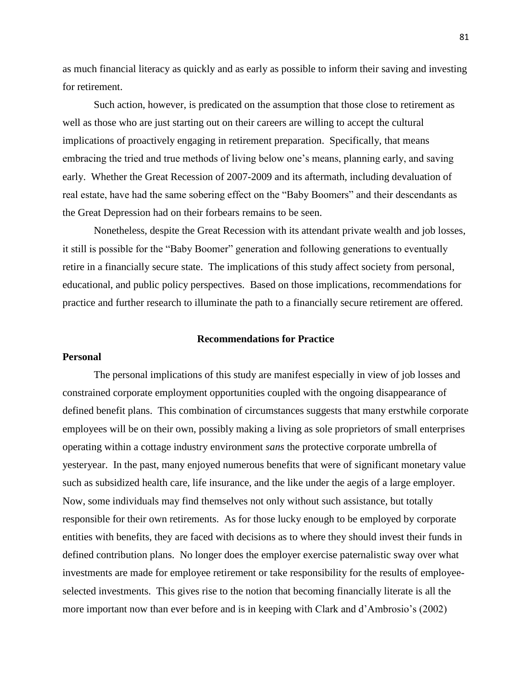as much financial literacy as quickly and as early as possible to inform their saving and investing for retirement.

Such action, however, is predicated on the assumption that those close to retirement as well as those who are just starting out on their careers are willing to accept the cultural implications of proactively engaging in retirement preparation. Specifically, that means embracing the tried and true methods of living below one's means, planning early, and saving early. Whether the Great Recession of 2007-2009 and its aftermath, including devaluation of real estate, have had the same sobering effect on the "Baby Boomers" and their descendants as the Great Depression had on their forbears remains to be seen.

Nonetheless, despite the Great Recession with its attendant private wealth and job losses, it still is possible for the "Baby Boomer" generation and following generations to eventually retire in a financially secure state. The implications of this study affect society from personal, educational, and public policy perspectives. Based on those implications, recommendations for practice and further research to illuminate the path to a financially secure retirement are offered.

#### **Recommendations for Practice**

#### **Personal**

The personal implications of this study are manifest especially in view of job losses and constrained corporate employment opportunities coupled with the ongoing disappearance of defined benefit plans. This combination of circumstances suggests that many erstwhile corporate employees will be on their own, possibly making a living as sole proprietors of small enterprises operating within a cottage industry environment *sans* the protective corporate umbrella of yesteryear. In the past, many enjoyed numerous benefits that were of significant monetary value such as subsidized health care, life insurance, and the like under the aegis of a large employer. Now, some individuals may find themselves not only without such assistance, but totally responsible for their own retirements. As for those lucky enough to be employed by corporate entities with benefits, they are faced with decisions as to where they should invest their funds in defined contribution plans. No longer does the employer exercise paternalistic sway over what investments are made for employee retirement or take responsibility for the results of employeeselected investments. This gives rise to the notion that becoming financially literate is all the more important now than ever before and is in keeping with Clark and d'Ambrosio's (2002)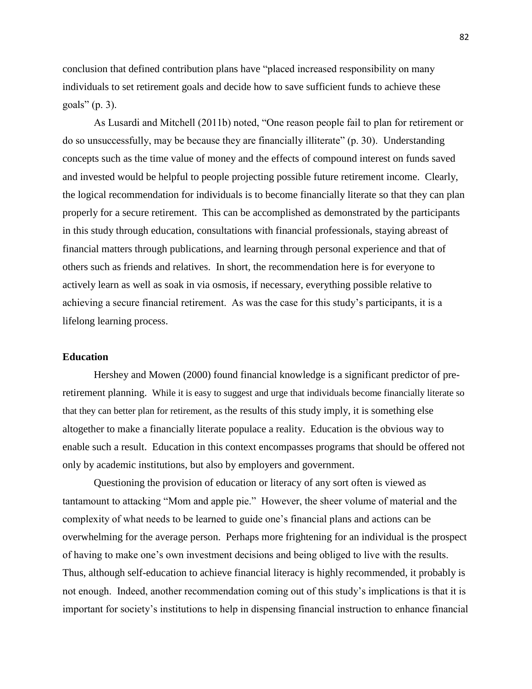conclusion that defined contribution plans have "placed increased responsibility on many individuals to set retirement goals and decide how to save sufficient funds to achieve these goals" (p. 3).

As Lusardi and Mitchell (2011b) noted, "One reason people fail to plan for retirement or do so unsuccessfully, may be because they are financially illiterate" (p. 30). Understanding concepts such as the time value of money and the effects of compound interest on funds saved and invested would be helpful to people projecting possible future retirement income. Clearly, the logical recommendation for individuals is to become financially literate so that they can plan properly for a secure retirement. This can be accomplished as demonstrated by the participants in this study through education, consultations with financial professionals, staying abreast of financial matters through publications, and learning through personal experience and that of others such as friends and relatives. In short, the recommendation here is for everyone to actively learn as well as soak in via osmosis, if necessary, everything possible relative to achieving a secure financial retirement. As was the case for this study's participants, it is a lifelong learning process.

#### **Education**

Hershey and Mowen (2000) found financial knowledge is a significant predictor of preretirement planning. While it is easy to suggest and urge that individuals become financially literate so that they can better plan for retirement, as the results of this study imply, it is something else altogether to make a financially literate populace a reality. Education is the obvious way to enable such a result. Education in this context encompasses programs that should be offered not only by academic institutions, but also by employers and government.

Questioning the provision of education or literacy of any sort often is viewed as tantamount to attacking "Mom and apple pie." However, the sheer volume of material and the complexity of what needs to be learned to guide one's financial plans and actions can be overwhelming for the average person. Perhaps more frightening for an individual is the prospect of having to make one's own investment decisions and being obliged to live with the results. Thus, although self-education to achieve financial literacy is highly recommended, it probably is not enough. Indeed, another recommendation coming out of this study's implications is that it is important for society's institutions to help in dispensing financial instruction to enhance financial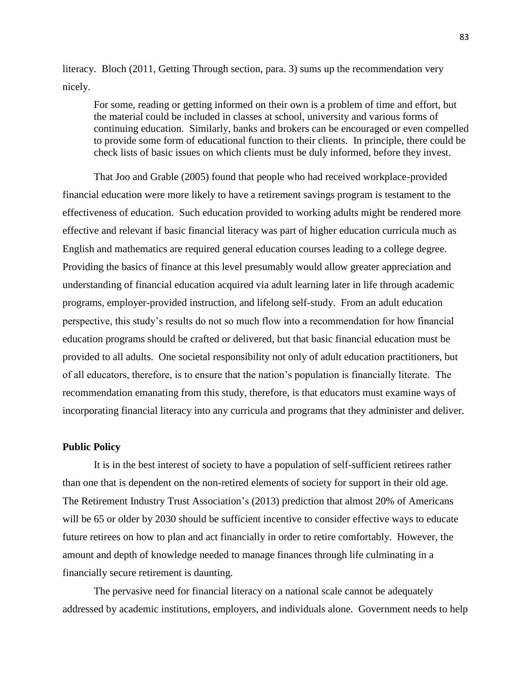literacy. Bloch (2011, Getting Through section, para. 3) sums up the recommendation very nicely.

For some, reading or getting informed on their own is a problem of time and effort, but the material could be included in classes at school, university and various forms of continuing education. Similarly, banks and brokers can be encouraged or even compelled to provide some form of educational function to their clients. In principle, there could be check lists of basic issues on which clients must be duly informed, before they invest.

That Joo and Grable (2005) found that people who had received workplace-provided financial education were more likely to have a retirement savings program is testament to the effectiveness of education. Such education provided to working adults might be rendered more effective and relevant if basic financial literacy was part of higher education curricula much as English and mathematics are required general education courses leading to a college degree. Providing the basics of finance at this level presumably would allow greater appreciation and understanding of financial education acquired via adult learning later in life through academic programs, employer-provided instruction, and lifelong self-study. From an adult education perspective, this study's results do not so much flow into a recommendation for how financial education programs should be crafted or delivered, but that basic financial education must be provided to all adults. One societal responsibility not only of adult education practitioners, but of all educators, therefore, is to ensure that the nation's population is financially literate. The recommendation emanating from this study, therefore, is that educators must examine ways of incorporating financial literacy into any curricula and programs that they administer and deliver.

#### **Public Policy**

It is in the best interest of society to have a population of self-sufficient retirees rather than one that is dependent on the non-retired elements of society for support in their old age. The Retirement Industry Trust Association's (2013) prediction that almost 20% of Americans will be 65 or older by 2030 should be sufficient incentive to consider effective ways to educate future retirees on how to plan and act financially in order to retire comfortably. However, the amount and depth of knowledge needed to manage finances through life culminating in a financially secure retirement is daunting.

The pervasive need for financial literacy on a national scale cannot be adequately addressed by academic institutions, employers, and individuals alone. Government needs to help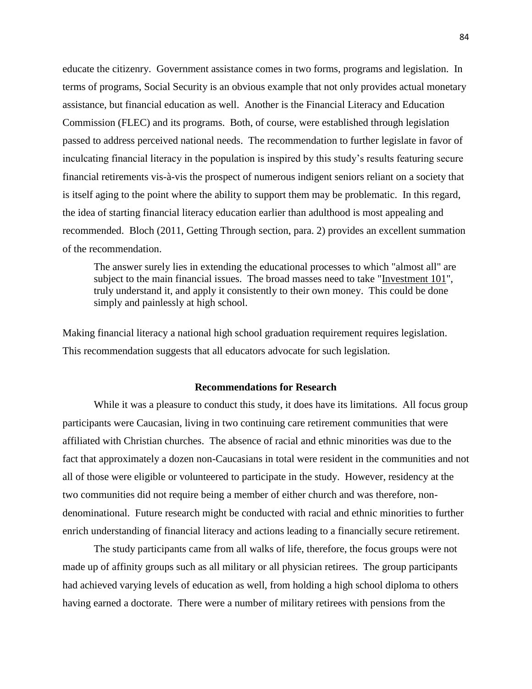educate the citizenry. Government assistance comes in two forms, programs and legislation. In terms of programs, Social Security is an obvious example that not only provides actual monetary assistance, but financial education as well. Another is the Financial Literacy and Education Commission (FLEC) and its programs. Both, of course, were established through legislation passed to address perceived national needs. The recommendation to further legislate in favor of inculcating financial literacy in the population is inspired by this study's results featuring secure financial retirements vis-à-vis the prospect of numerous indigent seniors reliant on a society that is itself aging to the point where the ability to support them may be problematic. In this regard, the idea of starting financial literacy education earlier than adulthood is most appealing and recommended. Bloch (2011, Getting Through section, para. 2) provides an excellent summation of the recommendation.

The answer surely lies in extending the educational processes to which "almost all" are subject to the main financial issues. The broad masses need to take ["Investment 101"](http://www.investopedia.com/university/beginner/), truly understand it, and apply it consistently to their own money. This could be done simply and painlessly at high school.

Making financial literacy a national high school graduation requirement requires legislation. This recommendation suggests that all educators advocate for such legislation.

#### **Recommendations for Research**

While it was a pleasure to conduct this study, it does have its limitations. All focus group participants were Caucasian, living in two continuing care retirement communities that were affiliated with Christian churches. The absence of racial and ethnic minorities was due to the fact that approximately a dozen non-Caucasians in total were resident in the communities and not all of those were eligible or volunteered to participate in the study. However, residency at the two communities did not require being a member of either church and was therefore, nondenominational. Future research might be conducted with racial and ethnic minorities to further enrich understanding of financial literacy and actions leading to a financially secure retirement.

The study participants came from all walks of life, therefore, the focus groups were not made up of affinity groups such as all military or all physician retirees. The group participants had achieved varying levels of education as well, from holding a high school diploma to others having earned a doctorate. There were a number of military retirees with pensions from the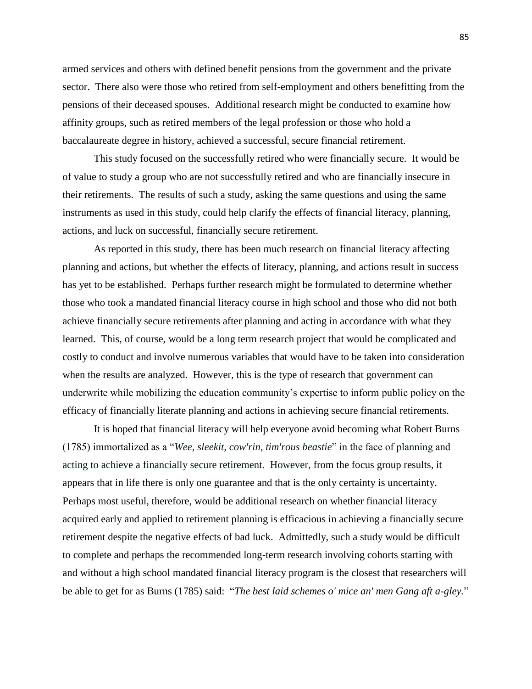armed services and others with defined benefit pensions from the government and the private sector. There also were those who retired from self-employment and others benefitting from the pensions of their deceased spouses. Additional research might be conducted to examine how affinity groups, such as retired members of the legal profession or those who hold a baccalaureate degree in history, achieved a successful, secure financial retirement.

This study focused on the successfully retired who were financially secure. It would be of value to study a group who are not successfully retired and who are financially insecure in their retirements. The results of such a study, asking the same questions and using the same instruments as used in this study, could help clarify the effects of financial literacy, planning, actions, and luck on successful, financially secure retirement.

As reported in this study, there has been much research on financial literacy affecting planning and actions, but whether the effects of literacy, planning, and actions result in success has yet to be established. Perhaps further research might be formulated to determine whether those who took a mandated financial literacy course in high school and those who did not both achieve financially secure retirements after planning and acting in accordance with what they learned. This, of course, would be a long term research project that would be complicated and costly to conduct and involve numerous variables that would have to be taken into consideration when the results are analyzed. However, this is the type of research that government can underwrite while mobilizing the education community's expertise to inform public policy on the efficacy of financially literate planning and actions in achieving secure financial retirements.

It is hoped that financial literacy will help everyone avoid becoming what Robert Burns (1785) immortalized as a "*Wee, sleekit, cow'rin, tim'rous beastie*" in the face of planning and acting to achieve a financially secure retirement. However, from the focus group results, it appears that in life there is only one guarantee and that is the only certainty is uncertainty. Perhaps most useful, therefore, would be additional research on whether financial literacy acquired early and applied to retirement planning is efficacious in achieving a financially secure retirement despite the negative effects of bad luck. Admittedly, such a study would be difficult to complete and perhaps the recommended long-term research involving cohorts starting with and without a high school mandated financial literacy program is the closest that researchers will be able to get for as Burns (1785) said: "*The best laid schemes o' mice an' men Gang aft a-gley.*"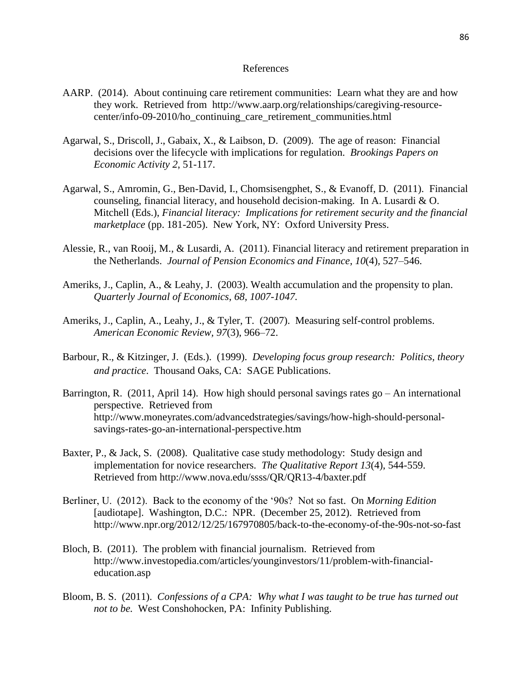#### References

- AARP. (2014). About continuing care retirement communities: Learn what they are and how they work. Retrieved from [http://www.aarp.org/relationships/caregiving-resource](http://www.aarp.org/relationships/caregiving-resource-center/info-09-2010/ho_continuing_care_retirement_communities.html)[center/info-09-2010/ho\\_continuing\\_care\\_retirement\\_communities.html](http://www.aarp.org/relationships/caregiving-resource-center/info-09-2010/ho_continuing_care_retirement_communities.html)
- Agarwal, S., Driscoll, J., Gabaix, X., & Laibson, D. (2009). The age of reason: Financial decisions over the lifecycle with implications for regulation. *Brookings Papers on Economic Activity 2*, 51-117.
- Agarwal, S., Amromin, G., Ben-David, I., Chomsisengphet, S., & Evanoff, D. (2011). Financial counseling, financial literacy, and household decision-making. In A. Lusardi & O. Mitchell (Eds.), *Financial literacy: Implications for retirement security and the financial marketplace* (pp. 181-205). New York, NY: Oxford University Press.
- Alessie, R., van Rooij, M., & Lusardi, A. (2011). Financial literacy and retirement preparation in the Netherlands. *Journal of Pension Economics and Finance*, *10*(4)*,* 527–546.
- Ameriks, J., Caplin, A., & Leahy, J. (2003). Wealth accumulation and the propensity to plan. *Quarterly Journal of Economics*, *68, 1007-1047.*
- Ameriks, J., Caplin, A., Leahy, J., & Tyler, T. (2007). Measuring self-control problems. *American Economic Review, 97*(3), 966–72.
- Barbour, R., & Kitzinger, J. (Eds.). (1999). *Developing focus group research: Politics, theory and practice*. Thousand Oaks, CA: SAGE Publications.
- Barrington, R. (2011, April 14). How high should personal savings rates  $\alpha$  An international perspective.Retrieved from [http://www.moneyrates.com/advancedstrategies/savings/how-high-should-personal](http://www.moneyrates.com/advancedstrategies/savings/how-high-should-personal-savings-rates-go-an-international-perspective.htm)[savings-rates-go-an-international-perspective.htm](http://www.moneyrates.com/advancedstrategies/savings/how-high-should-personal-savings-rates-go-an-international-perspective.htm)
- Baxter, P., & Jack, S. (2008). Qualitative case study methodology: Study design and implementation for novice researchers. *The Qualitative Report 13*(4), 544-559. Retrieved from<http://www.nova.edu/ssss/QR/QR13-4/baxter.pdf>
- Berliner, U. (2012). Back to the economy of the '90s? Not so fast. On *Morning Edition* [audiotape]. Washington, D.C.: NPR.(December 25, 2012). Retrieved from <http://www.npr.org/2012/12/25/167970805/back-to-the-economy-of-the-90s-not-so-fast>
- Bloch, B. (2011). The problem with financial journalism. Retrieved from [http://www.investopedia.com/articles/younginvestors/11/problem-with-financial](http://www.investopedia.com/articles/younginvestors/11/problem-with-financial-education.asp)[education.asp](http://www.investopedia.com/articles/younginvestors/11/problem-with-financial-education.asp)
- Bloom, B. S. (2011). *Confessions of a CPA: Why what I was taught to be true has turned out not to be.* West Conshohocken, PA: Infinity Publishing.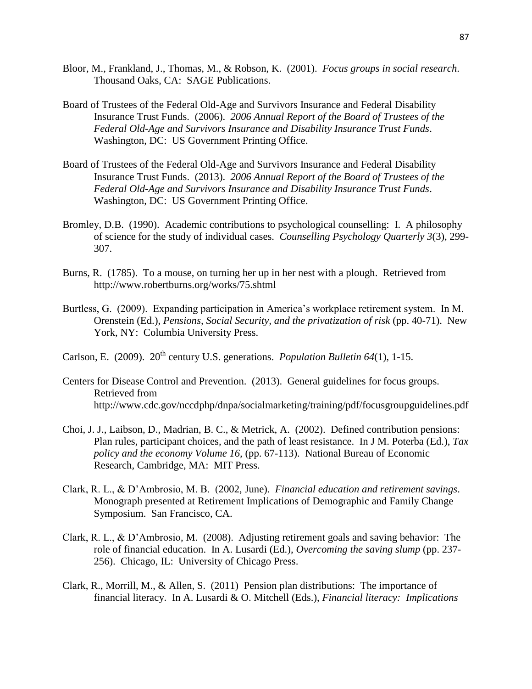- Bloor, M., Frankland, J., Thomas, M., & Robson, K. (2001). *Focus groups in social research*. Thousand Oaks, CA: SAGE Publications.
- Board of Trustees of the Federal Old-Age and Survivors Insurance and Federal Disability Insurance Trust Funds. (2006). *[2006 Annual Report of the Board of Trustees of the](http://www.ssa.gov/OACT/TR/TR06/index.html)  [Federal Old-Age and Survivors Insurance and Disability Insurance Trust Funds](http://www.ssa.gov/OACT/TR/TR06/index.html)*. Washington, DC: US Government Printing Office.
- Board of Trustees of the Federal Old-Age and Survivors Insurance and Federal Disability Insurance Trust Funds. (2013). *[2006 Annual Report of the Board of Trustees of the](http://www.ssa.gov/OACT/TR/TR06/index.html)  [Federal Old-Age and Survivors Insurance and Disability Insurance Trust Funds](http://www.ssa.gov/OACT/TR/TR06/index.html)*. Washington, DC: US Government Printing Office.
- Bromley, D.B. (1990). Academic contributions to psychological counselling: I. A philosophy of science for the study of individual cases. *Counselling Psychology Quarterly 3*(3), 299- 307.
- Burns, R. (1785). To a mouse, on turning her up in her nest with a plough. Retrieved from <http://www.robertburns.org/works/75.shtml>
- Burtless, G. (2009). Expanding participation in America's workplace retirement system. In M. Orenstein (Ed.), *Pensions, Social Security, and the privatization of risk* (pp. 40-71). New York, NY: Columbia University Press.
- Carlson, E. (2009). 20<sup>th</sup> century U.S. generations. *Population Bulletin 64*(1), 1-15.
- Centers for Disease Control and Prevention. (2013). General guidelines for focus groups. Retrieved from <http://www.cdc.gov/nccdphp/dnpa/socialmarketing/training/pdf/focusgroupguidelines.pdf>
- Choi, J. J., Laibson, D., Madrian, B. C., & Metrick, A. (2002). Defined contribution pensions: Plan rules, participant choices, and the path of least resistance. In J M. Poterba (Ed.), *Tax policy and the economy Volume 16,* (pp. 67-113). National Bureau of Economic Research*,* Cambridge, MA: MIT Press.
- Clark, R. L., & D'Ambrosio, M. B. (2002, June). *Financial education and retirement savings*. Monograph presented at Retirement Implications of Demographic and Family Change Symposium. San Francisco, CA.
- Clark, R. L., & D'Ambrosio, M. (2008). Adjusting retirement goals and saving behavior: The role of financial education. In A. Lusardi (Ed.), *Overcoming the saving slump* (pp. 237- 256). Chicago, IL: University of Chicago Press.
- Clark, R., Morrill, M., & Allen, S. (2011) Pension plan distributions: The importance of financial literacy. In A. Lusardi & O. Mitchell (Eds.), *Financial literacy: Implications*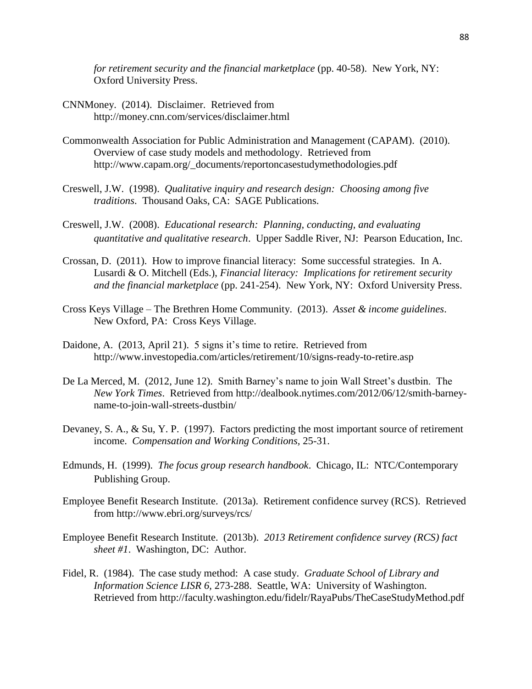*for retirement security and the financial marketplace* (pp. 40-58). New York, NY: Oxford University Press.

- CNNMoney. (2014). Disclaimer. Retrieved from <http://money.cnn.com/services/disclaimer.html>
- Commonwealth Association for Public Administration and Management (CAPAM). (2010). Overview of case study models and methodology. Retrieved from [http://www.capam.org/\\_documents/reportoncasestudymethodologies.pdf](http://www.capam.org/_documents/reportoncasestudymethodologies.pdf)
- Creswell, J.W. (1998). *Qualitative inquiry and research design: Choosing among five traditions*. Thousand Oaks, CA: SAGE Publications.
- Creswell, J.W. (2008). *Educational research: Planning, conducting, and evaluating quantitative and qualitative research*. Upper Saddle River, NJ: Pearson Education, Inc.
- Crossan, D. (2011). How to improve financial literacy: Some successful strategies. In A. Lusardi & O. Mitchell (Eds.), *Financial literacy: Implications for retirement security and the financial marketplace* (pp. 241-254). New York, NY: Oxford University Press.
- Cross Keys Village The Brethren Home Community. (2013). *Asset & income guidelines*. New Oxford, PA: Cross Keys Village.
- Daidone, A. (2013, April 21). 5 signs it's time to retire. Retrieved from http://www.investopedia.com/articles/retirement/10/signs-ready-to-retire.asp
- De La Merced, M. (2012, June 12). Smith Barney's name to join Wall Street's dustbin. The *New York Times*. Retrieved from http://dealbook.nytimes.com/2012/06/12/smith-barneyname-to-join-wall-streets-dustbin/
- Devaney, S. A., & Su, Y. P. (1997). Factors predicting the most important source of retirement income. *Compensation and Working Conditions,* 25-31.
- Edmunds, H. (1999). *The focus group research handbook*. Chicago, IL: NTC/Contemporary Publishing Group.
- Employee Benefit Research Institute. (2013a). Retirement confidence survey (RCS). Retrieved from<http://www.ebri.org/surveys/rcs/>
- Employee Benefit Research Institute. (2013b). *2013 Retirement confidence survey (RCS) fact sheet #1*. Washington, DC: Author.
- Fidel, R. (1984). The case study method: A case study. *Graduate School of Library and Information Science LISR 6,* 273-288. Seattle, WA: University of Washington. Retrieved from<http://faculty.washington.edu/fidelr/RayaPubs/TheCaseStudyMethod.pdf>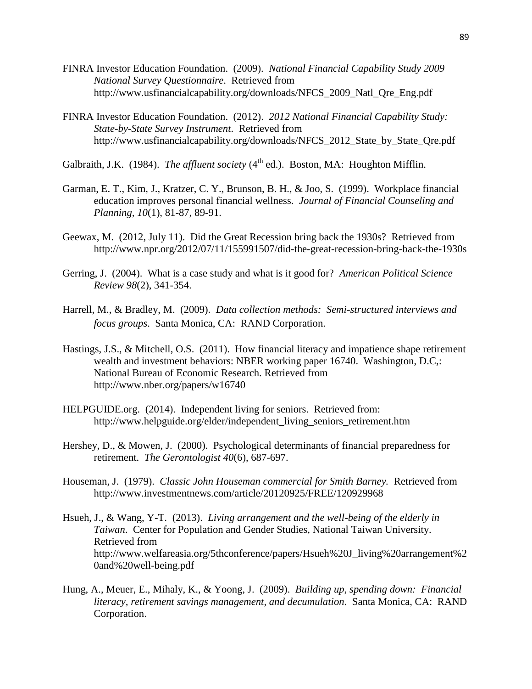- FINRA Investor Education Foundation. (2009). *National Financial Capability Study 2009 National Survey Questionnaire*. Retrieved from [http://www.usfinancialcapability.org/downloads/NFCS\\_2009\\_Natl\\_Qre\\_Eng.pdf](http://www.usfinancialcapability.org/downloads/NFCS_2009_Natl_Qre_Eng.pdf)
- FINRA Investor Education Foundation. (2012). *2012 National Financial Capability Study: State-by-State Survey Instrument*. Retrieved from http://www.usfinancialcapability.org/downloads/NFCS 2012 State by State Ore.pdf
- Galbraith, J.K. (1984). *The affluent society* (4<sup>th</sup> ed.). Boston, MA: Houghton Mifflin.
- Garman, E. T., Kim, J., Kratzer, C. Y., Brunson, B. H., & Joo, S. (1999). Workplace financial education improves personal financial wellness. *Journal of Financial Counseling and Planning, 10*(1), 81-87, 89-91.
- Geewax, M. (2012, July 11). Did the Great Recession bring back the 1930s? Retrieved from <http://www.npr.org/2012/07/11/155991507/did-the-great-recession-bring-back-the-1930s>
- Gerring, J. (2004). What is a case study and what is it good for? *American Political Science Review 98*(2), 341-354.
- Harrell, M., & Bradley, M. (2009). *Data collection methods: Semi-structured interviews and focus groups*. Santa Monica, CA: RAND Corporation.
- Hastings, J.S., & Mitchell, O.S. (2011). How financial literacy and impatience shape retirement wealth and investment behaviors: NBER working paper 16740. Washington, D.C,: National Bureau of Economic Research. Retrieved from http://www.nber.org/papers/w16740
- HELPGUIDE.org. (2014). Independent living for seniors. Retrieved from: http://www.helpguide.org/elder/independent\_living\_seniors\_retirement.htm
- Hershey, D., & Mowen, J. (2000). Psychological determinants of financial preparedness for retirement. *The Gerontologist 40*(6), 687-697.
- Houseman, J. (1979). *Classic John Houseman commercial for Smith Barney.* Retrieved from <http://www.investmentnews.com/article/20120925/FREE/120929968>
- Hsueh, J., & Wang, Y-T. (2013). *Living arrangement and the well-being of the elderly in Taiwan*. Center for Population and Gender Studies, National Taiwan University. Retrieved from [http://www.welfareasia.org/5thconference/papers/Hsueh%20J\\_living%20arrangement%2](http://www.welfareasia.org/5thconference/papers/Hsueh%20J_living%20arrangement%20and%20well-being.pdf) [0and%20well-being.pdf](http://www.welfareasia.org/5thconference/papers/Hsueh%20J_living%20arrangement%20and%20well-being.pdf)
- Hung, A., Meuer, E., Mihaly, K., & Yoong, J. (2009). *Building up, spending down: Financial literacy, retirement savings management, and decumulation*. Santa Monica, CA: RAND Corporation.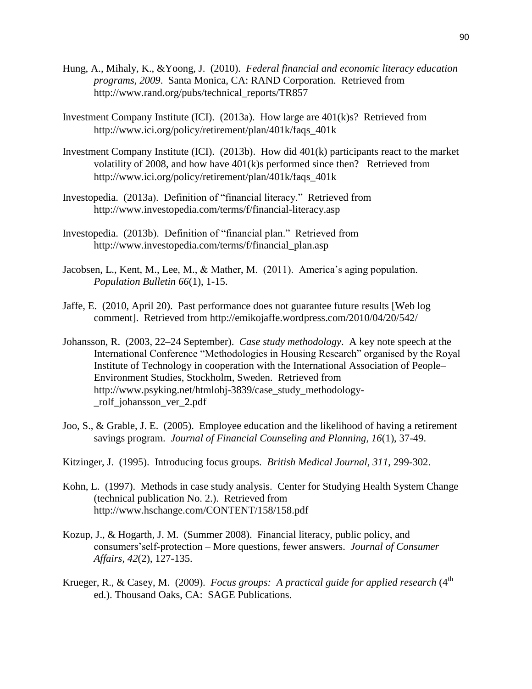- Hung, A., Mihaly, K., &Yoong, J. (2010). *Federal financial and economic literacy education programs, 2009*. Santa Monica, CA: RAND Corporation. Retrieved from [http://www.rand.org/pubs/technical\\_reports/TR857](http://www.rand.org/pubs/technical_reports/TR857)
- Investment Company Institute (ICI). (2013a). How large are 401(k)s? Retrieved from [http://www.ici.org/policy/retirement/plan/401k/faqs\\_401k](http://www.ici.org/policy/retirement/plan/401k/faqs_401k)
- Investment Company Institute (ICI). (2013b). How did 401(k) participants react to the market volatility of 2008, and how have 401(k)s performed since then? Retrieved from [http://www.ici.org/policy/retirement/plan/401k/faqs\\_401k](http://www.ici.org/policy/retirement/plan/401k/faqs_401k)
- Investopedia. (2013a). Definition of "financial literacy." Retrieved from <http://www.investopedia.com/terms/f/financial-literacy.asp>
- Investopedia. (2013b). Definition of "financial plan." Retrieved from [http://www.investopedia.com/terms/f/financial\\_plan.asp](http://www.investopedia.com/terms/f/financial_plan.asp)
- Jacobsen, L., Kent, M., Lee, M., & Mather, M. (2011). America's aging population. *Population Bulletin 66*(1), 1-15.
- Jaffe, E. (2010, April 20).Past performance does not guarantee future results [Web log comment]. Retrieved from<http://emikojaffe.wordpress.com/2010/04/20/542/>
- Johansson, R. (2003, 22–24 September). *Case study methodology*. A key note speech at the International Conference "Methodologies in Housing Research" organised by the Royal Institute of Technology in cooperation with the International Association of People– Environment Studies, Stockholm, Sweden. Retrieved from http://www.psyking.net/htmlobj-3839/case\_study\_methodology- \_rolf\_johansson\_ver\_2.pdf
- Joo, S., & Grable, J. E. (2005). Employee education and the likelihood of having a retirement savings program. *Journal of Financial Counseling and Planning, 16*(1), 37-49.
- Kitzinger, J. (1995). Introducing focus groups. *British Medical Journal, 311*, 299-302.
- Kohn, L. (1997). Methods in case study analysis. Center for Studying Health System Change (technical publication No. 2.). Retrieved from http://www.hschange.com/CONTENT/158/158.pdf
- Kozup, J., & Hogarth, J. M. (Summer 2008). Financial literacy, public policy, and consumers'self-protection – More questions, fewer answers. *Journal of Consumer Affairs, 42*(2), 127-135.
- Krueger, R., & Casey, M. (2009). *Focus groups: A practical guide for applied research* (4<sup>th</sup> ed.). Thousand Oaks, CA: SAGE Publications.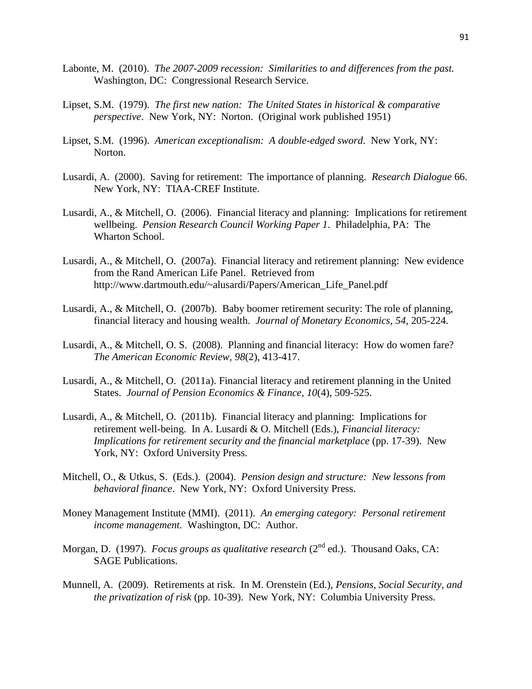- Labonte, M. (2010). *The 2007-2009 recession: Similarities to and differences from the past.* Washington, DC: Congressional Research Service.
- Lipset, S.M. (1979). *The first new nation: The United States in historical & comparative perspective*. New York, NY: Norton. (Original work published 1951)
- Lipset, S.M. (1996). *American exceptionalism: A double-edged sword*. New York, NY: Norton.
- Lusardi, A. (2000). Saving for retirement: The importance of planning. *Research Dialogue* 66. New York, NY: TIAA-CREF Institute.
- Lusardi, A., & Mitchell, O. (2006). Financial literacy and planning: Implications for retirement wellbeing. *Pension Research Council Working Paper 1*. Philadelphia, PA: The Wharton School.
- Lusardi, A., & Mitchell, O. (2007a). Financial literacy and retirement planning: New evidence from the Rand American Life Panel. Retrieved from [http://www.dartmouth.edu/~alusardi/Papers/American\\_Life\\_Panel.pdf](http://www.dartmouth.edu/~alusardi/Papers/American_Life_Panel.pdf)
- Lusardi, A., & Mitchell, O. (2007b). Baby boomer retirement security: The role of planning, financial literacy and housing wealth. *Journal of Monetary Economics*, *54*, 205-224.
- Lusardi, A., & Mitchell, O. S. (2008). Planning and financial literacy: How do women fare? *The American Economic Review, 98*(2), 413-417.
- Lusardi, A., & Mitchell, O. (2011a). Financial literacy and retirement planning in the United States. *Journal of Pension Economics & Finance, 10*(4), 509-525.
- Lusardi, A., & Mitchell, O. (2011b). Financial literacy and planning: Implications for retirement well-being. In A. Lusardi & O. Mitchell (Eds.), *Financial literacy: Implications for retirement security and the financial marketplace* (pp. 17-39). New York, NY: Oxford University Press.
- Mitchell, O., & Utkus, S. (Eds.). (2004). *Pension design and structure: New lessons from behavioral finance*. New York, NY: Oxford University Press.
- Money Management Institute (MMI). (2011). *An emerging category: Personal retirement income management.* Washington, DC: Author.
- Morgan, D. (1997). *Focus groups as qualitative research* (2<sup>nd</sup> ed.). Thousand Oaks, CA: SAGE Publications.
- Munnell, A. (2009). Retirements at risk. In M. Orenstein (Ed.), *Pensions, Social Security, and the privatization of risk* (pp. 10-39). New York, NY: Columbia University Press.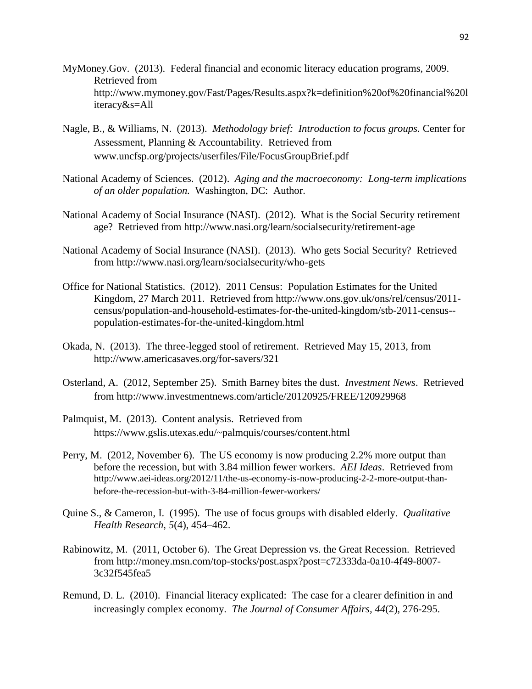- MyMoney.Gov. (2013). Federal financial and economic literacy education programs, 2009. Retrieved from [http://www.mymoney.gov/Fast/Pages/Results.aspx?k=definition%20of%20financial%20l](http://www.mymoney.gov/Fast/Pages/Results.aspx?k=definition%20of%20financial%20literacy&s=All) [iteracy&s=All](http://www.mymoney.gov/Fast/Pages/Results.aspx?k=definition%20of%20financial%20literacy&s=All)
- Nagle, B., & Williams, N. (2013). *Methodology brief: Introduction to focus groups.* Center for Assessment, Planning & Accountability. Retrieved from [www.uncfsp.org/projects/userfiles/File/FocusGroupBrief.pdf](http://www.uncfsp.org/projects/userfiles/File/FocusGroupBrief.pdf)
- National Academy of Sciences. (2012). *Aging and the macroeconomy: Long-term implications of an older population.* Washington, DC: Author.
- National Academy of Social Insurance (NASI). (2012). What is the Social Security retirement age? Retrieved from <http://www.nasi.org/learn/socialsecurity/retirement-age>
- National Academy of Social Insurance (NASI). (2013). Who gets Social Security? Retrieved from<http://www.nasi.org/learn/socialsecurity/who-gets>
- Office for National Statistics. (2012). 2011 Census: Population Estimates for the United Kingdom, 27 March 2011. Retrieved from [http://www.ons.gov.uk/ons/rel/census/2011](http://www.ons.gov.uk/ons/rel/census/2011-census/population-and-household-estimates-for-the-united-kingdom/stb-2011-census--population-estimates-for-the-united-kingdom.html) [census/population-and-household-estimates-for-the-united-kingdom/stb-2011-census-](http://www.ons.gov.uk/ons/rel/census/2011-census/population-and-household-estimates-for-the-united-kingdom/stb-2011-census--population-estimates-for-the-united-kingdom.html) [population-estimates-for-the-united-kingdom.html](http://www.ons.gov.uk/ons/rel/census/2011-census/population-and-household-estimates-for-the-united-kingdom/stb-2011-census--population-estimates-for-the-united-kingdom.html)
- Okada, N. (2013). The three-legged stool of retirement. Retrieved May 15, 2013, from <http://www.americasaves.org/for-savers/321>
- Osterland, A. (2012, September 25). Smith Barney bites the dust. *Investment News*. Retrieved from<http://www.investmentnews.com/article/20120925/FREE/120929968>
- Palmquist, M. (2013). Content analysis. Retrieved from <https://www.gslis.utexas.edu/~palmquis/courses/content.html>
- Perry, M. (2012, November 6).The US economy is now producing 2.2% more output than before the recession, but with 3.84 million fewer workers. *AEI Ideas*. Retrieved from [http://www.aei-ideas.org/2012/11/the-us-economy-is-now-producing-2-2-more-output-than](http://www.aei-ideas.org/2012/11/the-us-economy-is-now-producing-2-2-more-output-than-before-the-recession-but-with-3-84-million-fewer-workers/)[before-the-recession-but-with-3-84-million-fewer-workers/](http://www.aei-ideas.org/2012/11/the-us-economy-is-now-producing-2-2-more-output-than-before-the-recession-but-with-3-84-million-fewer-workers/)
- Quine S., & Cameron, I. (1995). The use of focus groups with disabled elderly. *Qualitative Health Research, 5*(4), 454–462.
- Rabinowitz, M. (2011, October 6). The Great Depression vs. the Great Recession. Retrieved from [http://money.msn.com/top-stocks/post.aspx?post=c72333da-0a10-4f49-8007-](http://money.msn.com/top-stocks/post.aspx?post=c72333da-0a10-4f49-8007-3c32f545fea5) [3c32f545fea5](http://money.msn.com/top-stocks/post.aspx?post=c72333da-0a10-4f49-8007-3c32f545fea5)
- Remund, D. L. (2010). Financial literacy explicated: The case for a clearer definition in and increasingly complex economy. *The Journal of Consumer Affairs, 44*(2), 276-295.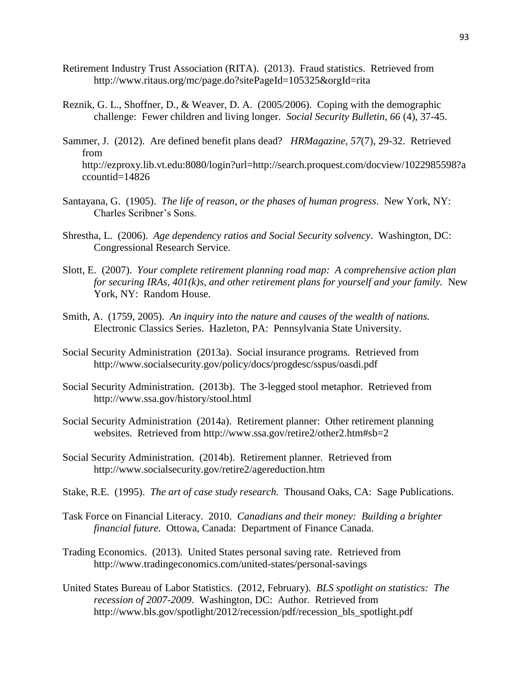- Retirement Industry Trust Association (RITA). (2013). Fraud statistics. Retrieved from <http://www.ritaus.org/mc/page.do?sitePageId=105325&orgId=rita>
- Reznik, G. L., Shoffner, D., & Weaver, D. A. (2005/2006). Coping with the demographic challenge: Fewer children and living longer. *Social Security Bulletin, 66* (4), 37-45.
- Sammer, J. (2012). Are defined benefit plans dead? *HRMagazine, 57*(7), 29-32. Retrieved from http://ezproxy.lib.vt.edu:8080/login?url=http://search.proquest.com/docview/1022985598?a ccountid=14826
- Santayana, G. (1905). *The life of reason, or the phases of human progress*. New York, NY: Charles Scribner's Sons.
- Shrestha, L. (2006). *Age dependency ratios and Social Security solvency*. Washington, DC: Congressional Research Service.
- Slott, E. (2007). *Your complete retirement planning road map: A comprehensive action plan for securing IRAs, 401(k)s, and other retirement plans for yourself and your family.* New York, NY: Random House.
- Smith, A. (1759, 2005). *An inquiry into the nature and causes of* t*he wealth of nations.*  Electronic Classics Series. Hazleton, PA: Pennsylvania State University.
- Social Security Administration (2013a). Social insurance programs. Retrieved from <http://www.socialsecurity.gov/policy/docs/progdesc/sspus/oasdi.pdf>
- Social Security Administration. (2013b). The 3-legged stool metaphor. Retrieved from <http://www.ssa.gov/history/stool.html>
- Social Security Administration (2014a). Retirement planner: Other retirement planning websites. Retrieved from<http://www.ssa.gov/retire2/other2.htm#sb=2>
- Social Security Administration. (2014b). Retirement planner. Retrieved from <http://www.socialsecurity.gov/retire2/agereduction.htm>
- Stake, R.E. (1995). *The art of case study research.* Thousand Oaks, CA: Sage Publications.
- Task Force on Financial Literacy. 2010. *Canadians and their money: Building a brighter financial future.* Ottowa, Canada: Department of Finance Canada.
- Trading Economics. (2013). United States personal saving rate. Retrieved from <http://www.tradingeconomics.com/united-states/personal-savings>
- United States Bureau of Labor Statistics. (2012, February). *BLS spotlight on statistics: The recession of 2007-2009*. Washington, DC: Author. Retrieved from http://www.bls.gov/spotlight/2012/recession/pdf/recession\_bls\_spotlight.pdf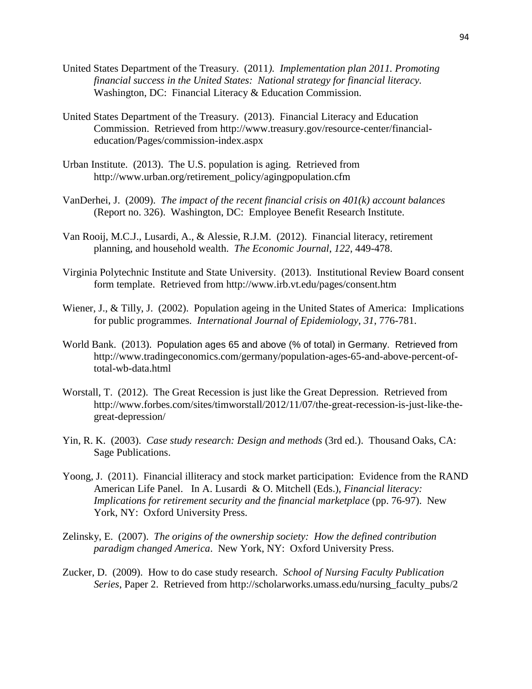- United States Department of the Treasury. (2011*). Implementation plan 2011. Promoting financial success in the United States: National strategy for financial literacy.* Washington, DC: Financial Literacy & Education Commission.
- United States Department of the Treasury. (2013). Financial Literacy and Education Commission. Retrieved from [http://www.treasury.gov/resource-center/financial](http://www.treasury.gov/resource-center/financial-education/Pages/commission-index.aspx)[education/Pages/commission-index.aspx](http://www.treasury.gov/resource-center/financial-education/Pages/commission-index.aspx)
- Urban Institute. (2013). The U.S. population is aging. Retrieved from [http://www.urban.org/retirement\\_policy/agingpopulation.cfm](http://www.urban.org/retirement_policy/agingpopulation.cfm)
- VanDerhei, J. (2009). *The impact of the recent financial crisis on 401(k) account balances* (Report no. 326). Washington, DC: Employee Benefit Research Institute.
- Van Rooij, M.C.J., Lusardi, A., & Alessie, R.J.M. (2012). Financial literacy, retirement planning, and household wealth. *The Economic Journal*, *122*, 449-478.
- Virginia Polytechnic Institute and State University. (2013). Institutional Review Board consent form template. Retrieved from<http://www.irb.vt.edu/pages/consent.htm>
- Wiener, J., & Tilly, J. (2002). Population ageing in the United States of America: Implications for public programmes. *International Journal of Epidemiology, 31*, 776-781.
- World Bank. (2013). Population ages 65 and above (% of total) in Germany. Retrieved from [http://www.tradingeconomics.com/germany/population-ages-65-and-above-percent-of](http://www.tradingeconomics.com/germany/population-ages-65-and-above-percent-of-total-wb-data.html)[total-wb-data.html](http://www.tradingeconomics.com/germany/population-ages-65-and-above-percent-of-total-wb-data.html)
- Worstall, T. (2012). The Great Recession is just like the Great Depression. Retrieved from http://www.forbes.com/sites/timworstall/2012/11/07/the-great-recession-is-just-like-thegreat-depression/
- Yin, R. K. (2003). *Case study research: Design and methods* (3rd ed.). Thousand Oaks, CA: Sage Publications.
- Yoong, J. (2011). Financial illiteracy and stock market participation: Evidence from the RAND American Life Panel. In A. Lusardi & O. Mitchell (Eds.), *Financial literacy: Implications for retirement security and the financial marketplace* (pp. 76-97). New York, NY: Oxford University Press.
- Zelinsky, E. (2007). *The origins of the ownership society: How the defined contribution paradigm changed America*. New York, NY: Oxford University Press.
- Zucker, D. (2009). How to do case study research. *School of Nursing Faculty Publication Series*, Paper 2. Retrieved from [http://scholarworks.umass.edu/nursing\\_faculty\\_pubs/2](http://scholarworks.umass.edu/nursing_faculty_pubs/2)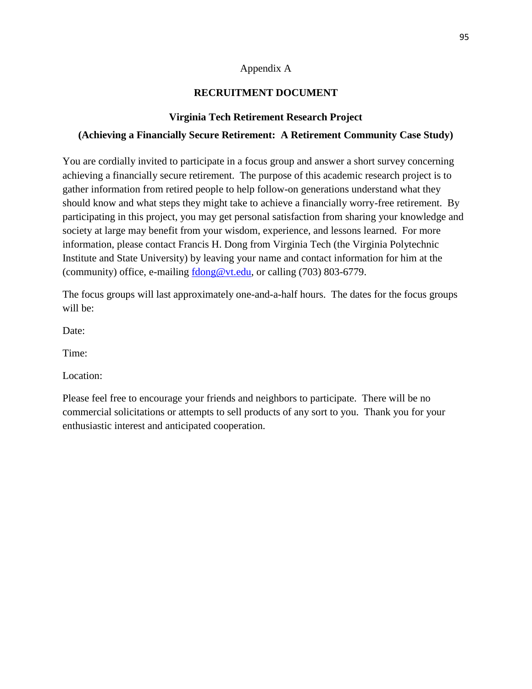### Appendix A

# **RECRUITMENT DOCUMENT**

# **Virginia Tech Retirement Research Project**

# **(Achieving a Financially Secure Retirement: A Retirement Community Case Study)**

You are cordially invited to participate in a focus group and answer a short survey concerning achieving a financially secure retirement. The purpose of this academic research project is to gather information from retired people to help follow-on generations understand what they should know and what steps they might take to achieve a financially worry-free retirement. By participating in this project, you may get personal satisfaction from sharing your knowledge and society at large may benefit from your wisdom, experience, and lessons learned. For more information, please contact Francis H. Dong from Virginia Tech (the Virginia Polytechnic Institute and State University) by leaving your name and contact information for him at the (community) office, e-mailing  $\frac{\text{fdong@vt.edu}}{\text{fdong@vt.edu}}$ , or calling (703) 803-6779.

The focus groups will last approximately one-and-a-half hours. The dates for the focus groups will be:

Date:

Time:

Location:

Please feel free to encourage your friends and neighbors to participate. There will be no commercial solicitations or attempts to sell products of any sort to you. Thank you for your enthusiastic interest and anticipated cooperation.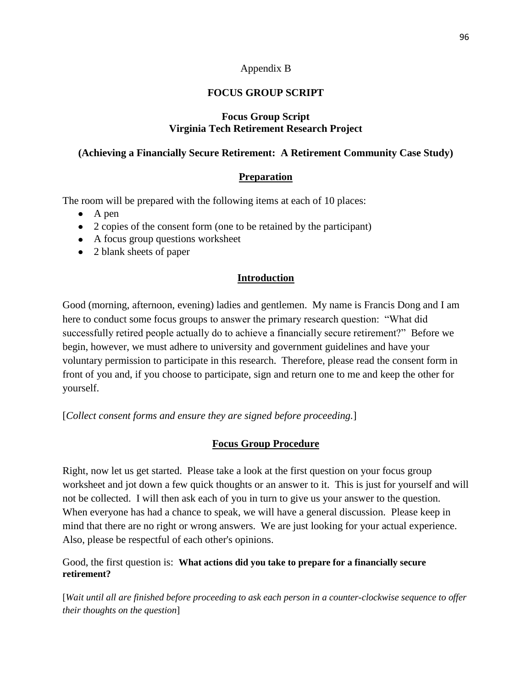### Appendix B

# **FOCUS GROUP SCRIPT**

### **Focus Group Script Virginia Tech Retirement Research Project**

### **(Achieving a Financially Secure Retirement: A Retirement Community Case Study)**

### **Preparation**

The room will be prepared with the following items at each of 10 places:

- $\bullet$  A pen
- 2 copies of the consent form (one to be retained by the participant)
- A focus group questions worksheet
- 2 blank sheets of paper

### **Introduction**

Good (morning, afternoon, evening) ladies and gentlemen. My name is Francis Dong and I am here to conduct some focus groups to answer the primary research question: "What did successfully retired people actually do to achieve a financially secure retirement?" Before we begin, however, we must adhere to university and government guidelines and have your voluntary permission to participate in this research. Therefore, please read the consent form in front of you and, if you choose to participate, sign and return one to me and keep the other for yourself.

[*Collect consent forms and ensure they are signed before proceeding.*]

### **Focus Group Procedure**

Right, now let us get started. Please take a look at the first question on your focus group worksheet and jot down a few quick thoughts or an answer to it. This is just for yourself and will not be collected. I will then ask each of you in turn to give us your answer to the question. When everyone has had a chance to speak, we will have a general discussion. Please keep in mind that there are no right or wrong answers. We are just looking for your actual experience. Also, please be respectful of each other's opinions.

Good, the first question is: **What actions did you take to prepare for a financially secure retirement?**

[*Wait until all are finished before proceeding to ask each person in a counter-clockwise sequence to offer their thoughts on the question*]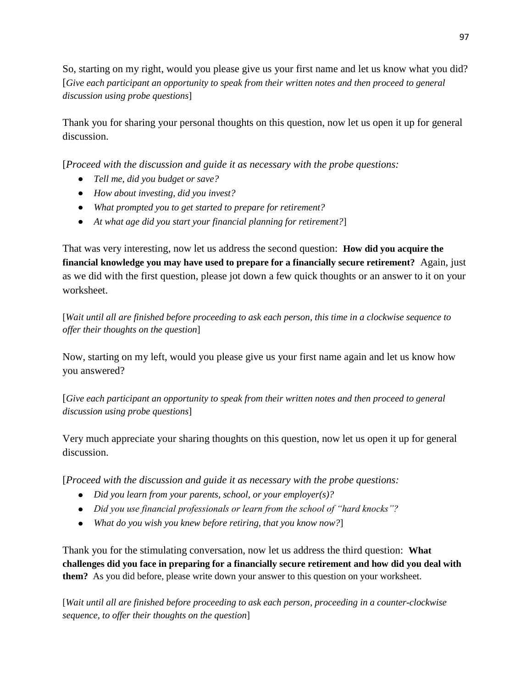So, starting on my right, would you please give us your first name and let us know what you did? [*Give each participant an opportunity to speak from their written notes and then proceed to general discussion using probe questions*]

Thank you for sharing your personal thoughts on this question, now let us open it up for general discussion.

[*Proceed with the discussion and guide it as necessary with the probe questions:*

- *Tell me, did you budget or save?*
- *How about investing, did you invest?*
- *What prompted you to get started to prepare for retirement?*
- *At what age did you start your financial planning for retirement?*]

That was very interesting, now let us address the second question: **How did you acquire the financial knowledge you may have used to prepare for a financially secure retirement?** Again, just as we did with the first question, please jot down a few quick thoughts or an answer to it on your worksheet.

[*Wait until all are finished before proceeding to ask each person, this time in a clockwise sequence to offer their thoughts on the question*]

Now, starting on my left, would you please give us your first name again and let us know how you answered?

[*Give each participant an opportunity to speak from their written notes and then proceed to general discussion using probe questions*]

Very much appreciate your sharing thoughts on this question, now let us open it up for general discussion.

[*Proceed with the discussion and guide it as necessary with the probe questions:*

- *Did you learn from your parents, school, or your employer(s)?*
- *Did you use financial professionals or learn from the school of "hard knocks"?*
- *What do you wish you knew before retiring, that you know now?*]

Thank you for the stimulating conversation, now let us address the third question: **What challenges did you face in preparing for a financially secure retirement and how did you deal with them?** As you did before, please write down your answer to this question on your worksheet.

[*Wait until all are finished before proceeding to ask each person, proceeding in a counter-clockwise sequence, to offer their thoughts on the question*]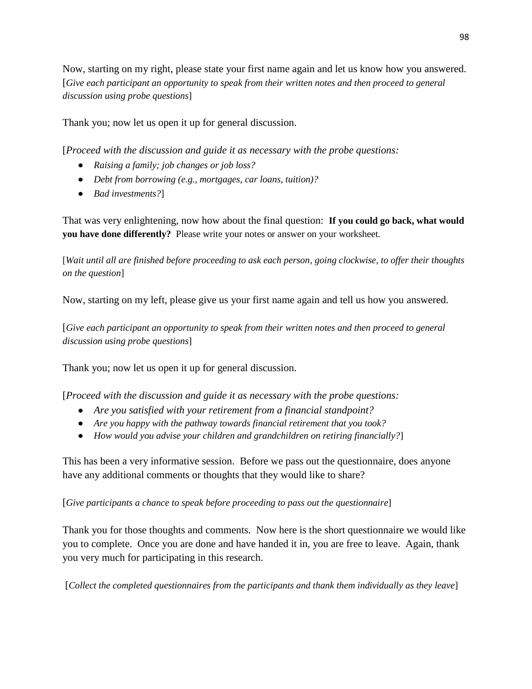Now, starting on my right, please state your first name again and let us know how you answered. [*Give each participant an opportunity to speak from their written notes and then proceed to general discussion using probe questions*]

Thank you; now let us open it up for general discussion.

[*Proceed with the discussion and guide it as necessary with the probe questions:*

- *Raising a family; job changes or job loss?*
- *Debt from borrowing (e.g., mortgages, car loans, tuition)?*
- *Bad investments?*]

That was very enlightening, now how about the final question: **If you could go back, what would you have done differently?** Please write your notes or answer on your worksheet.

[*Wait until all are finished before proceeding to ask each person, going clockwise, to offer their thoughts on the question*]

Now, starting on my left, please give us your first name again and tell us how you answered.

[*Give each participant an opportunity to speak from their written notes and then proceed to general discussion using probe questions*]

Thank you; now let us open it up for general discussion.

[*Proceed with the discussion and guide it as necessary with the probe questions:*

- *Are you satisfied with your retirement from a financial standpoint?*
- *Are you happy with the pathway towards financial retirement that you took?*
- *How would you advise your children and grandchildren on retiring financially?*]

This has been a very informative session. Before we pass out the questionnaire, does anyone have any additional comments or thoughts that they would like to share?

[*Give participants a chance to speak before proceeding to pass out the questionnaire*]

Thank you for those thoughts and comments. Now here is the short questionnaire we would like you to complete. Once you are done and have handed it in, you are free to leave. Again, thank you very much for participating in this research.

[*Collect the completed questionnaires from the participants and thank them individually as they leave*]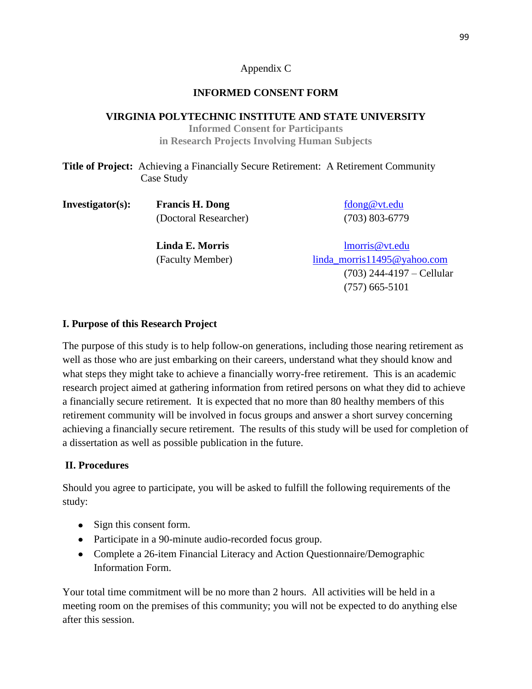# Appendix C

# **INFORMED CONSENT FORM**

### **VIRGINIA POLYTECHNIC INSTITUTE AND STATE UNIVERSITY**

**Informed Consent for Participants in Research Projects Involving Human Subjects**

| <b>Title of Project:</b> Achieving a Financially Secure Retirement: A Retirement Community |  |
|--------------------------------------------------------------------------------------------|--|
| Case Study                                                                                 |  |

| Investigator(s): | <b>Francis H. Dong</b> | fdong@vt.edu                |
|------------------|------------------------|-----------------------------|
|                  | (Doctoral Researcher)  | $(703) 803 - 6779$          |
|                  | Linda E. Morris        | lmorris@vt.edu              |
|                  | (Faculty Member)       | linda_morris11495@yahoo.com |
|                  |                        | $(703)$ 244-4197 – Cellular |
|                  |                        | $(757)$ 665-5101            |

### **I. Purpose of this Research Project**

The purpose of this study is to help follow-on generations, including those nearing retirement as well as those who are just embarking on their careers, understand what they should know and what steps they might take to achieve a financially worry-free retirement. This is an academic research project aimed at gathering information from retired persons on what they did to achieve a financially secure retirement. It is expected that no more than 80 healthy members of this retirement community will be involved in focus groups and answer a short survey concerning achieving a financially secure retirement. The results of this study will be used for completion of a dissertation as well as possible publication in the future.

# **II. Procedures**

Should you agree to participate, you will be asked to fulfill the following requirements of the study:

- Sign this consent form.
- Participate in a 90-minute audio-recorded focus group.
- Complete a 26-item Financial Literacy and Action Questionnaire/Demographic Information Form.

Your total time commitment will be no more than 2 hours. All activities will be held in a meeting room on the premises of this community; you will not be expected to do anything else after this session.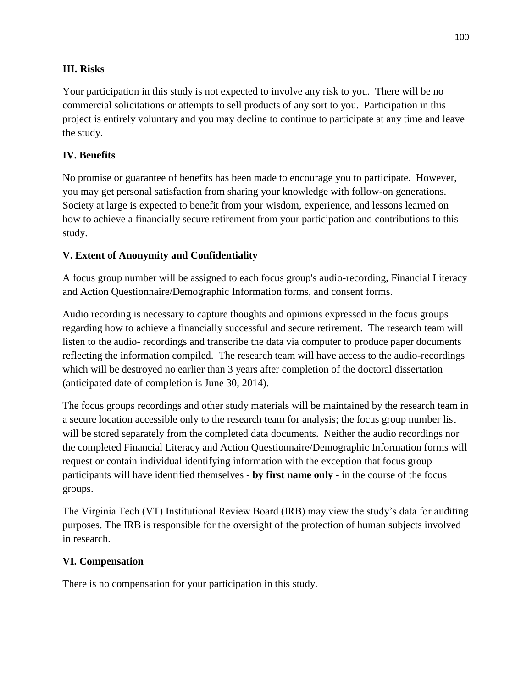### **III. Risks**

Your participation in this study is not expected to involve any risk to you. There will be no commercial solicitations or attempts to sell products of any sort to you. Participation in this project is entirely voluntary and you may decline to continue to participate at any time and leave the study.

# **IV. Benefits**

No promise or guarantee of benefits has been made to encourage you to participate. However, you may get personal satisfaction from sharing your knowledge with follow-on generations. Society at large is expected to benefit from your wisdom, experience, and lessons learned on how to achieve a financially secure retirement from your participation and contributions to this study.

# **V. Extent of Anonymity and Confidentiality**

A focus group number will be assigned to each focus group's audio-recording, Financial Literacy and Action Questionnaire/Demographic Information forms, and consent forms.

Audio recording is necessary to capture thoughts and opinions expressed in the focus groups regarding how to achieve a financially successful and secure retirement. The research team will listen to the audio- recordings and transcribe the data via computer to produce paper documents reflecting the information compiled. The research team will have access to the audio-recordings which will be destroyed no earlier than 3 years after completion of the doctoral dissertation (anticipated date of completion is June 30, 2014).

The focus groups recordings and other study materials will be maintained by the research team in a secure location accessible only to the research team for analysis; the focus group number list will be stored separately from the completed data documents. Neither the audio recordings nor the completed Financial Literacy and Action Questionnaire/Demographic Information forms will request or contain individual identifying information with the exception that focus group participants will have identified themselves - **by first name only** - in the course of the focus groups.

The Virginia Tech (VT) Institutional Review Board (IRB) may view the study's data for auditing purposes. The IRB is responsible for the oversight of the protection of human subjects involved in research.

# **VI. Compensation**

There is no compensation for your participation in this study.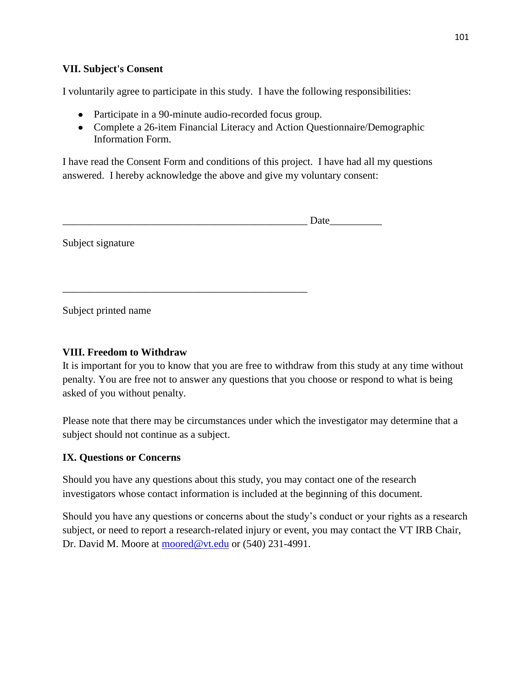#### **VII. Subject's Consent**

I voluntarily agree to participate in this study. I have the following responsibilities:

• Participate in a 90-minute audio-recorded focus group.

\_\_\_\_\_\_\_\_\_\_\_\_\_\_\_\_\_\_\_\_\_\_\_\_\_\_\_\_\_\_\_\_\_\_\_\_\_\_\_\_\_\_\_\_\_\_\_

• Complete a 26-item Financial Literacy and Action Questionnaire/Demographic Information Form.

I have read the Consent Form and conditions of this project. I have had all my questions answered. I hereby acknowledge the above and give my voluntary consent:

Subject signature

Subject printed name

# **VIII. Freedom to Withdraw**

It is important for you to know that you are free to withdraw from this study at any time without penalty. You are free not to answer any questions that you choose or respond to what is being asked of you without penalty.

Please note that there may be circumstances under which the investigator may determine that a subject should not continue as a subject.

# **IX. Questions or Concerns**

Should you have any questions about this study, you may contact one of the research investigators whose contact information is included at the beginning of this document.

Should you have any questions or concerns about the study's conduct or your rights as a research subject, or need to report a research-related injury or event, you may contact the VT IRB Chair, Dr. David M. Moore at [moored@vt.edu](mailto:moored@vt.edu) or (540) 231-4991.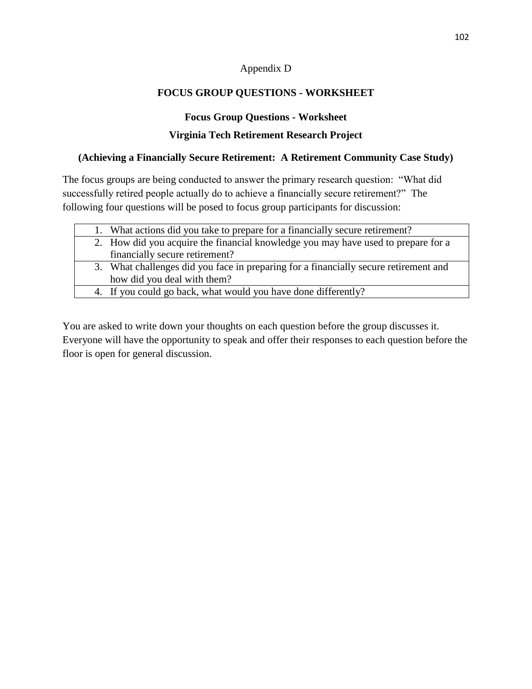### Appendix D

# **FOCUS GROUP QUESTIONS - WORKSHEET**

### **Focus Group Questions - Worksheet**

### **Virginia Tech Retirement Research Project**

### **(Achieving a Financially Secure Retirement: A Retirement Community Case Study)**

The focus groups are being conducted to answer the primary research question: "What did successfully retired people actually do to achieve a financially secure retirement?" The following four questions will be posed to focus group participants for discussion:

|  | 1. What actions did you take to prepare for a financially secure retirement?         |
|--|--------------------------------------------------------------------------------------|
|  | 2. How did you acquire the financial knowledge you may have used to prepare for a    |
|  | financially secure retirement?                                                       |
|  | 3. What challenges did you face in preparing for a financially secure retirement and |
|  | how did you deal with them?                                                          |
|  | 4. If you could go back, what would you have done differently?                       |
|  |                                                                                      |

You are asked to write down your thoughts on each question before the group discusses it. Everyone will have the opportunity to speak and offer their responses to each question before the floor is open for general discussion.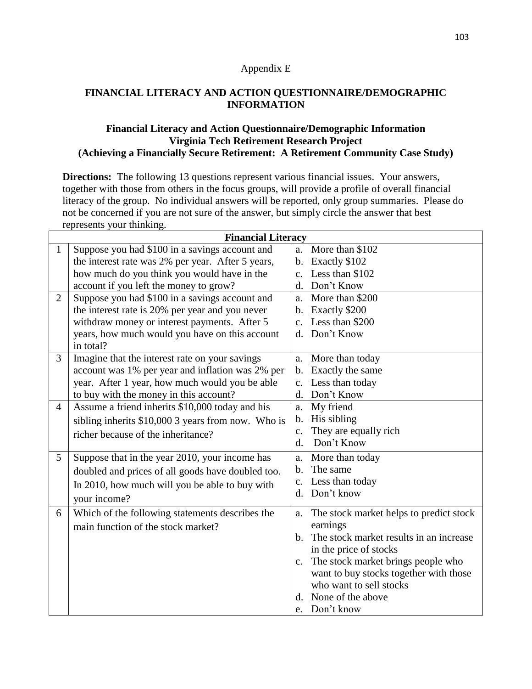#### Appendix E

### **FINANCIAL LITERACY AND ACTION QUESTIONNAIRE/DEMOGRAPHIC INFORMATION**

#### **Financial Literacy and Action Questionnaire/Demographic Information Virginia Tech Retirement Research Project (Achieving a Financially Secure Retirement: A Retirement Community Case Study)**

**Directions:** The following 13 questions represent various financial issues. Your answers, together with those from others in the focus groups, will provide a profile of overall financial literacy of the group. No individual answers will be reported, only group summaries. Please do not be concerned if you are not sure of the answer, but simply circle the answer that best represents your thinking.

| <b>Financial Literacy</b> |                                                    |                |                                            |
|---------------------------|----------------------------------------------------|----------------|--------------------------------------------|
| $\mathbf{1}$              | Suppose you had \$100 in a savings account and     | a.             | More than \$102                            |
|                           | the interest rate was 2% per year. After 5 years,  | $\mathbf{b}$ . | Exactly \$102                              |
|                           | how much do you think you would have in the        | $C_{-}$        | Less than \$102                            |
|                           | account if you left the money to grow?             | $\mathbf{d}$ . | Don't Know                                 |
| $\overline{2}$            | Suppose you had \$100 in a savings account and     |                | a. More than \$200                         |
|                           | the interest rate is 20% per year and you never    |                | b. Exactly \$200                           |
|                           | withdraw money or interest payments. After 5       | $\mathbf{c}$ . | Less than \$200                            |
|                           | years, how much would you have on this account     | $\mathbf{d}$ . | Don't Know                                 |
|                           | in total?                                          |                |                                            |
| 3                         | Imagine that the interest rate on your savings     | a.             | More than today                            |
|                           | account was 1% per year and inflation was 2% per   |                | b. Exactly the same                        |
|                           | year. After 1 year, how much would you be able     |                | c. Less than today                         |
|                           | to buy with the money in this account?             |                | d. Don't Know                              |
| $\overline{4}$            | Assume a friend inherits \$10,000 today and his    | a.             | My friend                                  |
|                           | sibling inherits \$10,000 3 years from now. Who is |                | b. His sibling                             |
|                           | richer because of the inheritance?                 | $C_{\bullet}$  | They are equally rich                      |
|                           |                                                    | $\mathbf{d}$ . | Don't Know                                 |
| 5                         | Suppose that in the year 2010, your income has     | a.             | More than today                            |
|                           | doubled and prices of all goods have doubled too.  |                | b. The same                                |
|                           | In 2010, how much will you be able to buy with     |                | c. Less than today                         |
|                           | your income?                                       |                | d. Don't know                              |
| 6                         | Which of the following statements describes the    | a.             | The stock market helps to predict stock    |
|                           | main function of the stock market?                 |                | earnings                                   |
|                           |                                                    |                | b. The stock market results in an increase |
|                           |                                                    |                | in the price of stocks                     |
|                           |                                                    | c.             | The stock market brings people who         |
|                           |                                                    |                | want to buy stocks together with those     |
|                           |                                                    |                | who want to sell stocks                    |
|                           |                                                    | d.             | None of the above                          |
|                           |                                                    | e.             | Don't know                                 |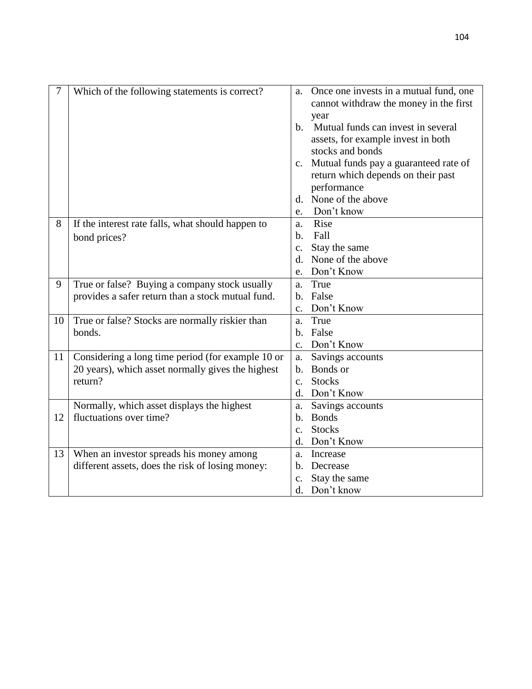| 7  | Which of the following statements is correct?     | a.             | Once one invests in a mutual fund, one     |
|----|---------------------------------------------------|----------------|--------------------------------------------|
|    |                                                   |                | cannot withdraw the money in the first     |
|    |                                                   | $h_{-}$        | year<br>Mutual funds can invest in several |
|    |                                                   |                | assets, for example invest in both         |
|    |                                                   |                | stocks and bonds                           |
|    |                                                   |                | c. Mutual funds pay a guaranteed rate of   |
|    |                                                   |                | return which depends on their past         |
|    |                                                   |                | performance                                |
|    |                                                   | d.             | None of the above                          |
|    |                                                   | e.             | Don't know                                 |
| 8  | If the interest rate falls, what should happen to | a.             | Rise                                       |
|    | bond prices?                                      | $h_{\cdot}$    | Fall                                       |
|    |                                                   | c.             | Stay the same                              |
|    |                                                   | d.             | None of the above                          |
|    |                                                   | e.             | Don't Know                                 |
| 9  | True or false? Buying a company stock usually     | a.             | True                                       |
|    | provides a safer return than a stock mutual fund. | b.             | False                                      |
|    |                                                   | C <sub>1</sub> | Don't Know                                 |
| 10 | True or false? Stocks are normally riskier than   | a.             | True                                       |
|    | bonds.                                            | b.             | False                                      |
|    |                                                   | $C_{\bullet}$  | Don't Know                                 |
| 11 | Considering a long time period (for example 10 or | a.             | Savings accounts                           |
|    | 20 years), which asset normally gives the highest | b.             | <b>Bonds</b> or                            |
|    | return?                                           | $\mathbf{c}$ . | <b>Stocks</b>                              |
|    |                                                   | d.             | Don't Know                                 |
|    | Normally, which asset displays the highest        | a.             | Savings accounts                           |
| 12 | fluctuations over time?                           | $\mathbf{b}$ . | <b>Bonds</b>                               |
|    |                                                   | $\mathbf{c}$ . | <b>Stocks</b>                              |
|    |                                                   | $\mathbf{d}$ . | Don't Know                                 |
| 13 | When an investor spreads his money among          | a.             | Increase                                   |
|    | different assets, does the risk of losing money:  | b.             | Decrease                                   |
|    |                                                   | c.             | Stay the same                              |
|    |                                                   | d.             | Don't know                                 |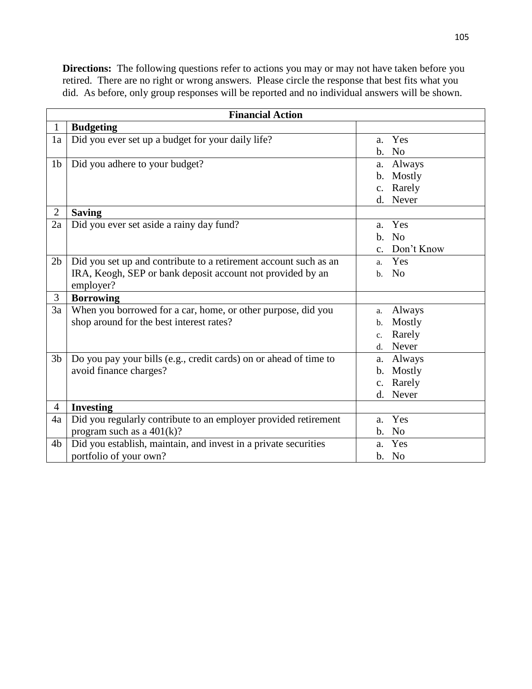**Directions:** The following questions refer to actions you may or may not have taken before you retired. There are no right or wrong answers. Please circle the response that best fits what you did. As before, only group responses will be reported and no individual answers will be shown.

| <b>Financial Action</b> |                                                                                                                                             |                                                                         |  |
|-------------------------|---------------------------------------------------------------------------------------------------------------------------------------------|-------------------------------------------------------------------------|--|
| $\mathbf{1}$            | <b>Budgeting</b>                                                                                                                            |                                                                         |  |
| 1a                      | Did you ever set up a budget for your daily life?                                                                                           | Yes<br>a.<br>N <sub>o</sub><br>b.                                       |  |
| 1 <sub>b</sub>          | Did you adhere to your budget?                                                                                                              | Always<br>a.<br>Mostly<br>b.<br>Rarely<br>$\mathbf{c}$ .<br>Never<br>d. |  |
| $\overline{2}$          | <b>Saving</b>                                                                                                                               |                                                                         |  |
| 2a                      | Did you ever set aside a rainy day fund?                                                                                                    | Yes<br>a.<br>N <sub>o</sub><br>b.<br>Don't Know<br>$\mathbf{c}$ .       |  |
| 2 <sub>b</sub>          | Did you set up and contribute to a retirement account such as an<br>IRA, Keogh, SEP or bank deposit account not provided by an<br>employer? | Yes<br>a.<br>No<br>$\mathbf{b}$ .                                       |  |
| 3                       | <b>Borrowing</b>                                                                                                                            |                                                                         |  |
| 3a                      | When you borrowed for a car, home, or other purpose, did you<br>shop around for the best interest rates?                                    | Always<br>a.<br>Mostly<br>b.<br>Rarely<br>c.<br>Never<br>d.             |  |
| 3 <sub>b</sub>          | Do you pay your bills (e.g., credit cards) on or ahead of time to<br>avoid finance charges?                                                 | Always<br>a.<br>Mostly<br>$\mathbf{b}$ .<br>Rarely<br>c.<br>Never<br>d. |  |
| $\overline{4}$          | <b>Investing</b>                                                                                                                            |                                                                         |  |
| 4a                      | Did you regularly contribute to an employer provided retirement<br>program such as a $401(k)$ ?                                             | Yes<br>a.<br>N <sub>o</sub><br>b.                                       |  |
| 4b                      | Did you establish, maintain, and invest in a private securities                                                                             | Yes<br>a.                                                               |  |
|                         | portfolio of your own?                                                                                                                      | b. No                                                                   |  |